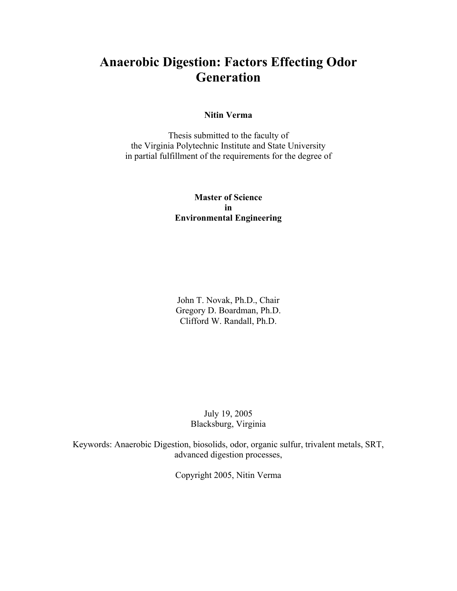## **Anaerobic Digestion: Factors Effecting Odor Generation**

#### **Nitin Verma**

Thesis submitted to the faculty of the Virginia Polytechnic Institute and State University in partial fulfillment of the requirements for the degree of

#### **Master of Science in Environmental Engineering**

John T. Novak, Ph.D., Chair Gregory D. Boardman, Ph.D. Clifford W. Randall, Ph.D.

> July 19, 2005 Blacksburg, Virginia

Keywords: Anaerobic Digestion, biosolids, odor, organic sulfur, trivalent metals, SRT, advanced digestion processes,

Copyright 2005, Nitin Verma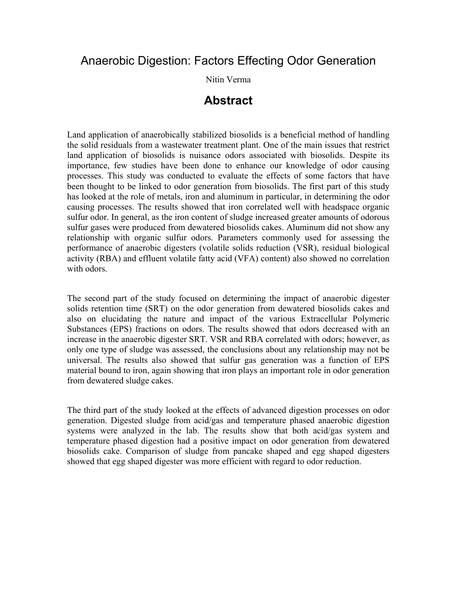## Anaerobic Digestion: Factors Effecting Odor Generation

Nitin Verma

## **Abstract**

Land application of anaerobically stabilized biosolids is a beneficial method of handling the solid residuals from a wastewater treatment plant. One of the main issues that restrict land application of biosolids is nuisance odors associated with biosolids. Despite its importance, few studies have been done to enhance our knowledge of odor causing processes. This study was conducted to evaluate the effects of some factors that have been thought to be linked to odor generation from biosolids. The first part of this study has looked at the role of metals, iron and aluminum in particular, in determining the odor causing processes. The results showed that iron correlated well with headspace organic sulfur odor. In general, as the iron content of sludge increased greater amounts of odorous sulfur gases were produced from dewatered biosolids cakes. Aluminum did not show any relationship with organic sulfur odors. Parameters commonly used for assessing the performance of anaerobic digesters (volatile solids reduction (VSR), residual biological activity (RBA) and effluent volatile fatty acid (VFA) content) also showed no correlation with odors.

The second part of the study focused on determining the impact of anaerobic digester solids retention time (SRT) on the odor generation from dewatered biosolids cakes and also on elucidating the nature and impact of the various Extracellular Polymeric Substances (EPS) fractions on odors. The results showed that odors decreased with an increase in the anaerobic digester SRT. VSR and RBA correlated with odors; however, as only one type of sludge was assessed, the conclusions about any relationship may not be universal. The results also showed that sulfur gas generation was a function of EPS material bound to iron, again showing that iron plays an important role in odor generation from dewatered sludge cakes.

The third part of the study looked at the effects of advanced digestion processes on odor generation. Digested sludge from acid/gas and temperature phased anaerobic digestion systems were analyzed in the lab. The results show that both acid/gas system and temperature phased digestion had a positive impact on odor generation from dewatered biosolids cake. Comparison of sludge from pancake shaped and egg shaped digesters showed that egg shaped digester was more efficient with regard to odor reduction.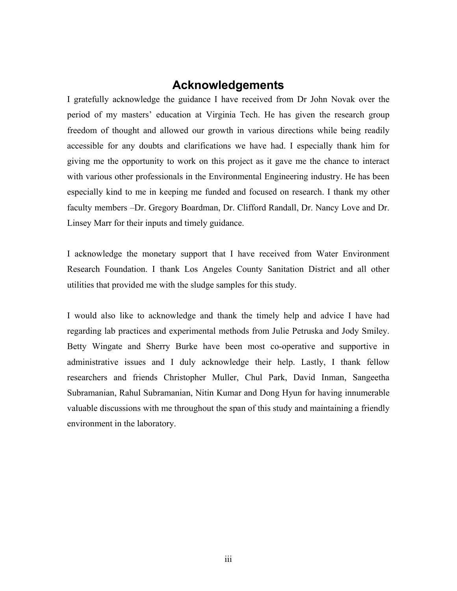## **Acknowledgements**

I gratefully acknowledge the guidance I have received from Dr John Novak over the period of my masters' education at Virginia Tech. He has given the research group freedom of thought and allowed our growth in various directions while being readily accessible for any doubts and clarifications we have had. I especially thank him for giving me the opportunity to work on this project as it gave me the chance to interact with various other professionals in the Environmental Engineering industry. He has been especially kind to me in keeping me funded and focused on research. I thank my other faculty members –Dr. Gregory Boardman, Dr. Clifford Randall, Dr. Nancy Love and Dr. Linsey Marr for their inputs and timely guidance.

I acknowledge the monetary support that I have received from Water Environment Research Foundation. I thank Los Angeles County Sanitation District and all other utilities that provided me with the sludge samples for this study.

I would also like to acknowledge and thank the timely help and advice I have had regarding lab practices and experimental methods from Julie Petruska and Jody Smiley. Betty Wingate and Sherry Burke have been most co-operative and supportive in administrative issues and I duly acknowledge their help. Lastly, I thank fellow researchers and friends Christopher Muller, Chul Park, David Inman, Sangeetha Subramanian, Rahul Subramanian, Nitin Kumar and Dong Hyun for having innumerable valuable discussions with me throughout the span of this study and maintaining a friendly environment in the laboratory.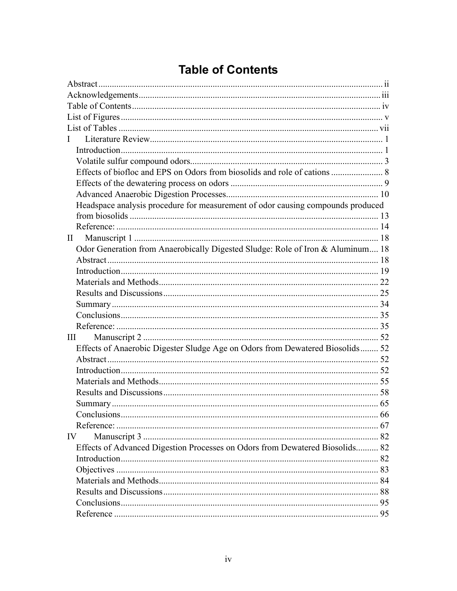# **Table of Contents**

| $\mathbf{I}$                                                                    |    |
|---------------------------------------------------------------------------------|----|
|                                                                                 |    |
|                                                                                 |    |
|                                                                                 |    |
|                                                                                 |    |
|                                                                                 |    |
| Headspace analysis procedure for measurement of odor causing compounds produced |    |
|                                                                                 |    |
|                                                                                 |    |
| $\mathbf{I}$                                                                    |    |
| Odor Generation from Anaerobically Digested Sludge: Role of Iron & Aluminum 18  |    |
|                                                                                 |    |
|                                                                                 |    |
|                                                                                 |    |
|                                                                                 |    |
|                                                                                 |    |
|                                                                                 |    |
|                                                                                 |    |
| Ш                                                                               |    |
| Effects of Anaerobic Digester Sludge Age on Odors from Dewatered Biosolids 52   |    |
|                                                                                 |    |
|                                                                                 |    |
|                                                                                 |    |
|                                                                                 |    |
|                                                                                 |    |
|                                                                                 | 66 |
|                                                                                 |    |
| IV                                                                              |    |
| Effects of Advanced Digestion Processes on Odors from Dewatered Biosolids 82    |    |
|                                                                                 |    |
|                                                                                 |    |
|                                                                                 |    |
|                                                                                 |    |
|                                                                                 |    |
|                                                                                 |    |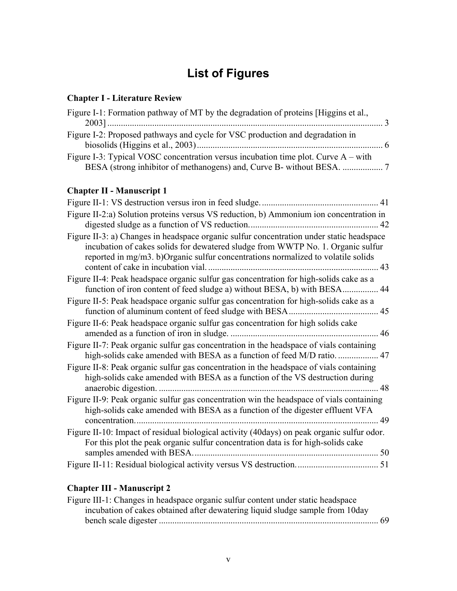# **List of Figures**

#### **Chapter I - Literature Review**

| Figure I-1: Formation pathway of MT by the degradation of proteins [Higgins et al.,  |  |
|--------------------------------------------------------------------------------------|--|
|                                                                                      |  |
| Figure I-2: Proposed pathways and cycle for VSC production and degradation in        |  |
|                                                                                      |  |
| Figure I-3: Typical VOSC concentration versus incubation time plot. Curve $A - with$ |  |
|                                                                                      |  |

## **Chapter II - Manuscript 1**

|                                                                                                                                                                                                                                                                 | 41 |
|-----------------------------------------------------------------------------------------------------------------------------------------------------------------------------------------------------------------------------------------------------------------|----|
| Figure II-2:a) Solution proteins versus VS reduction, b) Ammonium ion concentration in                                                                                                                                                                          | 42 |
| Figure II-3: a) Changes in headspace organic sulfur concentration under static headspace<br>incubation of cakes solids for dewatered sludge from WWTP No. 1. Organic sulfur<br>reported in mg/m3. b)Organic sulfur concentrations normalized to volatile solids | 43 |
| Figure II-4: Peak headspace organic sulfur gas concentration for high-solids cake as a<br>function of iron content of feed sludge a) without BESA, b) with BESA                                                                                                 | 44 |
| Figure II-5: Peak headspace organic sulfur gas concentration for high-solids cake as a                                                                                                                                                                          | 45 |
| Figure II-6: Peak headspace organic sulfur gas concentration for high solids cake                                                                                                                                                                               | 46 |
| Figure II-7: Peak organic sulfur gas concentration in the headspace of vials containing<br>high-solids cake amended with BESA as a function of feed M/D ratio                                                                                                   | 47 |
| Figure II-8: Peak organic sulfur gas concentration in the headspace of vials containing<br>high-solids cake amended with BESA as a function of the VS destruction during                                                                                        | 48 |
| Figure II-9: Peak organic sulfur gas concentration win the headspace of vials containing<br>high-solids cake amended with BESA as a function of the digester effluent VFA<br>concentration.                                                                     | 49 |
| Figure II-10: Impact of residual biological activity (40days) on peak organic sulfur odor.<br>For this plot the peak organic sulfur concentration data is for high-solids cake                                                                                  |    |
|                                                                                                                                                                                                                                                                 |    |

#### **Chapter III - Manuscript 2**

| Figure III-1: Changes in headspace organic sulfur content under static headspace |  |
|----------------------------------------------------------------------------------|--|
| incubation of cakes obtained after dewatering liquid sludge sample from 10 day   |  |
|                                                                                  |  |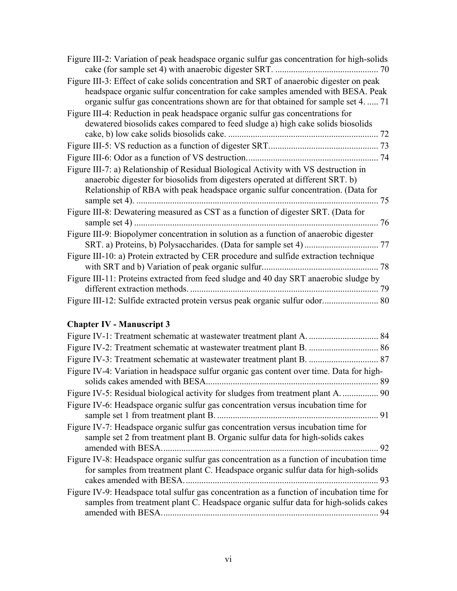| Figure III-2: Variation of peak headspace organic sulfur gas concentration for high-solids                                                                                                                                                                        |    |
|-------------------------------------------------------------------------------------------------------------------------------------------------------------------------------------------------------------------------------------------------------------------|----|
|                                                                                                                                                                                                                                                                   |    |
| Figure III-3: Effect of cake solids concentration and SRT of anaerobic digester on peak<br>headspace organic sulfur concentration for cake samples amended with BESA. Peak<br>organic sulfur gas concentrations shown are for that obtained for sample set 4.  71 |    |
| Figure III-4: Reduction in peak headspace organic sulfur gas concentrations for<br>dewatered biosolids cakes compared to feed sludge a) high cake solids biosolids                                                                                                |    |
|                                                                                                                                                                                                                                                                   |    |
|                                                                                                                                                                                                                                                                   |    |
| Figure III-7: a) Relationship of Residual Biological Activity with VS destruction in<br>anaerobic digester for biosolids from digesters operated at different SRT. b)<br>Relationship of RBA with peak headspace organic sulfur concentration. (Data for          |    |
| Figure III-8: Dewatering measured as CST as a function of digester SRT. (Data for                                                                                                                                                                                 | 76 |
| Figure III-9: Biopolymer concentration in solution as a function of anaerobic digester                                                                                                                                                                            |    |
| Figure III-10: a) Protein extracted by CER procedure and sulfide extraction technique                                                                                                                                                                             |    |
| Figure III-11: Proteins extracted from feed sludge and 40 day SRT anaerobic sludge by                                                                                                                                                                             | 79 |
|                                                                                                                                                                                                                                                                   |    |

## **Chapter IV - Manuscript 3**

| Figure IV-4: Variation in headspace sulfur organic gas content over time. Data for high-                                                                                                                  |    |
|-----------------------------------------------------------------------------------------------------------------------------------------------------------------------------------------------------------|----|
|                                                                                                                                                                                                           | 89 |
| Figure IV-5: Residual biological activity for sludges from treatment plant A.  90                                                                                                                         |    |
| Figure IV-6: Headspace organic sulfur gas concentration versus incubation time for                                                                                                                        | 91 |
| Figure IV-7: Headspace organic sulfur gas concentration versus incubation time for<br>sample set 2 from treatment plant B. Organic sulfur data for high-solids cakes                                      | 92 |
| Figure IV-8: Headspace organic sulfur gas concentration as a function of incubation time<br>for samples from treatment plant C. Headspace organic sulfur data for high-solids<br>cakes amended with BESA. | 93 |
| Figure IV-9: Headspace total sulfur gas concentration as a function of incubation time for<br>samples from treatment plant C. Headspace organic sulfur data for high-solids cakes                         | 94 |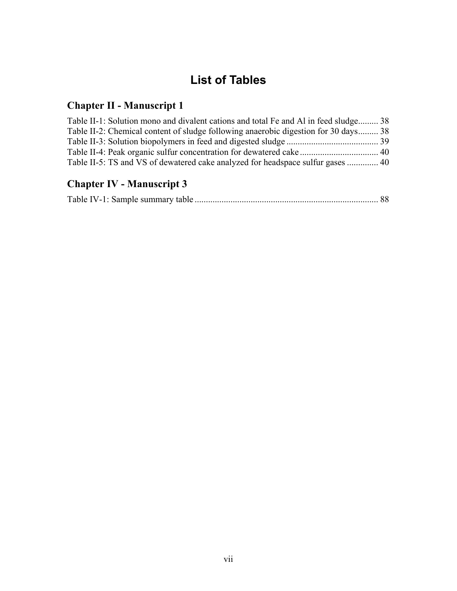# **List of Tables**

## **Chapter II - Manuscript 1**

| Table II-1: Solution mono and divalent cations and total Fe and Al in feed sludge 38 |  |
|--------------------------------------------------------------------------------------|--|
| Table II-2: Chemical content of sludge following anaerobic digestion for 30 days 38  |  |
|                                                                                      |  |
|                                                                                      |  |
|                                                                                      |  |

## **Chapter IV - Manuscript 3**

|--|--|--|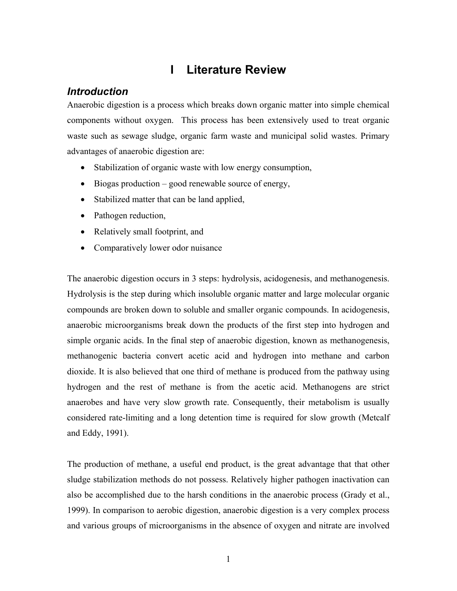## **I Literature Review**

## *Introduction*

Anaerobic digestion is a process which breaks down organic matter into simple chemical components without oxygen. This process has been extensively used to treat organic waste such as sewage sludge, organic farm waste and municipal solid wastes. Primary advantages of anaerobic digestion are:

- Stabilization of organic waste with low energy consumption,
- Biogas production good renewable source of energy,
- Stabilized matter that can be land applied,
- Pathogen reduction,
- Relatively small footprint, and
- Comparatively lower odor nuisance

The anaerobic digestion occurs in 3 steps: hydrolysis, acidogenesis, and methanogenesis. Hydrolysis is the step during which insoluble organic matter and large molecular organic compounds are broken down to soluble and smaller organic compounds. In acidogenesis, anaerobic microorganisms break down the products of the first step into hydrogen and simple organic acids. In the final step of anaerobic digestion, known as methanogenesis, methanogenic bacteria convert acetic acid and hydrogen into methane and carbon dioxide. It is also believed that one third of methane is produced from the pathway using hydrogen and the rest of methane is from the acetic acid. Methanogens are strict anaerobes and have very slow growth rate. Consequently, their metabolism is usually considered rate-limiting and a long detention time is required for slow growth (Metcalf and Eddy, 1991).

The production of methane, a useful end product, is the great advantage that that other sludge stabilization methods do not possess. Relatively higher pathogen inactivation can also be accomplished due to the harsh conditions in the anaerobic process (Grady et al., 1999). In comparison to aerobic digestion, anaerobic digestion is a very complex process and various groups of microorganisms in the absence of oxygen and nitrate are involved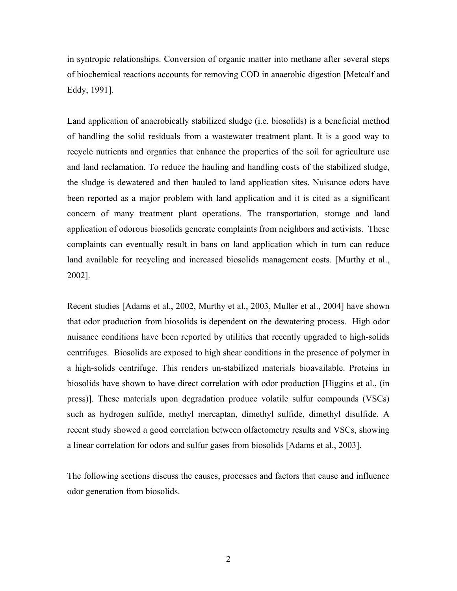in syntropic relationships. Conversion of organic matter into methane after several steps of biochemical reactions accounts for removing COD in anaerobic digestion [Metcalf and Eddy, 1991].

Land application of anaerobically stabilized sludge (i.e. biosolids) is a beneficial method of handling the solid residuals from a wastewater treatment plant. It is a good way to recycle nutrients and organics that enhance the properties of the soil for agriculture use and land reclamation. To reduce the hauling and handling costs of the stabilized sludge, the sludge is dewatered and then hauled to land application sites. Nuisance odors have been reported as a major problem with land application and it is cited as a significant concern of many treatment plant operations. The transportation, storage and land application of odorous biosolids generate complaints from neighbors and activists. These complaints can eventually result in bans on land application which in turn can reduce land available for recycling and increased biosolids management costs. [Murthy et al., 2002].

Recent studies [Adams et al., 2002, Murthy et al., 2003, Muller et al., 2004] have shown that odor production from biosolids is dependent on the dewatering process. High odor nuisance conditions have been reported by utilities that recently upgraded to high-solids centrifuges. Biosolids are exposed to high shear conditions in the presence of polymer in a high-solids centrifuge. This renders un-stabilized materials bioavailable. Proteins in biosolids have shown to have direct correlation with odor production [Higgins et al., (in press)]. These materials upon degradation produce volatile sulfur compounds (VSCs) such as hydrogen sulfide, methyl mercaptan, dimethyl sulfide, dimethyl disulfide. A recent study showed a good correlation between olfactometry results and VSCs, showing a linear correlation for odors and sulfur gases from biosolids [Adams et al., 2003].

The following sections discuss the causes, processes and factors that cause and influence odor generation from biosolids.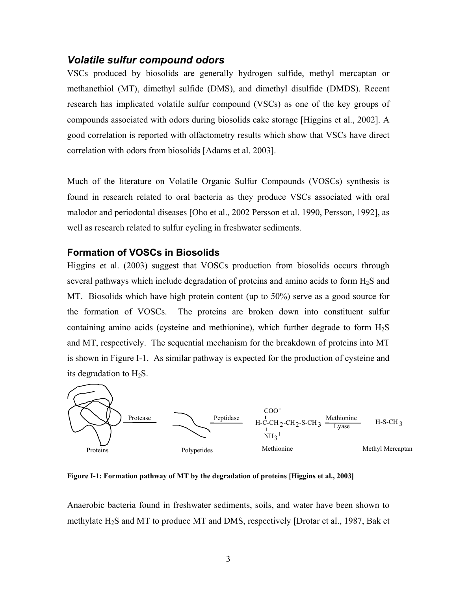#### *Volatile sulfur compound odors*

VSCs produced by biosolids are generally hydrogen sulfide, methyl mercaptan or methanethiol (MT), dimethyl sulfide (DMS), and dimethyl disulfide (DMDS). Recent research has implicated volatile sulfur compound (VSCs) as one of the key groups of compounds associated with odors during biosolids cake storage [Higgins et al., 2002]. A good correlation is reported with olfactometry results which show that VSCs have direct correlation with odors from biosolids [Adams et al. 2003].

Much of the literature on Volatile Organic Sulfur Compounds (VOSCs) synthesis is found in research related to oral bacteria as they produce VSCs associated with oral malodor and periodontal diseases [Oho et al., 2002 Persson et al. 1990, Persson, 1992], as well as research related to sulfur cycling in freshwater sediments.

#### **Formation of VOSCs in Biosolids**

Higgins et al. (2003) suggest that VOSCs production from biosolids occurs through several pathways which include degradation of proteins and amino acids to form  $H_2S$  and MT. Biosolids which have high protein content (up to 50%) serve as a good source for the formation of VOSCs. The proteins are broken down into constituent sulfur containing amino acids (cysteine and methionine), which further degrade to form  $H_2S$ and MT, respectively. The sequential mechanism for the breakdown of proteins into MT is shown in Figure I-1. As similar pathway is expected for the production of cysteine and its degradation to  $H_2S$ .



**Figure I-1: Formation pathway of MT by the degradation of proteins [Higgins et al., 2003]** 

Anaerobic bacteria found in freshwater sediments, soils, and water have been shown to methylate  $H_2S$  and MT to produce MT and DMS, respectively [Drotar et al., 1987, Bak et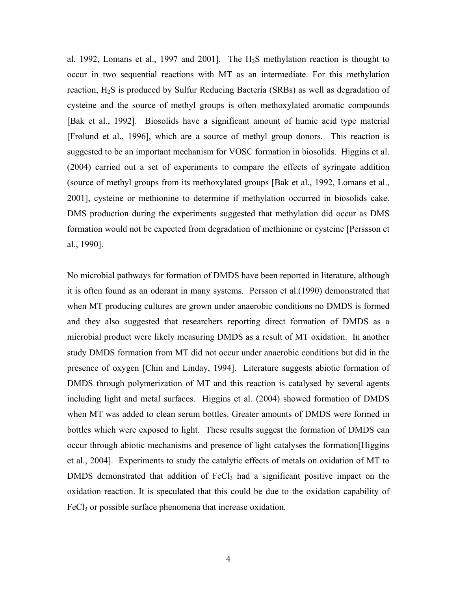al, 1992, Lomans et al., 1997 and 2001]. The  $H_2S$  methylation reaction is thought to occur in two sequential reactions with MT as an intermediate. For this methylation reaction, H2S is produced by Sulfur Reducing Bacteria (SRBs) as well as degradation of cysteine and the source of methyl groups is often methoxylated aromatic compounds [Bak et al., 1992]. Biosolids have a significant amount of humic acid type material [Frølund et al., 1996], which are a source of methyl group donors. This reaction is suggested to be an important mechanism for VOSC formation in biosolids. Higgins et al. (2004) carried out a set of experiments to compare the effects of syringate addition (source of methyl groups from its methoxylated groups [Bak et al., 1992, Lomans et al., 2001], cysteine or methionine to determine if methylation occurred in biosolids cake. DMS production during the experiments suggested that methylation did occur as DMS formation would not be expected from degradation of methionine or cysteine [Perssson et al., 1990].

No microbial pathways for formation of DMDS have been reported in literature, although it is often found as an odorant in many systems. Persson et al.(1990) demonstrated that when MT producing cultures are grown under anaerobic conditions no DMDS is formed and they also suggested that researchers reporting direct formation of DMDS as a microbial product were likely measuring DMDS as a result of MT oxidation. In another study DMDS formation from MT did not occur under anaerobic conditions but did in the presence of oxygen [Chin and Linday, 1994]. Literature suggests abiotic formation of DMDS through polymerization of MT and this reaction is catalysed by several agents including light and metal surfaces. Higgins et al. (2004) showed formation of DMDS when MT was added to clean serum bottles. Greater amounts of DMDS were formed in bottles which were exposed to light. These results suggest the formation of DMDS can occur through abiotic mechanisms and presence of light catalyses the formation[Higgins et al., 2004]. Experiments to study the catalytic effects of metals on oxidation of MT to DMDS demonstrated that addition of  $FeCl<sub>3</sub>$  had a significant positive impact on the oxidation reaction. It is speculated that this could be due to the oxidation capability of FeCl<sub>3</sub> or possible surface phenomena that increase oxidation.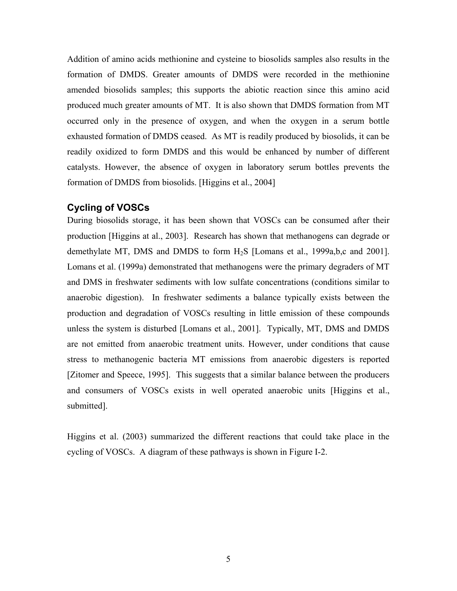Addition of amino acids methionine and cysteine to biosolids samples also results in the formation of DMDS. Greater amounts of DMDS were recorded in the methionine amended biosolids samples; this supports the abiotic reaction since this amino acid produced much greater amounts of MT. It is also shown that DMDS formation from MT occurred only in the presence of oxygen, and when the oxygen in a serum bottle exhausted formation of DMDS ceased. As MT is readily produced by biosolids, it can be readily oxidized to form DMDS and this would be enhanced by number of different catalysts. However, the absence of oxygen in laboratory serum bottles prevents the formation of DMDS from biosolids. [Higgins et al., 2004]

#### **Cycling of VOSCs**

During biosolids storage, it has been shown that VOSCs can be consumed after their production [Higgins at al., 2003]. Research has shown that methanogens can degrade or demethylate MT, DMS and DMDS to form H2S [Lomans et al., 1999a,b,c and 2001]. Lomans et al. (1999a) demonstrated that methanogens were the primary degraders of MT and DMS in freshwater sediments with low sulfate concentrations (conditions similar to anaerobic digestion). In freshwater sediments a balance typically exists between the production and degradation of VOSCs resulting in little emission of these compounds unless the system is disturbed [Lomans et al., 2001]. Typically, MT, DMS and DMDS are not emitted from anaerobic treatment units. However, under conditions that cause stress to methanogenic bacteria MT emissions from anaerobic digesters is reported [Zitomer and Speece, 1995]. This suggests that a similar balance between the producers and consumers of VOSCs exists in well operated anaerobic units [Higgins et al., submitted].

Higgins et al. (2003) summarized the different reactions that could take place in the cycling of VOSCs. A diagram of these pathways is shown in Figure I-2.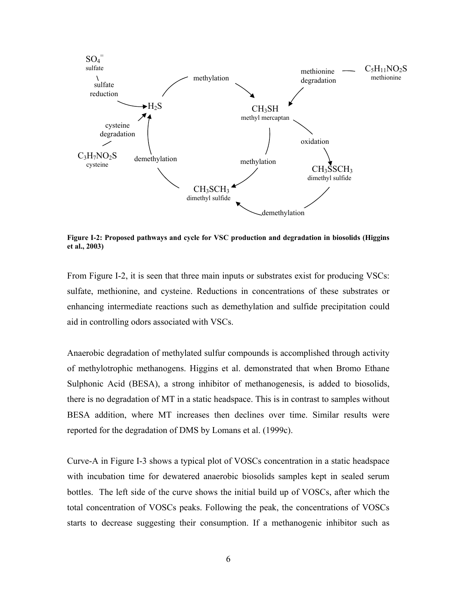

**Figure I-2: Proposed pathways and cycle for VSC production and degradation in biosolids (Higgins et al., 2003)** 

From Figure I-2, it is seen that three main inputs or substrates exist for producing VSCs: sulfate, methionine, and cysteine. Reductions in concentrations of these substrates or enhancing intermediate reactions such as demethylation and sulfide precipitation could aid in controlling odors associated with VSCs.

Anaerobic degradation of methylated sulfur compounds is accomplished through activity of methylotrophic methanogens. Higgins et al. demonstrated that when Bromo Ethane Sulphonic Acid (BESA), a strong inhibitor of methanogenesis, is added to biosolids, there is no degradation of MT in a static headspace. This is in contrast to samples without BESA addition, where MT increases then declines over time. Similar results were reported for the degradation of DMS by Lomans et al. (1999c).

Curve-A in Figure I-3 shows a typical plot of VOSCs concentration in a static headspace with incubation time for dewatered anaerobic biosolids samples kept in sealed serum bottles. The left side of the curve shows the initial build up of VOSCs, after which the total concentration of VOSCs peaks. Following the peak, the concentrations of VOSCs starts to decrease suggesting their consumption. If a methanogenic inhibitor such as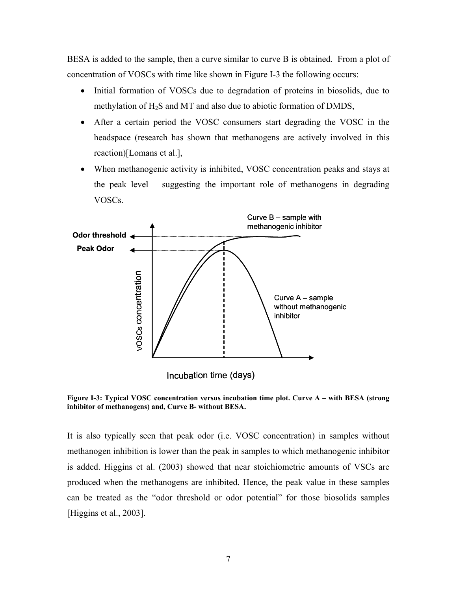BESA is added to the sample, then a curve similar to curve B is obtained. From a plot of concentration of VOSCs with time like shown in Figure I-3 the following occurs:

- Initial formation of VOSCs due to degradation of proteins in biosolids, due to methylation of H<sub>2</sub>S and MT and also due to abiotic formation of DMDS,
- After a certain period the VOSC consumers start degrading the VOSC in the headspace (research has shown that methanogens are actively involved in this reaction)[Lomans et al.],
- When methanogenic activity is inhibited, VOSC concentration peaks and stays at the peak level – suggesting the important role of methanogens in degrading VOSCs.



**Figure I-3: Typical VOSC concentration versus incubation time plot. Curve A – with BESA (strong inhibitor of methanogens) and, Curve B- without BESA.** 

It is also typically seen that peak odor (i.e. VOSC concentration) in samples without methanogen inhibition is lower than the peak in samples to which methanogenic inhibitor is added. Higgins et al. (2003) showed that near stoichiometric amounts of VSCs are produced when the methanogens are inhibited. Hence, the peak value in these samples can be treated as the "odor threshold or odor potential" for those biosolids samples [Higgins et al., 2003].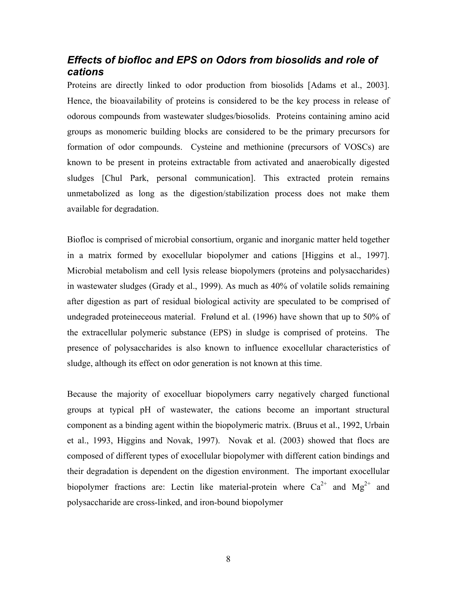## *Effects of biofloc and EPS on Odors from biosolids and role of cations*

Proteins are directly linked to odor production from biosolids [Adams et al., 2003]. Hence, the bioavailability of proteins is considered to be the key process in release of odorous compounds from wastewater sludges/biosolids. Proteins containing amino acid groups as monomeric building blocks are considered to be the primary precursors for formation of odor compounds. Cysteine and methionine (precursors of VOSCs) are known to be present in proteins extractable from activated and anaerobically digested sludges [Chul Park, personal communication]. This extracted protein remains unmetabolized as long as the digestion/stabilization process does not make them available for degradation.

Biofloc is comprised of microbial consortium, organic and inorganic matter held together in a matrix formed by exocellular biopolymer and cations [Higgins et al., 1997]. Microbial metabolism and cell lysis release biopolymers (proteins and polysaccharides) in wastewater sludges (Grady et al., 1999). As much as 40% of volatile solids remaining after digestion as part of residual biological activity are speculated to be comprised of undegraded proteineceous material. Frølund et al. (1996) have shown that up to 50% of the extracellular polymeric substance (EPS) in sludge is comprised of proteins. The presence of polysaccharides is also known to influence exocellular characteristics of sludge, although its effect on odor generation is not known at this time.

Because the majority of exocelluar biopolymers carry negatively charged functional groups at typical pH of wastewater, the cations become an important structural component as a binding agent within the biopolymeric matrix. (Bruus et al., 1992, Urbain et al., 1993, Higgins and Novak, 1997). Novak et al. (2003) showed that flocs are composed of different types of exocellular biopolymer with different cation bindings and their degradation is dependent on the digestion environment. The important exocellular biopolymer fractions are: Lectin like material-protein where  $Ca^{2+}$  and  $Mg^{2+}$  and polysaccharide are cross-linked, and iron-bound biopolymer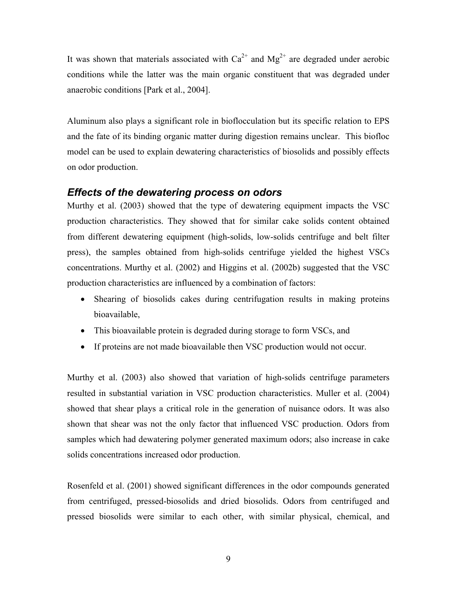It was shown that materials associated with  $Ca^{2+}$  and  $Mg^{2+}$  are degraded under aerobic conditions while the latter was the main organic constituent that was degraded under anaerobic conditions [Park et al., 2004].

Aluminum also plays a significant role in bioflocculation but its specific relation to EPS and the fate of its binding organic matter during digestion remains unclear. This biofloc model can be used to explain dewatering characteristics of biosolids and possibly effects on odor production.

#### *Effects of the dewatering process on odors*

Murthy et al. (2003) showed that the type of dewatering equipment impacts the VSC production characteristics. They showed that for similar cake solids content obtained from different dewatering equipment (high-solids, low-solids centrifuge and belt filter press), the samples obtained from high-solids centrifuge yielded the highest VSCs concentrations. Murthy et al. (2002) and Higgins et al. (2002b) suggested that the VSC production characteristics are influenced by a combination of factors:

- Shearing of biosolids cakes during centrifugation results in making proteins bioavailable,
- This bioavailable protein is degraded during storage to form VSCs, and
- If proteins are not made bioavailable then VSC production would not occur.

Murthy et al. (2003) also showed that variation of high-solids centrifuge parameters resulted in substantial variation in VSC production characteristics. Muller et al. (2004) showed that shear plays a critical role in the generation of nuisance odors. It was also shown that shear was not the only factor that influenced VSC production. Odors from samples which had dewatering polymer generated maximum odors; also increase in cake solids concentrations increased odor production.

Rosenfeld et al. (2001) showed significant differences in the odor compounds generated from centrifuged, pressed-biosolids and dried biosolids. Odors from centrifuged and pressed biosolids were similar to each other, with similar physical, chemical, and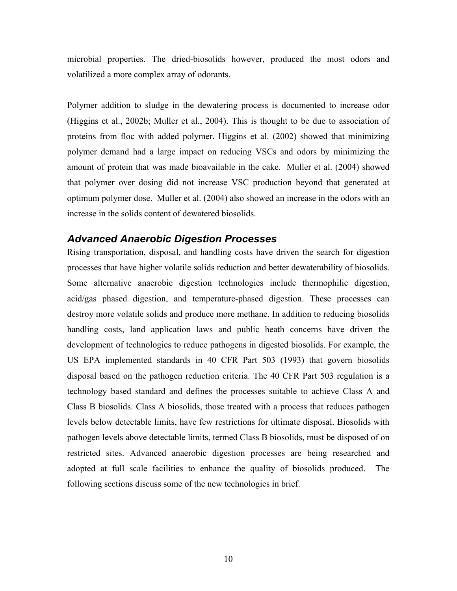microbial properties. The dried-biosolids however, produced the most odors and volatilized a more complex array of odorants.

Polymer addition to sludge in the dewatering process is documented to increase odor (Higgins et al., 2002b; Muller et al., 2004). This is thought to be due to association of proteins from floc with added polymer. Higgins et al. (2002) showed that minimizing polymer demand had a large impact on reducing VSCs and odors by minimizing the amount of protein that was made bioavailable in the cake. Muller et al. (2004) showed that polymer over dosing did not increase VSC production beyond that generated at optimum polymer dose. Muller et al. (2004) also showed an increase in the odors with an increase in the solids content of dewatered biosolids.

#### *Advanced Anaerobic Digestion Processes*

Rising transportation, disposal, and handling costs have driven the search for digestion processes that have higher volatile solids reduction and better dewaterability of biosolids. Some alternative anaerobic digestion technologies include thermophilic digestion, acid/gas phased digestion, and temperature-phased digestion. These processes can destroy more volatile solids and produce more methane. In addition to reducing biosolids handling costs, land application laws and public heath concerns have driven the development of technologies to reduce pathogens in digested biosolids. For example, the US EPA implemented standards in 40 CFR Part 503 (1993) that govern biosolids disposal based on the pathogen reduction criteria. The 40 CFR Part 503 regulation is a technology based standard and defines the processes suitable to achieve Class A and Class B biosolids. Class A biosolids, those treated with a process that reduces pathogen levels below detectable limits, have few restrictions for ultimate disposal. Biosolids with pathogen levels above detectable limits, termed Class B biosolids, must be disposed of on restricted sites. Advanced anaerobic digestion processes are being researched and adopted at full scale facilities to enhance the quality of biosolids produced. The following sections discuss some of the new technologies in brief.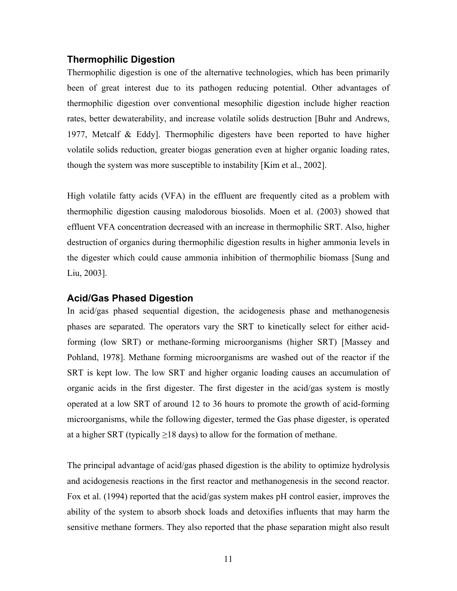#### **Thermophilic Digestion**

Thermophilic digestion is one of the alternative technologies, which has been primarily been of great interest due to its pathogen reducing potential. Other advantages of thermophilic digestion over conventional mesophilic digestion include higher reaction rates, better dewaterability, and increase volatile solids destruction [Buhr and Andrews, 1977, Metcalf & Eddy]. Thermophilic digesters have been reported to have higher volatile solids reduction, greater biogas generation even at higher organic loading rates, though the system was more susceptible to instability [Kim et al., 2002].

High volatile fatty acids (VFA) in the effluent are frequently cited as a problem with thermophilic digestion causing malodorous biosolids. Moen et al. (2003) showed that effluent VFA concentration decreased with an increase in thermophilic SRT. Also, higher destruction of organics during thermophilic digestion results in higher ammonia levels in the digester which could cause ammonia inhibition of thermophilic biomass [Sung and Liu, 2003].

#### **Acid/Gas Phased Digestion**

In acid/gas phased sequential digestion, the acidogenesis phase and methanogenesis phases are separated. The operators vary the SRT to kinetically select for either acidforming (low SRT) or methane-forming microorganisms (higher SRT) [Massey and Pohland, 1978]. Methane forming microorganisms are washed out of the reactor if the SRT is kept low. The low SRT and higher organic loading causes an accumulation of organic acids in the first digester. The first digester in the acid/gas system is mostly operated at a low SRT of around 12 to 36 hours to promote the growth of acid-forming microorganisms, while the following digester, termed the Gas phase digester, is operated at a higher SRT (typically  $\geq$ 18 days) to allow for the formation of methane.

The principal advantage of acid/gas phased digestion is the ability to optimize hydrolysis and acidogenesis reactions in the first reactor and methanogenesis in the second reactor. Fox et al. (1994) reported that the acid/gas system makes pH control easier, improves the ability of the system to absorb shock loads and detoxifies influents that may harm the sensitive methane formers. They also reported that the phase separation might also result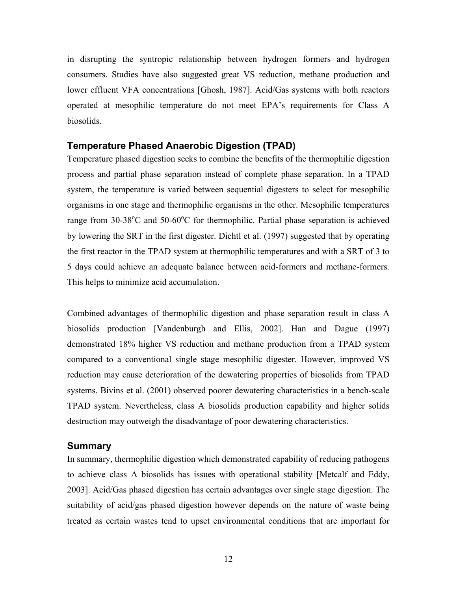in disrupting the syntropic relationship between hydrogen formers and hydrogen consumers. Studies have also suggested great VS reduction, methane production and lower effluent VFA concentrations [Ghosh, 1987]. Acid/Gas systems with both reactors operated at mesophilic temperature do not meet EPA's requirements for Class A biosolids.

#### **Temperature Phased Anaerobic Digestion (TPAD)**

Temperature phased digestion seeks to combine the benefits of the thermophilic digestion process and partial phase separation instead of complete phase separation. In a TPAD system, the temperature is varied between sequential digesters to select for mesophilic organisms in one stage and thermophilic organisms in the other. Mesophilic temperatures range from  $30-38^{\circ}$ C and  $50-60^{\circ}$ C for thermophilic. Partial phase separation is achieved by lowering the SRT in the first digester. Dichtl et al. (1997) suggested that by operating the first reactor in the TPAD system at thermophilic temperatures and with a SRT of 3 to 5 days could achieve an adequate balance between acid-formers and methane-formers. This helps to minimize acid accumulation.

Combined advantages of thermophilic digestion and phase separation result in class A biosolids production [Vandenburgh and Ellis, 2002]. Han and Dague (1997) demonstrated 18% higher VS reduction and methane production from a TPAD system compared to a conventional single stage mesophilic digester. However, improved VS reduction may cause deterioration of the dewatering properties of biosolids from TPAD systems. Bivins et al. (2001) observed poorer dewatering characteristics in a bench-scale TPAD system. Nevertheless, class A biosolids production capability and higher solids destruction may outweigh the disadvantage of poor dewatering characteristics.

#### **Summary**

In summary, thermophilic digestion which demonstrated capability of reducing pathogens to achieve class A biosolids has issues with operational stability [Metcalf and Eddy, 2003]. Acid/Gas phased digestion has certain advantages over single stage digestion. The suitability of acid/gas phased digestion however depends on the nature of waste being treated as certain wastes tend to upset environmental conditions that are important for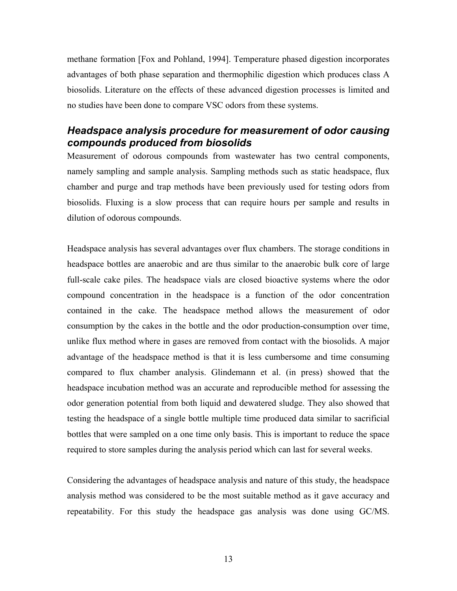methane formation [Fox and Pohland, 1994]. Temperature phased digestion incorporates advantages of both phase separation and thermophilic digestion which produces class A biosolids. Literature on the effects of these advanced digestion processes is limited and no studies have been done to compare VSC odors from these systems.

#### *Headspace analysis procedure for measurement of odor causing compounds produced from biosolids*

Measurement of odorous compounds from wastewater has two central components, namely sampling and sample analysis. Sampling methods such as static headspace, flux chamber and purge and trap methods have been previously used for testing odors from biosolids. Fluxing is a slow process that can require hours per sample and results in dilution of odorous compounds.

Headspace analysis has several advantages over flux chambers. The storage conditions in headspace bottles are anaerobic and are thus similar to the anaerobic bulk core of large full-scale cake piles. The headspace vials are closed bioactive systems where the odor compound concentration in the headspace is a function of the odor concentration contained in the cake. The headspace method allows the measurement of odor consumption by the cakes in the bottle and the odor production-consumption over time, unlike flux method where in gases are removed from contact with the biosolids. A major advantage of the headspace method is that it is less cumbersome and time consuming compared to flux chamber analysis. Glindemann et al. (in press) showed that the headspace incubation method was an accurate and reproducible method for assessing the odor generation potential from both liquid and dewatered sludge. They also showed that testing the headspace of a single bottle multiple time produced data similar to sacrificial bottles that were sampled on a one time only basis. This is important to reduce the space required to store samples during the analysis period which can last for several weeks.

Considering the advantages of headspace analysis and nature of this study, the headspace analysis method was considered to be the most suitable method as it gave accuracy and repeatability. For this study the headspace gas analysis was done using GC/MS.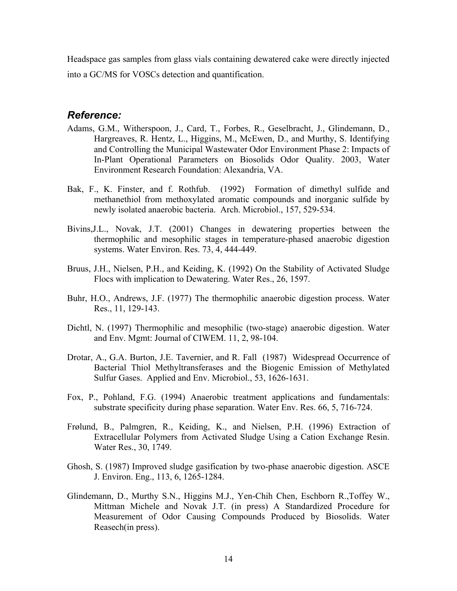Headspace gas samples from glass vials containing dewatered cake were directly injected into a GC/MS for VOSCs detection and quantification.

#### *Reference:*

- Adams, G.M., Witherspoon, J., Card, T., Forbes, R., Geselbracht, J., Glindemann, D., Hargreaves, R. Hentz, L., Higgins, M., McEwen, D., and Murthy, S. Identifying and Controlling the Municipal Wastewater Odor Environment Phase 2: Impacts of In-Plant Operational Parameters on Biosolids Odor Quality. 2003, Water Environment Research Foundation: Alexandria, VA.
- Bak, F., K. Finster, and f. Rothfub. (1992) Formation of dimethyl sulfide and methanethiol from methoxylated aromatic compounds and inorganic sulfide by newly isolated anaerobic bacteria. Arch. Microbiol., 157, 529-534.
- Bivins,J.L., Novak, J.T. (2001) Changes in dewatering properties between the thermophilic and mesophilic stages in temperature-phased anaerobic digestion systems. Water Environ. Res. 73, 4, 444-449.
- Bruus, J.H., Nielsen, P.H., and Keiding, K. (1992) On the Stability of Activated Sludge Flocs with implication to Dewatering. Water Res., 26, 1597.
- Buhr, H.O., Andrews, J.F. (1977) The thermophilic anaerobic digestion process. Water Res., 11, 129-143.
- Dichtl, N. (1997) Thermophilic and mesophilic (two-stage) anaerobic digestion. Water and Env. Mgmt: Journal of CIWEM. 11, 2, 98-104.
- Drotar, A., G.A. Burton, J.E. Tavernier, and R. Fall (1987) Widespread Occurrence of Bacterial Thiol Methyltransferases and the Biogenic Emission of Methylated Sulfur Gases. Applied and Env. Microbiol., 53, 1626-1631.
- Fox, P., Pohland, F.G. (1994) Anaerobic treatment applications and fundamentals: substrate specificity during phase separation. Water Env. Res. 66, 5, 716-724.
- Frølund, B., Palmgren, R., Keiding, K., and Nielsen, P.H. (1996) Extraction of Extracellular Polymers from Activated Sludge Using a Cation Exchange Resin. Water Res., 30, 1749.
- Ghosh, S. (1987) Improved sludge gasification by two-phase anaerobic digestion. ASCE J. Environ. Eng., 113, 6, 1265-1284.
- Glindemann, D., Murthy S.N., Higgins M.J., Yen-Chih Chen, Eschborn R.,Toffey W., Mittman Michele and Novak J.T. (in press) A Standardized Procedure for Measurement of Odor Causing Compounds Produced by Biosolids. Water Reasech(in press).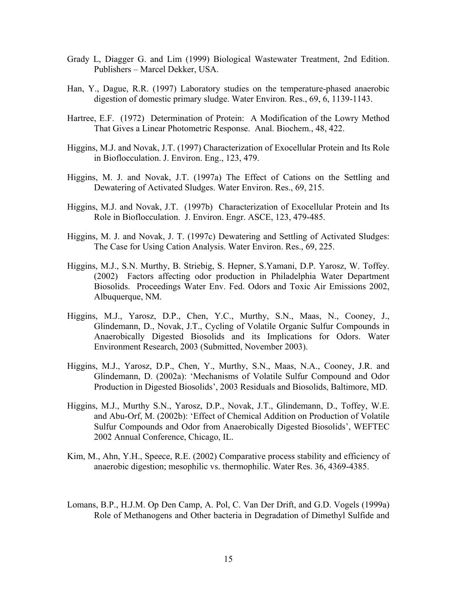- Grady L, Diagger G. and Lim (1999) Biological Wastewater Treatment, 2nd Edition. Publishers – Marcel Dekker, USA.
- Han, Y., Dague, R.R. (1997) Laboratory studies on the temperature-phased anaerobic digestion of domestic primary sludge. Water Environ. Res., 69, 6, 1139-1143.
- Hartree, E.F. (1972) Determination of Protein: A Modification of the Lowry Method That Gives a Linear Photometric Response. Anal. Biochem., 48, 422.
- Higgins, M.J. and Novak, J.T. (1997) Characterization of Exocellular Protein and Its Role in Bioflocculation. J. Environ. Eng., 123, 479.
- Higgins, M. J. and Novak, J.T. (1997a) The Effect of Cations on the Settling and Dewatering of Activated Sludges. Water Environ. Res., 69, 215.
- Higgins, M.J. and Novak, J.T. (1997b) Characterization of Exocellular Protein and Its Role in Bioflocculation. J. Environ. Engr. ASCE, 123, 479-485.
- Higgins, M. J. and Novak, J. T. (1997c) Dewatering and Settling of Activated Sludges: The Case for Using Cation Analysis. Water Environ. Res., 69, 225.
- Higgins, M.J., S.N. Murthy, B. Striebig, S. Hepner, S.Yamani, D.P. Yarosz, W. Toffey. (2002) Factors affecting odor production in Philadelphia Water Department Biosolids. Proceedings Water Env. Fed. Odors and Toxic Air Emissions 2002, Albuquerque, NM.
- Higgins, M.J., Yarosz, D.P., Chen, Y.C., Murthy, S.N., Maas, N., Cooney, J., Glindemann, D., Novak, J.T., Cycling of Volatile Organic Sulfur Compounds in Anaerobically Digested Biosolids and its Implications for Odors. Water Environment Research, 2003 (Submitted, November 2003).
- Higgins, M.J., Yarosz, D.P., Chen, Y., Murthy, S.N., Maas, N.A., Cooney, J.R. and Glindemann, D. (2002a): 'Mechanisms of Volatile Sulfur Compound and Odor Production in Digested Biosolids', 2003 Residuals and Biosolids, Baltimore, MD.
- Higgins, M.J., Murthy S.N., Yarosz, D.P., Novak, J.T., Glindemann, D., Toffey, W.E. and Abu-Orf, M. (2002b): 'Effect of Chemical Addition on Production of Volatile Sulfur Compounds and Odor from Anaerobically Digested Biosolids', WEFTEC 2002 Annual Conference, Chicago, IL.
- Kim, M., Ahn, Y.H., Speece, R.E. (2002) Comparative process stability and efficiency of anaerobic digestion; mesophilic vs. thermophilic. Water Res. 36, 4369-4385.
- Lomans, B.P., H.J.M. Op Den Camp, A. Pol, C. Van Der Drift, and G.D. Vogels (1999a) Role of Methanogens and Other bacteria in Degradation of Dimethyl Sulfide and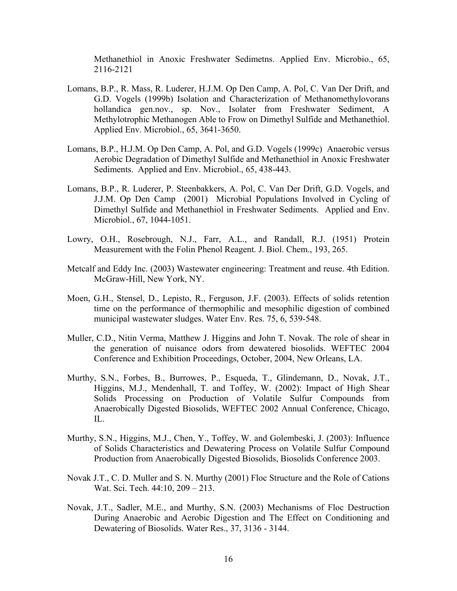Methanethiol in Anoxic Freshwater Sedimetns. Applied Env. Microbio., 65, 2116-2121

- Lomans, B.P., R. Mass, R. Luderer, H.J.M. Op Den Camp, A. Pol, C. Van Der Drift, and G.D. Vogels (1999b) Isolation and Characterization of Methanomethylovorans hollandica gen.nov., sp. Nov., Isolater from Freshwater Sediment, A Methylotrophic Methanogen Able to Frow on Dimethyl Sulfide and Methanethiol. Applied Env. Microbiol., 65, 3641-3650.
- Lomans, B.P., H.J.M. Op Den Camp, A. Pol, and G.D. Vogels (1999c) Anaerobic versus Aerobic Degradation of Dimethyl Sulfide and Methanethiol in Anoxic Freshwater Sediments. Applied and Env. Microbiol., 65, 438-443.
- Lomans, B.P., R. Luderer, P. Steenbakkers, A. Pol, C. Van Der Drift, G.D. Vogels, and J.J.M. Op Den Camp (2001) Microbial Populations Involved in Cycling of Dimethyl Sulfide and Methanethiol in Freshwater Sediments. Applied and Env. Microbiol., 67, 1044-1051.
- Lowry, O.H., Rosebrough, N.J., Farr, A.L., and Randall, R.J. (1951) Protein Measurement with the Folin Phenol Reagent. J. Biol. Chem., 193, 265.
- Metcalf and Eddy Inc. (2003) Wastewater engineering: Treatment and reuse. 4th Edition. McGraw-Hill, New York, NY.
- Moen, G.H., Stensel, D., Lepisto, R., Ferguson, J.F. (2003). Effects of solids retention time on the performance of thermophilic and mesophilic digestion of combined municipal wastewater sludges. Water Env. Res. 75, 6, 539-548.
- Muller, C.D., Nitin Verma, Matthew J. Higgins and John T. Novak. The role of shear in the generation of nuisance odors from dewatered biosolids. WEFTEC 2004 Conference and Exhibition Proceedings, October, 2004, New Orleans, LA.
- Murthy, S.N., Forbes, B., Burrowes, P., Esqueda, T., Glindemann, D., Novak, J.T., Higgins, M.J., Mendenhall, T. and Toffey, W. (2002): Impact of High Shear Solids Processing on Production of Volatile Sulfur Compounds from Anaerobically Digested Biosolids, WEFTEC 2002 Annual Conference, Chicago, IL.
- Murthy, S.N., Higgins, M.J., Chen, Y., Toffey, W. and Golembeski, J. (2003): Influence of Solids Characteristics and Dewatering Process on Volatile Sulfur Compound Production from Anaerobically Digested Biosolids, Biosolids Conference 2003.
- Novak J.T., C. D. Muller and S. N. Murthy (2001) Floc Structure and the Role of Cations Wat. Sci. Tech. 44:10, 209 – 213.
- Novak, J.T., Sadler, M.E., and Murthy, S.N. (2003) Mechanisms of Floc Destruction During Anaerobic and Aerobic Digestion and The Effect on Conditioning and Dewatering of Biosolids. Water Res., 37, 3136 - 3144.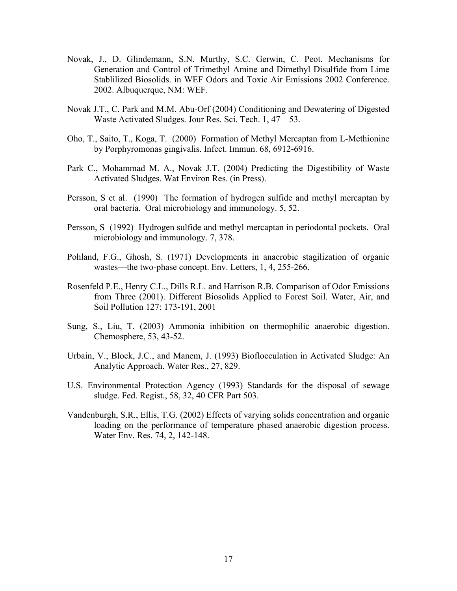- Novak, J., D. Glindemann, S.N. Murthy, S.C. Gerwin, C. Peot. Mechanisms for Generation and Control of Trimethyl Amine and Dimethyl Disulfide from Lime Stablilized Biosolids. in WEF Odors and Toxic Air Emissions 2002 Conference. 2002. Albuquerque, NM: WEF.
- Novak J.T., C. Park and M.M. Abu-Orf (2004) Conditioning and Dewatering of Digested Waste Activated Sludges. Jour Res. Sci. Tech. 1, 47 – 53.
- Oho, T., Saito, T., Koga, T. (2000) Formation of Methyl Mercaptan from L-Methionine by Porphyromonas gingivalis. Infect. Immun. 68, 6912-6916.
- Park C., Mohammad M. A., Novak J.T. (2004) Predicting the Digestibility of Waste Activated Sludges. Wat Environ Res. (in Press).
- Persson, S et al. (1990) The formation of hydrogen sulfide and methyl mercaptan by oral bacteria. Oral microbiology and immunology. 5, 52.
- Persson, S (1992) Hydrogen sulfide and methyl mercaptan in periodontal pockets. Oral microbiology and immunology. 7, 378.
- Pohland, F.G., Ghosh, S. (1971) Developments in anaerobic stagilization of organic wastes—the two-phase concept. Env. Letters, 1, 4, 255-266.
- Rosenfeld P.E., Henry C.L., Dills R.L. and Harrison R.B. Comparison of Odor Emissions from Three (2001). Different Biosolids Applied to Forest Soil. Water, Air, and Soil Pollution 127: 173-191, 2001
- Sung, S., Liu, T. (2003) Ammonia inhibition on thermophilic anaerobic digestion. Chemosphere, 53, 43-52.
- Urbain, V., Block, J.C., and Manem, J. (1993) Bioflocculation in Activated Sludge: An Analytic Approach. Water Res., 27, 829.
- U.S. Environmental Protection Agency (1993) Standards for the disposal of sewage sludge. Fed. Regist., 58, 32, 40 CFR Part 503.
- Vandenburgh, S.R., Ellis, T.G. (2002) Effects of varying solids concentration and organic loading on the performance of temperature phased anaerobic digestion process. Water Env. Res. 74, 2, 142-148.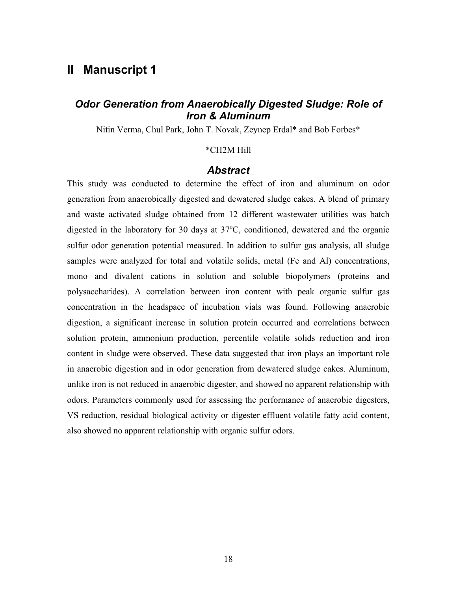## **II Manuscript 1**

## *Odor Generation from Anaerobically Digested Sludge: Role of Iron & Aluminum*

Nitin Verma, Chul Park, John T. Novak, Zeynep Erdal\* and Bob Forbes\*

#### \*CH2M Hill

#### *Abstract*

This study was conducted to determine the effect of iron and aluminum on odor generation from anaerobically digested and dewatered sludge cakes. A blend of primary and waste activated sludge obtained from 12 different wastewater utilities was batch digested in the laboratory for 30 days at  $37^{\circ}$ C, conditioned, dewatered and the organic sulfur odor generation potential measured. In addition to sulfur gas analysis, all sludge samples were analyzed for total and volatile solids, metal (Fe and Al) concentrations, mono and divalent cations in solution and soluble biopolymers (proteins and polysaccharides). A correlation between iron content with peak organic sulfur gas concentration in the headspace of incubation vials was found. Following anaerobic digestion, a significant increase in solution protein occurred and correlations between solution protein, ammonium production, percentile volatile solids reduction and iron content in sludge were observed. These data suggested that iron plays an important role in anaerobic digestion and in odor generation from dewatered sludge cakes. Aluminum, unlike iron is not reduced in anaerobic digester, and showed no apparent relationship with odors. Parameters commonly used for assessing the performance of anaerobic digesters, VS reduction, residual biological activity or digester effluent volatile fatty acid content, also showed no apparent relationship with organic sulfur odors.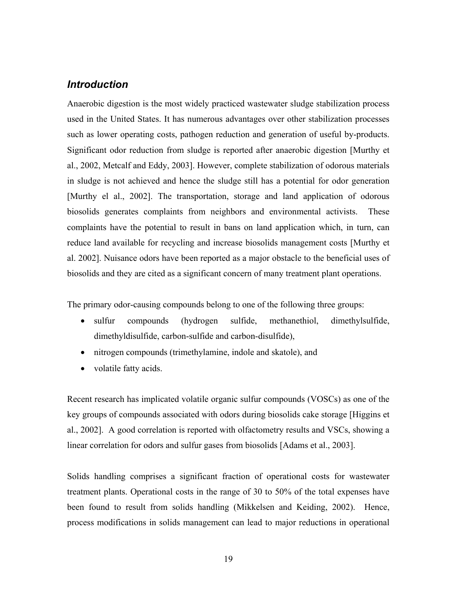### *Introduction*

Anaerobic digestion is the most widely practiced wastewater sludge stabilization process used in the United States. It has numerous advantages over other stabilization processes such as lower operating costs, pathogen reduction and generation of useful by-products. Significant odor reduction from sludge is reported after anaerobic digestion [Murthy et al., 2002, Metcalf and Eddy, 2003]. However, complete stabilization of odorous materials in sludge is not achieved and hence the sludge still has a potential for odor generation [Murthy el al., 2002]. The transportation, storage and land application of odorous biosolids generates complaints from neighbors and environmental activists. These complaints have the potential to result in bans on land application which, in turn, can reduce land available for recycling and increase biosolids management costs [Murthy et al. 2002]. Nuisance odors have been reported as a major obstacle to the beneficial uses of biosolids and they are cited as a significant concern of many treatment plant operations.

The primary odor-causing compounds belong to one of the following three groups:

- sulfur compounds (hydrogen sulfide, methanethiol, dimethylsulfide, dimethyldisulfide, carbon-sulfide and carbon-disulfide),
- nitrogen compounds (trimethylamine, indole and skatole), and
- volatile fatty acids.

Recent research has implicated volatile organic sulfur compounds (VOSCs) as one of the key groups of compounds associated with odors during biosolids cake storage [Higgins et al., 2002]. A good correlation is reported with olfactometry results and VSCs, showing a linear correlation for odors and sulfur gases from biosolids [Adams et al., 2003].

Solids handling comprises a significant fraction of operational costs for wastewater treatment plants. Operational costs in the range of 30 to 50% of the total expenses have been found to result from solids handling (Mikkelsen and Keiding, 2002). Hence, process modifications in solids management can lead to major reductions in operational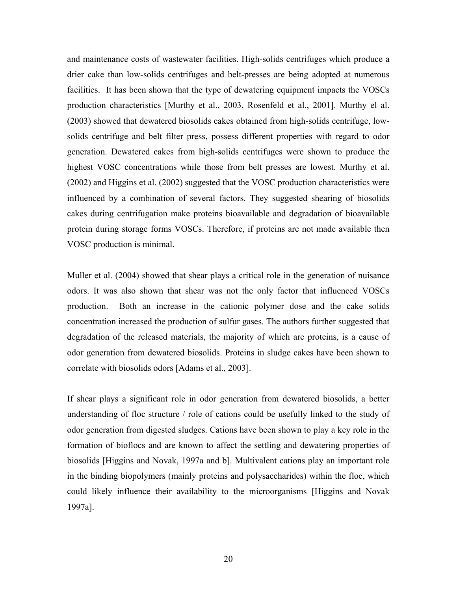and maintenance costs of wastewater facilities. High-solids centrifuges which produce a drier cake than low-solids centrifuges and belt-presses are being adopted at numerous facilities. It has been shown that the type of dewatering equipment impacts the VOSCs production characteristics [Murthy et al., 2003, Rosenfeld et al., 2001]. Murthy el al. (2003) showed that dewatered biosolids cakes obtained from high-solids centrifuge, lowsolids centrifuge and belt filter press, possess different properties with regard to odor generation. Dewatered cakes from high-solids centrifuges were shown to produce the highest VOSC concentrations while those from belt presses are lowest. Murthy et al. (2002) and Higgins et al. (2002) suggested that the VOSC production characteristics were influenced by a combination of several factors. They suggested shearing of biosolids cakes during centrifugation make proteins bioavailable and degradation of bioavailable protein during storage forms VOSCs. Therefore, if proteins are not made available then VOSC production is minimal.

Muller et al. (2004) showed that shear plays a critical role in the generation of nuisance odors. It was also shown that shear was not the only factor that influenced VOSCs production. Both an increase in the cationic polymer dose and the cake solids concentration increased the production of sulfur gases. The authors further suggested that degradation of the released materials, the majority of which are proteins, is a cause of odor generation from dewatered biosolids. Proteins in sludge cakes have been shown to correlate with biosolids odors [Adams et al., 2003].

If shear plays a significant role in odor generation from dewatered biosolids, a better understanding of floc structure / role of cations could be usefully linked to the study of odor generation from digested sludges. Cations have been shown to play a key role in the formation of bioflocs and are known to affect the settling and dewatering properties of biosolids [Higgins and Novak, 1997a and b]. Multivalent cations play an important role in the binding biopolymers (mainly proteins and polysaccharides) within the floc, which could likely influence their availability to the microorganisms [Higgins and Novak 1997a].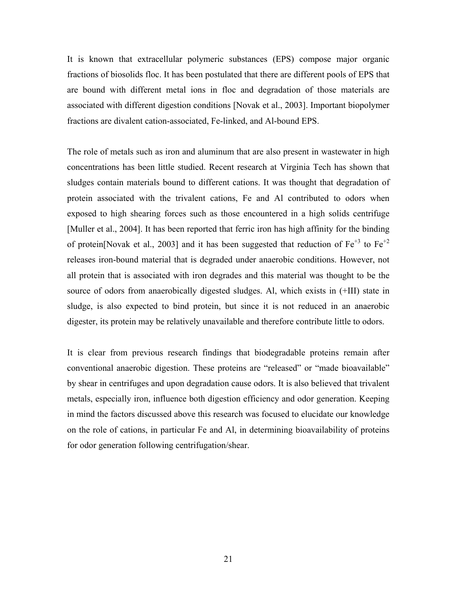It is known that extracellular polymeric substances (EPS) compose major organic fractions of biosolids floc. It has been postulated that there are different pools of EPS that are bound with different metal ions in floc and degradation of those materials are associated with different digestion conditions [Novak et al., 2003]. Important biopolymer fractions are divalent cation-associated, Fe-linked, and Al-bound EPS.

The role of metals such as iron and aluminum that are also present in wastewater in high concentrations has been little studied. Recent research at Virginia Tech has shown that sludges contain materials bound to different cations. It was thought that degradation of protein associated with the trivalent cations, Fe and Al contributed to odors when exposed to high shearing forces such as those encountered in a high solids centrifuge [Muller et al., 2004]. It has been reported that ferric iron has high affinity for the binding of protein[Novak et al., 2003] and it has been suggested that reduction of  $Fe^{+3}$  to  $Fe^{+2}$ releases iron-bound material that is degraded under anaerobic conditions. However, not all protein that is associated with iron degrades and this material was thought to be the source of odors from anaerobically digested sludges. Al, which exists in (+III) state in sludge, is also expected to bind protein, but since it is not reduced in an anaerobic digester, its protein may be relatively unavailable and therefore contribute little to odors.

It is clear from previous research findings that biodegradable proteins remain after conventional anaerobic digestion. These proteins are "released" or "made bioavailable" by shear in centrifuges and upon degradation cause odors. It is also believed that trivalent metals, especially iron, influence both digestion efficiency and odor generation. Keeping in mind the factors discussed above this research was focused to elucidate our knowledge on the role of cations, in particular Fe and Al, in determining bioavailability of proteins for odor generation following centrifugation/shear.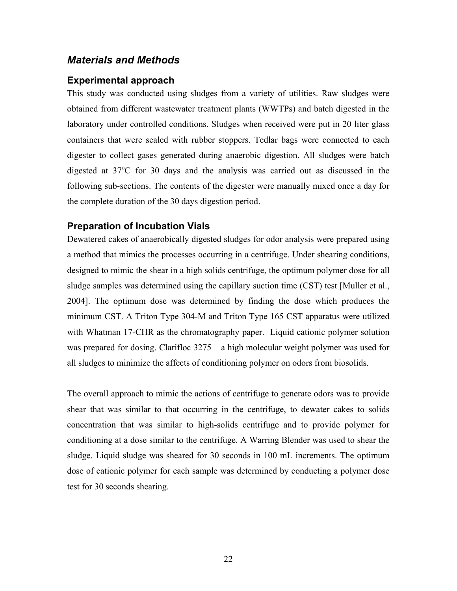#### *Materials and Methods*

#### **Experimental approach**

This study was conducted using sludges from a variety of utilities. Raw sludges were obtained from different wastewater treatment plants (WWTPs) and batch digested in the laboratory under controlled conditions. Sludges when received were put in 20 liter glass containers that were sealed with rubber stoppers. Tedlar bags were connected to each digester to collect gases generated during anaerobic digestion. All sludges were batch digested at 37°C for 30 days and the analysis was carried out as discussed in the following sub-sections. The contents of the digester were manually mixed once a day for the complete duration of the 30 days digestion period.

#### **Preparation of Incubation Vials**

Dewatered cakes of anaerobically digested sludges for odor analysis were prepared using a method that mimics the processes occurring in a centrifuge. Under shearing conditions, designed to mimic the shear in a high solids centrifuge, the optimum polymer dose for all sludge samples was determined using the capillary suction time (CST) test [Muller et al., 2004]. The optimum dose was determined by finding the dose which produces the minimum CST. A Triton Type 304-M and Triton Type 165 CST apparatus were utilized with Whatman 17-CHR as the chromatography paper. Liquid cationic polymer solution was prepared for dosing. Clarifloc 3275 – a high molecular weight polymer was used for all sludges to minimize the affects of conditioning polymer on odors from biosolids.

The overall approach to mimic the actions of centrifuge to generate odors was to provide shear that was similar to that occurring in the centrifuge, to dewater cakes to solids concentration that was similar to high-solids centrifuge and to provide polymer for conditioning at a dose similar to the centrifuge. A Warring Blender was used to shear the sludge. Liquid sludge was sheared for 30 seconds in 100 mL increments. The optimum dose of cationic polymer for each sample was determined by conducting a polymer dose test for 30 seconds shearing.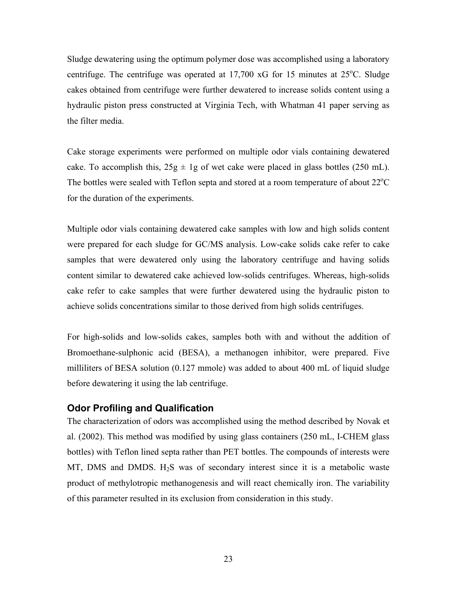Sludge dewatering using the optimum polymer dose was accomplished using a laboratory centrifuge. The centrifuge was operated at  $17,700$  xG for 15 minutes at  $25^{\circ}$ C. Sludge cakes obtained from centrifuge were further dewatered to increase solids content using a hydraulic piston press constructed at Virginia Tech, with Whatman 41 paper serving as the filter media.

Cake storage experiments were performed on multiple odor vials containing dewatered cake. To accomplish this,  $25g \pm 1g$  of wet cake were placed in glass bottles (250 mL). The bottles were sealed with Teflon septa and stored at a room temperature of about  $22^{\circ}$ C for the duration of the experiments.

Multiple odor vials containing dewatered cake samples with low and high solids content were prepared for each sludge for GC/MS analysis. Low-cake solids cake refer to cake samples that were dewatered only using the laboratory centrifuge and having solids content similar to dewatered cake achieved low-solids centrifuges. Whereas, high-solids cake refer to cake samples that were further dewatered using the hydraulic piston to achieve solids concentrations similar to those derived from high solids centrifuges.

For high-solids and low-solids cakes, samples both with and without the addition of Bromoethane-sulphonic acid (BESA), a methanogen inhibitor, were prepared. Five milliliters of BESA solution (0.127 mmole) was added to about 400 mL of liquid sludge before dewatering it using the lab centrifuge.

#### **Odor Profiling and Qualification**

The characterization of odors was accomplished using the method described by Novak et al. (2002). This method was modified by using glass containers (250 mL, I-CHEM glass bottles) with Teflon lined septa rather than PET bottles. The compounds of interests were MT, DMS and DMDS.  $H_2S$  was of secondary interest since it is a metabolic waste product of methylotropic methanogenesis and will react chemically iron. The variability of this parameter resulted in its exclusion from consideration in this study.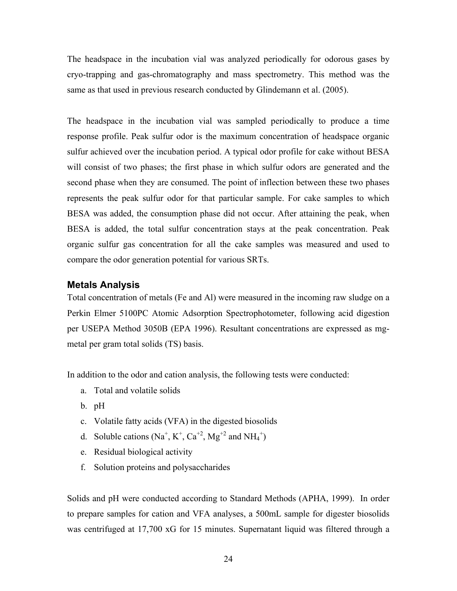The headspace in the incubation vial was analyzed periodically for odorous gases by cryo-trapping and gas-chromatography and mass spectrometry. This method was the same as that used in previous research conducted by Glindemann et al. (2005).

The headspace in the incubation vial was sampled periodically to produce a time response profile. Peak sulfur odor is the maximum concentration of headspace organic sulfur achieved over the incubation period. A typical odor profile for cake without BESA will consist of two phases; the first phase in which sulfur odors are generated and the second phase when they are consumed. The point of inflection between these two phases represents the peak sulfur odor for that particular sample. For cake samples to which BESA was added, the consumption phase did not occur. After attaining the peak, when BESA is added, the total sulfur concentration stays at the peak concentration. Peak organic sulfur gas concentration for all the cake samples was measured and used to compare the odor generation potential for various SRTs.

#### **Metals Analysis**

Total concentration of metals (Fe and Al) were measured in the incoming raw sludge on a Perkin Elmer 5100PC Atomic Adsorption Spectrophotometer, following acid digestion per USEPA Method 3050B (EPA 1996). Resultant concentrations are expressed as mgmetal per gram total solids (TS) basis.

In addition to the odor and cation analysis, the following tests were conducted:

- a. Total and volatile solids
- b. pH
- c. Volatile fatty acids (VFA) in the digested biosolids
- d. Soluble cations  $(Na^+, K^+, Ca^{+2}, Mg^{+2}$  and  $NH_4^+)$
- e. Residual biological activity
- f. Solution proteins and polysaccharides

Solids and pH were conducted according to Standard Methods (APHA, 1999). In order to prepare samples for cation and VFA analyses, a 500mL sample for digester biosolids was centrifuged at 17,700 xG for 15 minutes. Supernatant liquid was filtered through a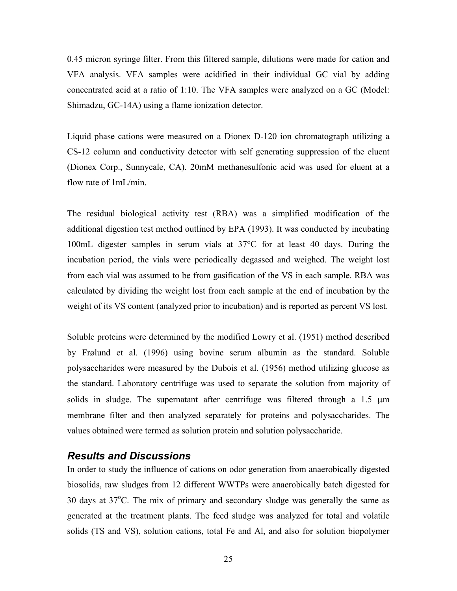0.45 micron syringe filter. From this filtered sample, dilutions were made for cation and VFA analysis. VFA samples were acidified in their individual GC vial by adding concentrated acid at a ratio of 1:10. The VFA samples were analyzed on a GC (Model: Shimadzu, GC-14A) using a flame ionization detector.

Liquid phase cations were measured on a Dionex D-120 ion chromatograph utilizing a CS-12 column and conductivity detector with self generating suppression of the eluent (Dionex Corp., Sunnycale, CA). 20mM methanesulfonic acid was used for eluent at a flow rate of 1mL/min.

The residual biological activity test (RBA) was a simplified modification of the additional digestion test method outlined by EPA (1993). It was conducted by incubating 100mL digester samples in serum vials at 37°C for at least 40 days. During the incubation period, the vials were periodically degassed and weighed. The weight lost from each vial was assumed to be from gasification of the VS in each sample. RBA was calculated by dividing the weight lost from each sample at the end of incubation by the weight of its VS content (analyzed prior to incubation) and is reported as percent VS lost.

Soluble proteins were determined by the modified Lowry et al. (1951) method described by Frølund et al. (1996) using bovine serum albumin as the standard. Soluble polysaccharides were measured by the Dubois et al. (1956) method utilizing glucose as the standard. Laboratory centrifuge was used to separate the solution from majority of solids in sludge. The supernatant after centrifuge was filtered through a 1.5  $\mu$ m membrane filter and then analyzed separately for proteins and polysaccharides. The values obtained were termed as solution protein and solution polysaccharide.

#### *Results and Discussions*

In order to study the influence of cations on odor generation from anaerobically digested biosolids, raw sludges from 12 different WWTPs were anaerobically batch digested for 30 days at 37°C. The mix of primary and secondary sludge was generally the same as generated at the treatment plants. The feed sludge was analyzed for total and volatile solids (TS and VS), solution cations, total Fe and Al, and also for solution biopolymer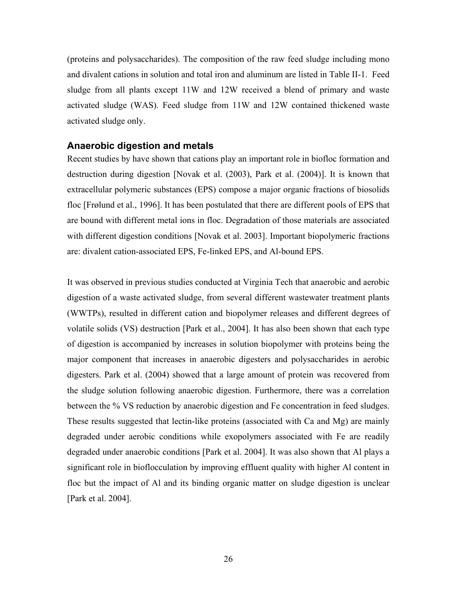(proteins and polysaccharides). The composition of the raw feed sludge including mono and divalent cations in solution and total iron and aluminum are listed in Table II-1. Feed sludge from all plants except 11W and 12W received a blend of primary and waste activated sludge (WAS). Feed sludge from 11W and 12W contained thickened waste activated sludge only.

#### **Anaerobic digestion and metals**

Recent studies by have shown that cations play an important role in biofloc formation and destruction during digestion [Novak et al. (2003), Park et al. (2004)]. It is known that extracellular polymeric substances (EPS) compose a major organic fractions of biosolids floc [Frølund et al., 1996]. It has been postulated that there are different pools of EPS that are bound with different metal ions in floc. Degradation of those materials are associated with different digestion conditions [Novak et al. 2003]. Important biopolymeric fractions are: divalent cation-associated EPS, Fe-linked EPS, and Al-bound EPS.

It was observed in previous studies conducted at Virginia Tech that anaerobic and aerobic digestion of a waste activated sludge, from several different wastewater treatment plants (WWTPs), resulted in different cation and biopolymer releases and different degrees of volatile solids (VS) destruction [Park et al., 2004]. It has also been shown that each type of digestion is accompanied by increases in solution biopolymer with proteins being the major component that increases in anaerobic digesters and polysaccharides in aerobic digesters. Park et al. (2004) showed that a large amount of protein was recovered from the sludge solution following anaerobic digestion. Furthermore, there was a correlation between the % VS reduction by anaerobic digestion and Fe concentration in feed sludges. These results suggested that lectin-like proteins (associated with Ca and Mg) are mainly degraded under aerobic conditions while exopolymers associated with Fe are readily degraded under anaerobic conditions [Park et al. 2004]. It was also shown that Al plays a significant role in bioflocculation by improving effluent quality with higher Al content in floc but the impact of Al and its binding organic matter on sludge digestion is unclear [Park et al. 2004].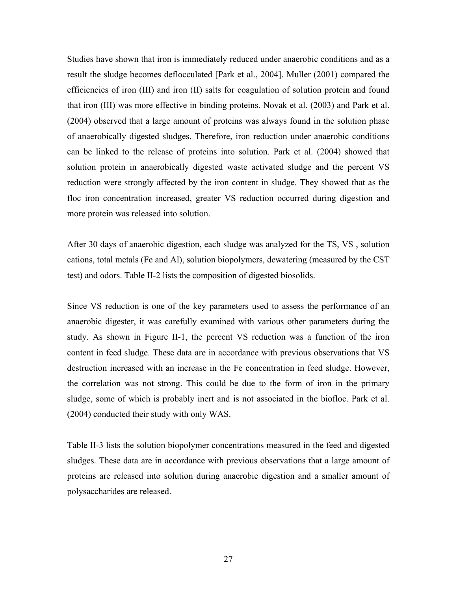Studies have shown that iron is immediately reduced under anaerobic conditions and as a result the sludge becomes deflocculated [Park et al., 2004]. Muller (2001) compared the efficiencies of iron (III) and iron (II) salts for coagulation of solution protein and found that iron (III) was more effective in binding proteins. Novak et al. (2003) and Park et al. (2004) observed that a large amount of proteins was always found in the solution phase of anaerobically digested sludges. Therefore, iron reduction under anaerobic conditions can be linked to the release of proteins into solution. Park et al. (2004) showed that solution protein in anaerobically digested waste activated sludge and the percent VS reduction were strongly affected by the iron content in sludge. They showed that as the floc iron concentration increased, greater VS reduction occurred during digestion and more protein was released into solution.

After 30 days of anaerobic digestion, each sludge was analyzed for the TS, VS , solution cations, total metals (Fe and Al), solution biopolymers, dewatering (measured by the CST test) and odors. Table II-2 lists the composition of digested biosolids.

Since VS reduction is one of the key parameters used to assess the performance of an anaerobic digester, it was carefully examined with various other parameters during the study. As shown in Figure II-1, the percent VS reduction was a function of the iron content in feed sludge. These data are in accordance with previous observations that VS destruction increased with an increase in the Fe concentration in feed sludge. However, the correlation was not strong. This could be due to the form of iron in the primary sludge, some of which is probably inert and is not associated in the biofloc. Park et al. (2004) conducted their study with only WAS.

Table II-3 lists the solution biopolymer concentrations measured in the feed and digested sludges. These data are in accordance with previous observations that a large amount of proteins are released into solution during anaerobic digestion and a smaller amount of polysaccharides are released.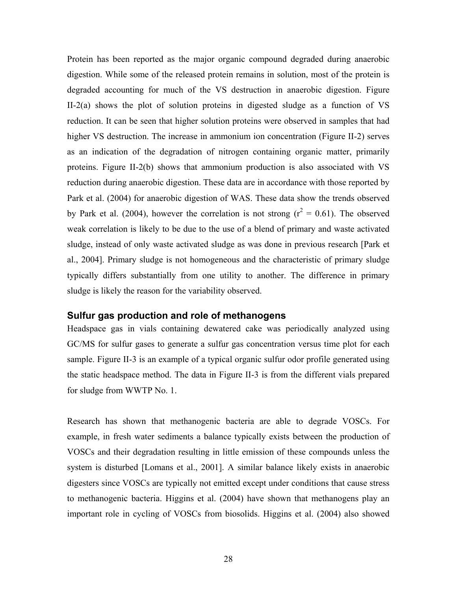Protein has been reported as the major organic compound degraded during anaerobic digestion. While some of the released protein remains in solution, most of the protein is degraded accounting for much of the VS destruction in anaerobic digestion. Figure II-2(a) shows the plot of solution proteins in digested sludge as a function of VS reduction. It can be seen that higher solution proteins were observed in samples that had higher VS destruction. The increase in ammonium ion concentration (Figure II-2) serves as an indication of the degradation of nitrogen containing organic matter, primarily proteins. Figure II-2(b) shows that ammonium production is also associated with VS reduction during anaerobic digestion. These data are in accordance with those reported by Park et al. (2004) for anaerobic digestion of WAS. These data show the trends observed by Park et al. (2004), however the correlation is not strong ( $r^2 = 0.61$ ). The observed weak correlation is likely to be due to the use of a blend of primary and waste activated sludge, instead of only waste activated sludge as was done in previous research [Park et al., 2004]. Primary sludge is not homogeneous and the characteristic of primary sludge typically differs substantially from one utility to another. The difference in primary sludge is likely the reason for the variability observed.

#### **Sulfur gas production and role of methanogens**

Headspace gas in vials containing dewatered cake was periodically analyzed using GC/MS for sulfur gases to generate a sulfur gas concentration versus time plot for each sample. Figure II-3 is an example of a typical organic sulfur odor profile generated using the static headspace method. The data in Figure II-3 is from the different vials prepared for sludge from WWTP No. 1.

Research has shown that methanogenic bacteria are able to degrade VOSCs. For example, in fresh water sediments a balance typically exists between the production of VOSCs and their degradation resulting in little emission of these compounds unless the system is disturbed [Lomans et al., 2001]. A similar balance likely exists in anaerobic digesters since VOSCs are typically not emitted except under conditions that cause stress to methanogenic bacteria. Higgins et al. (2004) have shown that methanogens play an important role in cycling of VOSCs from biosolids. Higgins et al. (2004) also showed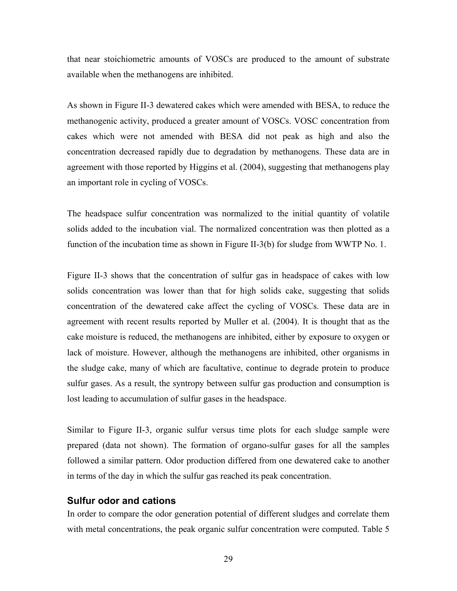that near stoichiometric amounts of VOSCs are produced to the amount of substrate available when the methanogens are inhibited.

As shown in Figure II-3 dewatered cakes which were amended with BESA, to reduce the methanogenic activity, produced a greater amount of VOSCs. VOSC concentration from cakes which were not amended with BESA did not peak as high and also the concentration decreased rapidly due to degradation by methanogens. These data are in agreement with those reported by Higgins et al. (2004), suggesting that methanogens play an important role in cycling of VOSCs.

The headspace sulfur concentration was normalized to the initial quantity of volatile solids added to the incubation vial. The normalized concentration was then plotted as a function of the incubation time as shown in Figure II-3(b) for sludge from WWTP No. 1.

Figure II-3 shows that the concentration of sulfur gas in headspace of cakes with low solids concentration was lower than that for high solids cake, suggesting that solids concentration of the dewatered cake affect the cycling of VOSCs. These data are in agreement with recent results reported by Muller et al. (2004). It is thought that as the cake moisture is reduced, the methanogens are inhibited, either by exposure to oxygen or lack of moisture. However, although the methanogens are inhibited, other organisms in the sludge cake, many of which are facultative, continue to degrade protein to produce sulfur gases. As a result, the syntropy between sulfur gas production and consumption is lost leading to accumulation of sulfur gases in the headspace.

Similar to Figure II-3, organic sulfur versus time plots for each sludge sample were prepared (data not shown). The formation of organo-sulfur gases for all the samples followed a similar pattern. Odor production differed from one dewatered cake to another in terms of the day in which the sulfur gas reached its peak concentration.

#### **Sulfur odor and cations**

In order to compare the odor generation potential of different sludges and correlate them with metal concentrations, the peak organic sulfur concentration were computed. Table 5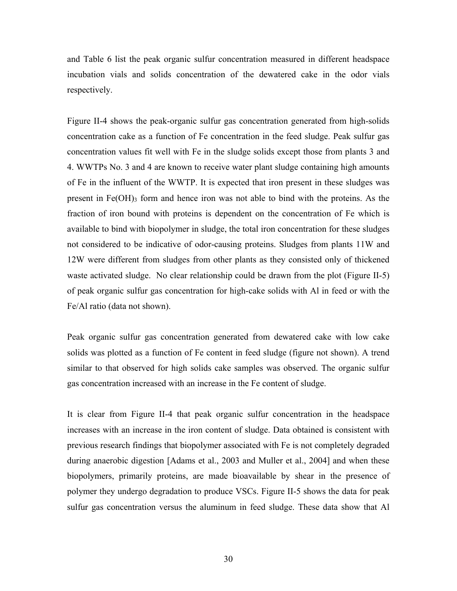and Table 6 list the peak organic sulfur concentration measured in different headspace incubation vials and solids concentration of the dewatered cake in the odor vials respectively.

Figure II-4 shows the peak-organic sulfur gas concentration generated from high-solids concentration cake as a function of Fe concentration in the feed sludge. Peak sulfur gas concentration values fit well with Fe in the sludge solids except those from plants 3 and 4. WWTPs No. 3 and 4 are known to receive water plant sludge containing high amounts of Fe in the influent of the WWTP. It is expected that iron present in these sludges was present in  $Fe(OH)$ <sub>3</sub> form and hence iron was not able to bind with the proteins. As the fraction of iron bound with proteins is dependent on the concentration of Fe which is available to bind with biopolymer in sludge, the total iron concentration for these sludges not considered to be indicative of odor-causing proteins. Sludges from plants 11W and 12W were different from sludges from other plants as they consisted only of thickened waste activated sludge. No clear relationship could be drawn from the plot (Figure II-5) of peak organic sulfur gas concentration for high-cake solids with Al in feed or with the Fe/Al ratio (data not shown).

Peak organic sulfur gas concentration generated from dewatered cake with low cake solids was plotted as a function of Fe content in feed sludge (figure not shown). A trend similar to that observed for high solids cake samples was observed. The organic sulfur gas concentration increased with an increase in the Fe content of sludge.

It is clear from Figure II-4 that peak organic sulfur concentration in the headspace increases with an increase in the iron content of sludge. Data obtained is consistent with previous research findings that biopolymer associated with Fe is not completely degraded during anaerobic digestion [Adams et al., 2003 and Muller et al., 2004] and when these biopolymers, primarily proteins, are made bioavailable by shear in the presence of polymer they undergo degradation to produce VSCs. Figure II-5 shows the data for peak sulfur gas concentration versus the aluminum in feed sludge. These data show that Al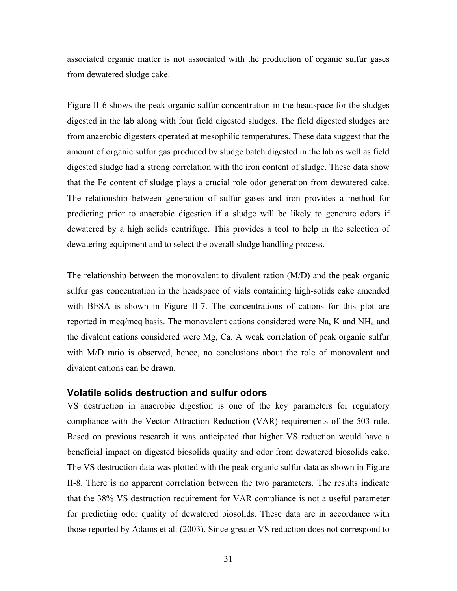associated organic matter is not associated with the production of organic sulfur gases from dewatered sludge cake.

Figure II-6 shows the peak organic sulfur concentration in the headspace for the sludges digested in the lab along with four field digested sludges. The field digested sludges are from anaerobic digesters operated at mesophilic temperatures. These data suggest that the amount of organic sulfur gas produced by sludge batch digested in the lab as well as field digested sludge had a strong correlation with the iron content of sludge. These data show that the Fe content of sludge plays a crucial role odor generation from dewatered cake. The relationship between generation of sulfur gases and iron provides a method for predicting prior to anaerobic digestion if a sludge will be likely to generate odors if dewatered by a high solids centrifuge. This provides a tool to help in the selection of dewatering equipment and to select the overall sludge handling process.

The relationship between the monovalent to divalent ration (M/D) and the peak organic sulfur gas concentration in the headspace of vials containing high-solids cake amended with BESA is shown in Figure II-7. The concentrations of cations for this plot are reported in meq/meq basis. The monovalent cations considered were Na, K and  $NH_4$  and the divalent cations considered were Mg, Ca. A weak correlation of peak organic sulfur with M/D ratio is observed, hence, no conclusions about the role of monovalent and divalent cations can be drawn.

#### **Volatile solids destruction and sulfur odors**

VS destruction in anaerobic digestion is one of the key parameters for regulatory compliance with the Vector Attraction Reduction (VAR) requirements of the 503 rule. Based on previous research it was anticipated that higher VS reduction would have a beneficial impact on digested biosolids quality and odor from dewatered biosolids cake. The VS destruction data was plotted with the peak organic sulfur data as shown in Figure II-8. There is no apparent correlation between the two parameters. The results indicate that the 38% VS destruction requirement for VAR compliance is not a useful parameter for predicting odor quality of dewatered biosolids. These data are in accordance with those reported by Adams et al. (2003). Since greater VS reduction does not correspond to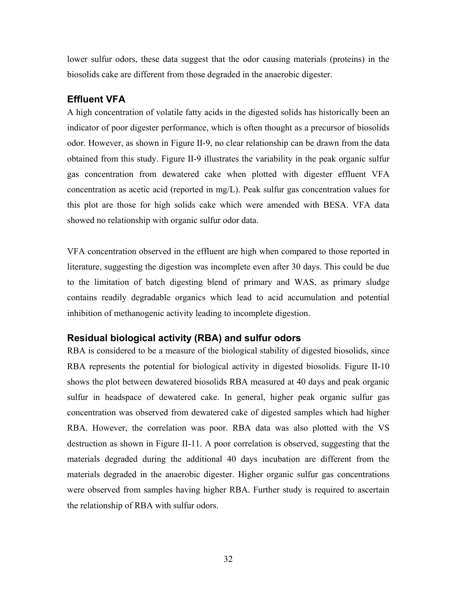lower sulfur odors, these data suggest that the odor causing materials (proteins) in the biosolids cake are different from those degraded in the anaerobic digester.

## **Effluent VFA**

A high concentration of volatile fatty acids in the digested solids has historically been an indicator of poor digester performance, which is often thought as a precursor of biosolids odor. However, as shown in Figure II-9, no clear relationship can be drawn from the data obtained from this study. Figure II-9 illustrates the variability in the peak organic sulfur gas concentration from dewatered cake when plotted with digester effluent VFA concentration as acetic acid (reported in mg/L). Peak sulfur gas concentration values for this plot are those for high solids cake which were amended with BESA. VFA data showed no relationship with organic sulfur odor data.

VFA concentration observed in the effluent are high when compared to those reported in literature, suggesting the digestion was incomplete even after 30 days. This could be due to the limitation of batch digesting blend of primary and WAS, as primary sludge contains readily degradable organics which lead to acid accumulation and potential inhibition of methanogenic activity leading to incomplete digestion.

## **Residual biological activity (RBA) and sulfur odors**

RBA is considered to be a measure of the biological stability of digested biosolids, since RBA represents the potential for biological activity in digested biosolids. Figure II-10 shows the plot between dewatered biosolids RBA measured at 40 days and peak organic sulfur in headspace of dewatered cake. In general, higher peak organic sulfur gas concentration was observed from dewatered cake of digested samples which had higher RBA. However, the correlation was poor. RBA data was also plotted with the VS destruction as shown in Figure II-11. A poor correlation is observed, suggesting that the materials degraded during the additional 40 days incubation are different from the materials degraded in the anaerobic digester. Higher organic sulfur gas concentrations were observed from samples having higher RBA. Further study is required to ascertain the relationship of RBA with sulfur odors.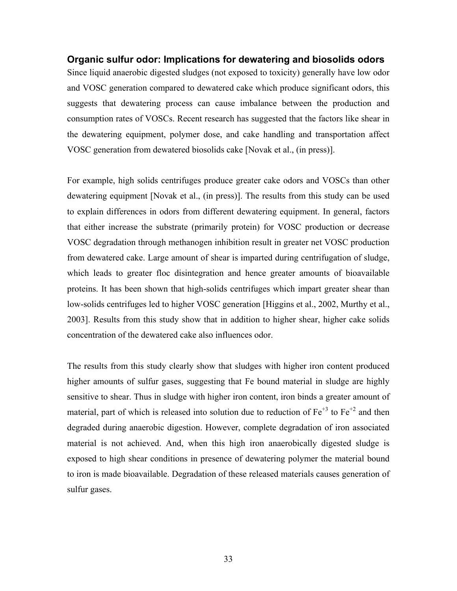#### **Organic sulfur odor: Implications for dewatering and biosolids odors**

Since liquid anaerobic digested sludges (not exposed to toxicity) generally have low odor and VOSC generation compared to dewatered cake which produce significant odors, this suggests that dewatering process can cause imbalance between the production and consumption rates of VOSCs. Recent research has suggested that the factors like shear in the dewatering equipment, polymer dose, and cake handling and transportation affect VOSC generation from dewatered biosolids cake [Novak et al., (in press)].

For example, high solids centrifuges produce greater cake odors and VOSCs than other dewatering equipment [Novak et al., (in press)]. The results from this study can be used to explain differences in odors from different dewatering equipment. In general, factors that either increase the substrate (primarily protein) for VOSC production or decrease VOSC degradation through methanogen inhibition result in greater net VOSC production from dewatered cake. Large amount of shear is imparted during centrifugation of sludge, which leads to greater floc disintegration and hence greater amounts of bioavailable proteins. It has been shown that high-solids centrifuges which impart greater shear than low-solids centrifuges led to higher VOSC generation [Higgins et al., 2002, Murthy et al., 2003]. Results from this study show that in addition to higher shear, higher cake solids concentration of the dewatered cake also influences odor.

The results from this study clearly show that sludges with higher iron content produced higher amounts of sulfur gases, suggesting that Fe bound material in sludge are highly sensitive to shear. Thus in sludge with higher iron content, iron binds a greater amount of material, part of which is released into solution due to reduction of  $Fe^{+3}$  to  $Fe^{+2}$  and then degraded during anaerobic digestion. However, complete degradation of iron associated material is not achieved. And, when this high iron anaerobically digested sludge is exposed to high shear conditions in presence of dewatering polymer the material bound to iron is made bioavailable. Degradation of these released materials causes generation of sulfur gases.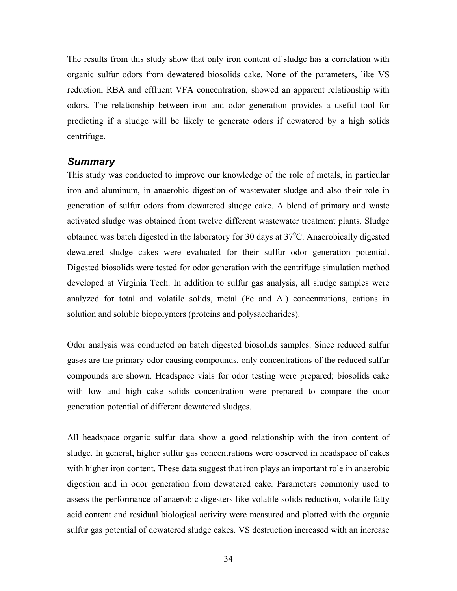The results from this study show that only iron content of sludge has a correlation with organic sulfur odors from dewatered biosolids cake. None of the parameters, like VS reduction, RBA and effluent VFA concentration, showed an apparent relationship with odors. The relationship between iron and odor generation provides a useful tool for predicting if a sludge will be likely to generate odors if dewatered by a high solids centrifuge.

#### *Summary*

This study was conducted to improve our knowledge of the role of metals, in particular iron and aluminum, in anaerobic digestion of wastewater sludge and also their role in generation of sulfur odors from dewatered sludge cake. A blend of primary and waste activated sludge was obtained from twelve different wastewater treatment plants. Sludge obtained was batch digested in the laboratory for 30 days at 37°C. Anaerobically digested dewatered sludge cakes were evaluated for their sulfur odor generation potential. Digested biosolids were tested for odor generation with the centrifuge simulation method developed at Virginia Tech. In addition to sulfur gas analysis, all sludge samples were analyzed for total and volatile solids, metal (Fe and Al) concentrations, cations in solution and soluble biopolymers (proteins and polysaccharides).

Odor analysis was conducted on batch digested biosolids samples. Since reduced sulfur gases are the primary odor causing compounds, only concentrations of the reduced sulfur compounds are shown. Headspace vials for odor testing were prepared; biosolids cake with low and high cake solids concentration were prepared to compare the odor generation potential of different dewatered sludges.

All headspace organic sulfur data show a good relationship with the iron content of sludge. In general, higher sulfur gas concentrations were observed in headspace of cakes with higher iron content. These data suggest that iron plays an important role in anaerobic digestion and in odor generation from dewatered cake. Parameters commonly used to assess the performance of anaerobic digesters like volatile solids reduction, volatile fatty acid content and residual biological activity were measured and plotted with the organic sulfur gas potential of dewatered sludge cakes. VS destruction increased with an increase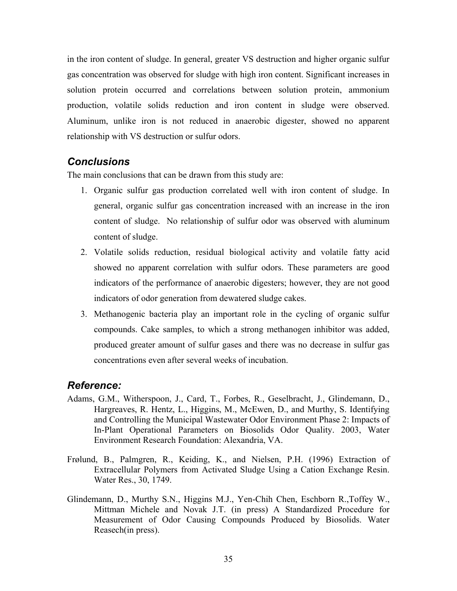in the iron content of sludge. In general, greater VS destruction and higher organic sulfur gas concentration was observed for sludge with high iron content. Significant increases in solution protein occurred and correlations between solution protein, ammonium production, volatile solids reduction and iron content in sludge were observed. Aluminum, unlike iron is not reduced in anaerobic digester, showed no apparent relationship with VS destruction or sulfur odors.

## *Conclusions*

The main conclusions that can be drawn from this study are:

- 1. Organic sulfur gas production correlated well with iron content of sludge. In general, organic sulfur gas concentration increased with an increase in the iron content of sludge. No relationship of sulfur odor was observed with aluminum content of sludge.
- 2. Volatile solids reduction, residual biological activity and volatile fatty acid showed no apparent correlation with sulfur odors. These parameters are good indicators of the performance of anaerobic digesters; however, they are not good indicators of odor generation from dewatered sludge cakes.
- 3. Methanogenic bacteria play an important role in the cycling of organic sulfur compounds. Cake samples, to which a strong methanogen inhibitor was added, produced greater amount of sulfur gases and there was no decrease in sulfur gas concentrations even after several weeks of incubation.

## *Reference:*

- Adams, G.M., Witherspoon, J., Card, T., Forbes, R., Geselbracht, J., Glindemann, D., Hargreaves, R. Hentz, L., Higgins, M., McEwen, D., and Murthy, S. Identifying and Controlling the Municipal Wastewater Odor Environment Phase 2: Impacts of In-Plant Operational Parameters on Biosolids Odor Quality. 2003, Water Environment Research Foundation: Alexandria, VA.
- Frølund, B., Palmgren, R., Keiding, K., and Nielsen, P.H. (1996) Extraction of Extracellular Polymers from Activated Sludge Using a Cation Exchange Resin. Water Res., 30, 1749.
- Glindemann, D., Murthy S.N., Higgins M.J., Yen-Chih Chen, Eschborn R.,Toffey W., Mittman Michele and Novak J.T. (in press) A Standardized Procedure for Measurement of Odor Causing Compounds Produced by Biosolids. Water Reasech(in press).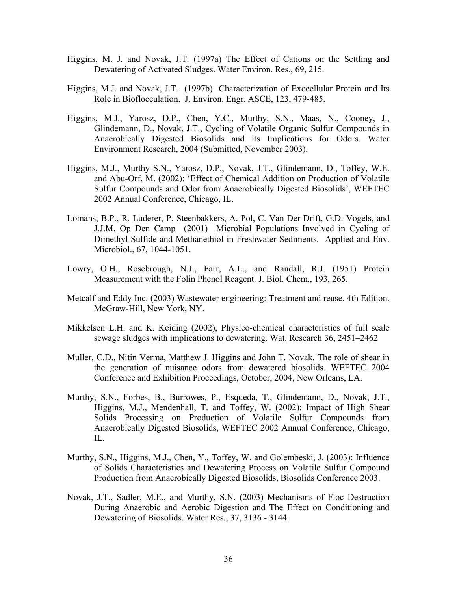- Higgins, M. J. and Novak, J.T. (1997a) The Effect of Cations on the Settling and Dewatering of Activated Sludges. Water Environ. Res., 69, 215.
- Higgins, M.J. and Novak, J.T. (1997b) Characterization of Exocellular Protein and Its Role in Bioflocculation. J. Environ. Engr. ASCE, 123, 479-485.
- Higgins, M.J., Yarosz, D.P., Chen, Y.C., Murthy, S.N., Maas, N., Cooney, J., Glindemann, D., Novak, J.T., Cycling of Volatile Organic Sulfur Compounds in Anaerobically Digested Biosolids and its Implications for Odors. Water Environment Research, 2004 (Submitted, November 2003).
- Higgins, M.J., Murthy S.N., Yarosz, D.P., Novak, J.T., Glindemann, D., Toffey, W.E. and Abu-Orf, M. (2002): 'Effect of Chemical Addition on Production of Volatile Sulfur Compounds and Odor from Anaerobically Digested Biosolids', WEFTEC 2002 Annual Conference, Chicago, IL.
- Lomans, B.P., R. Luderer, P. Steenbakkers, A. Pol, C. Van Der Drift, G.D. Vogels, and J.J.M. Op Den Camp (2001) Microbial Populations Involved in Cycling of Dimethyl Sulfide and Methanethiol in Freshwater Sediments. Applied and Env. Microbiol., 67, 1044-1051.
- Lowry, O.H., Rosebrough, N.J., Farr, A.L., and Randall, R.J. (1951) Protein Measurement with the Folin Phenol Reagent. J. Biol. Chem., 193, 265.
- Metcalf and Eddy Inc. (2003) Wastewater engineering: Treatment and reuse. 4th Edition. McGraw-Hill, New York, NY.
- Mikkelsen L.H. and K. Keiding (2002), Physico-chemical characteristics of full scale sewage sludges with implications to dewatering. Wat. Research 36, 2451–2462
- Muller, C.D., Nitin Verma, Matthew J. Higgins and John T. Novak. The role of shear in the generation of nuisance odors from dewatered biosolids. WEFTEC 2004 Conference and Exhibition Proceedings, October, 2004, New Orleans, LA.
- Murthy, S.N., Forbes, B., Burrowes, P., Esqueda, T., Glindemann, D., Novak, J.T., Higgins, M.J., Mendenhall, T. and Toffey, W. (2002): Impact of High Shear Solids Processing on Production of Volatile Sulfur Compounds from Anaerobically Digested Biosolids, WEFTEC 2002 Annual Conference, Chicago, IL.
- Murthy, S.N., Higgins, M.J., Chen, Y., Toffey, W. and Golembeski, J. (2003): Influence of Solids Characteristics and Dewatering Process on Volatile Sulfur Compound Production from Anaerobically Digested Biosolids, Biosolids Conference 2003.
- Novak, J.T., Sadler, M.E., and Murthy, S.N. (2003) Mechanisms of Floc Destruction During Anaerobic and Aerobic Digestion and The Effect on Conditioning and Dewatering of Biosolids. Water Res., 37, 3136 - 3144.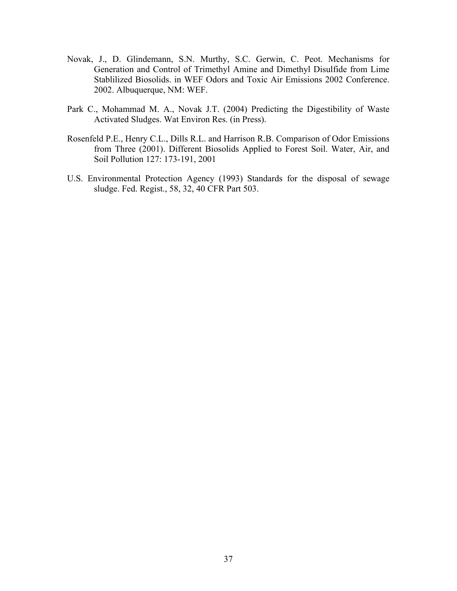- Novak, J., D. Glindemann, S.N. Murthy, S.C. Gerwin, C. Peot. Mechanisms for Generation and Control of Trimethyl Amine and Dimethyl Disulfide from Lime Stablilized Biosolids. in WEF Odors and Toxic Air Emissions 2002 Conference. 2002. Albuquerque, NM: WEF.
- Park C., Mohammad M. A., Novak J.T. (2004) Predicting the Digestibility of Waste Activated Sludges. Wat Environ Res. (in Press).
- Rosenfeld P.E., Henry C.L., Dills R.L. and Harrison R.B. Comparison of Odor Emissions from Three (2001). Different Biosolids Applied to Forest Soil. Water, Air, and Soil Pollution 127: 173-191, 2001
- U.S. Environmental Protection Agency (1993) Standards for the disposal of sewage sludge. Fed. Regist., 58, 32, 40 CFR Part 503.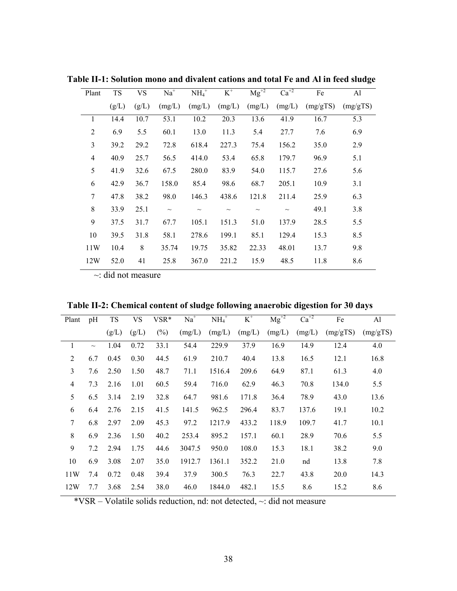| Plant          | <b>TS</b> | <b>VS</b> | $Na+$  | $NH4+$ | $K^+$  | $Mg^{+2}$ | $Ca^{+2}$ | Fe       | Al       |
|----------------|-----------|-----------|--------|--------|--------|-----------|-----------|----------|----------|
|                | (g/L)     | (g/L)     | (mg/L) | (mg/L) | (mg/L) | (mg/L)    | (mg/L)    | (mg/gTS) | (mg/gTS) |
|                | 14.4      | 10.7      | 53.1   | 10.2   | 20.3   | 13.6      | 41.9      | 16.7     | 5.3      |
| $\overline{2}$ | 6.9       | 5.5       | 60.1   | 13.0   | 11.3   | 5.4       | 27.7      | 7.6      | 6.9      |
| 3              | 39.2      | 29.2      | 72.8   | 618.4  | 227.3  | 75.4      | 156.2     | 35.0     | 2.9      |
| 4              | 40.9      | 25.7      | 56.5   | 414.0  | 53.4   | 65.8      | 179.7     | 96.9     | 5.1      |
| 5              | 41.9      | 32.6      | 67.5   | 280.0  | 83.9   | 54.0      | 115.7     | 27.6     | 5.6      |
| 6              | 42.9      | 36.7      | 158.0  | 85.4   | 98.6   | 68.7      | 205.1     | 10.9     | 3.1      |
| 7              | 47.8      | 38.2      | 98.0   | 146.3  | 438.6  | 121.8     | 211.4     | 25.9     | 6.3      |
| 8              | 33.9      | 25.1      | $\sim$ | $\sim$ | $\sim$ | $\sim$    | $\sim$    | 49.1     | 3.8      |
| 9              | 37.5      | 31.7      | 67.7   | 105.1  | 151.3  | 51.0      | 137.9     | 28.5     | 5.5      |
| 10             | 39.5      | 31.8      | 58.1   | 278.6  | 199.1  | 85.1      | 129.4     | 15.3     | 8.5      |
| 11W            | 10.4      | 8         | 35.74  | 19.75  | 35.82  | 22.33     | 48.01     | 13.7     | 9.8      |
| 12W            | 52.0      | 41        | 25.8   | 367.0  | 221.2  | 15.9      | 48.5      | 11.8     | 8.6      |

**Table II-1: Solution mono and divalent cations and total Fe and Al in feed sludge** 

 $\sim$ : did not measure

| Table II-2: Chemical content of sludge following anaerobic digestion for 30 days |  |  |  |  |
|----------------------------------------------------------------------------------|--|--|--|--|
|                                                                                  |  |  |  |  |

| Plant    | pH     | <b>TS</b> | <b>VS</b> | VSR*   | $Na+$  | $NH4+$ | $K^+$  | $\overline{\text{Mg}}^{+2}$ | $Ca^{+2}$ | Fe       | Al       |
|----------|--------|-----------|-----------|--------|--------|--------|--------|-----------------------------|-----------|----------|----------|
|          |        | (g/L)     | (g/L)     | $(\%)$ | (mg/L) | (mg/L) | (mg/L) | (mg/L)                      | (mg/L)    | (mg/gTS) | (mg/gTS) |
| $\bf{l}$ | $\sim$ | 1.04      | 0.72      | 33.1   | 54.4   | 229.9  | 37.9   | 16.9                        | 14.9      | 12.4     | 4.0      |
| 2        | 6.7    | 0.45      | 0.30      | 44.5   | 61.9   | 210.7  | 40.4   | 13.8                        | 16.5      | 12.1     | 16.8     |
| 3        | 7.6    | 2.50      | 1.50      | 48.7   | 71.1   | 1516.4 | 209.6  | 64.9                        | 87.1      | 61.3     | 4.0      |
| 4        | 7.3    | 2.16      | 1.01      | 60.5   | 59.4   | 716.0  | 62.9   | 46.3                        | 70.8      | 134.0    | 5.5      |
| 5        | 6.5    | 3.14      | 2.19      | 32.8   | 64.7   | 981.6  | 171.8  | 36.4                        | 78.9      | 43.0     | 13.6     |
| 6        | 6.4    | 2.76      | 2.15      | 41.5   | 141.5  | 962.5  | 296.4  | 83.7                        | 137.6     | 19.1     | 10.2     |
| 7        | 6.8    | 2.97      | 2.09      | 45.3   | 97.2   | 1217.9 | 433.2  | 118.9                       | 109.7     | 41.7     | 10.1     |
| 8        | 6.9    | 2.36      | 1.50      | 40.2   | 253.4  | 895.2  | 157.1  | 60.1                        | 28.9      | 70.6     | 5.5      |
| 9        | 7.2    | 2.94      | 1.75      | 44.6   | 3047.5 | 950.0  | 108.0  | 15.3                        | 18.1      | 38.2     | 9.0      |
| 10       | 6.9    | 3.08      | 2.07      | 35.0   | 1912.7 | 1361.1 | 352.2  | 21.0                        | nd        | 13.8     | 7.8      |
| 11W      | 7.4    | 0.72      | 0.48      | 39.4   | 37.9   | 300.5  | 76.3   | 22.7                        | 43.8      | 20.0     | 14.3     |
| 12W      | 7.7    | 3.68      | 2.54      | 38.0   | 46.0   | 1844.0 | 482.1  | 15.5                        | 8.6       | 15.2     | 8.6      |

\*VSR – Volatile solids reduction, nd: not detected, ~: did not measure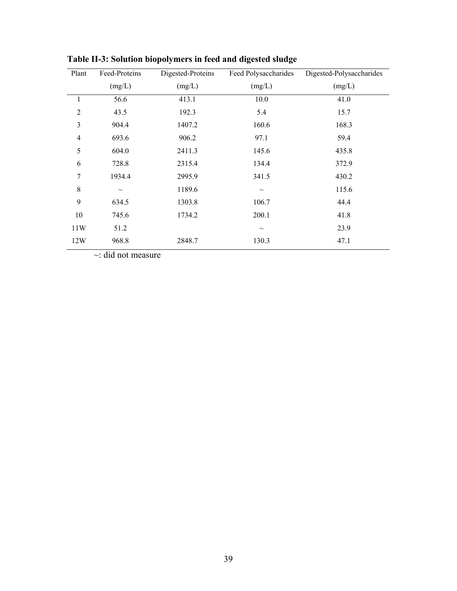| Plant          | Feed-Proteins | Digested-Proteins | Feed Polysaccharides | Digested-Polysaccharides |
|----------------|---------------|-------------------|----------------------|--------------------------|
|                | (mg/L)        | (mg/L)            | (mg/L)               | (mg/L)                   |
| $\mathbf{1}$   | 56.6          | 413.1             | 10.0                 | 41.0                     |
| $\overline{2}$ | 43.5          | 192.3             | 5.4                  | 15.7                     |
| 3              | 904.4         | 1407.2            | 160.6                | 168.3                    |
| $\overline{4}$ | 693.6         | 906.2             | 97.1                 | 59.4                     |
| 5              | 604.0         | 2411.3            | 145.6                | 435.8                    |
| 6              | 728.8         | 2315.4            | 134.4                | 372.9                    |
| 7              | 1934.4        | 2995.9            | 341.5                | 430.2                    |
| 8              | $\sim$        | 1189.6            | $\sim$               | 115.6                    |
| 9              | 634.5         | 1303.8            | 106.7                | 44.4                     |
| 10             | 745.6         | 1734.2            | 200.1                | 41.8                     |
| 11W            | 51.2          |                   | $\sim$               | 23.9                     |
| 12W            | 968.8         | 2848.7            | 130.3                | 47.1                     |

**Table II-3: Solution biopolymers in feed and digested sludge** 

~: did not measure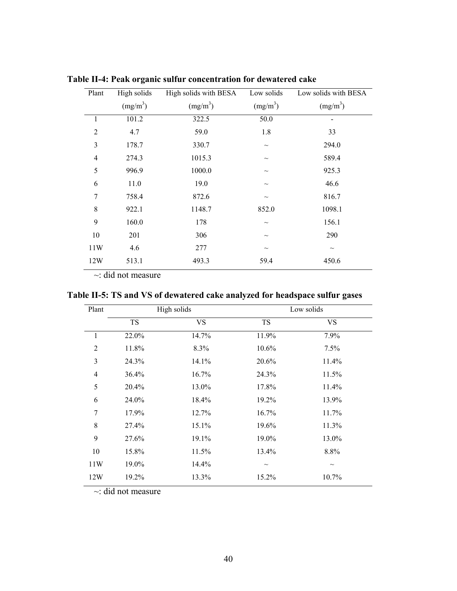| Plant          | High solids          | High solids with BESA | Low solids           | Low solids with BESA |
|----------------|----------------------|-----------------------|----------------------|----------------------|
|                | (mg/m <sup>3</sup> ) | (mg/m <sup>3</sup> )  | (mg/m <sup>3</sup> ) | (mg/m <sup>3</sup> ) |
| 1              | 101.2                | 322.5                 | 50.0                 |                      |
| $\overline{2}$ | 4.7                  | 59.0                  | 1.8                  | 33                   |
| 3              | 178.7                | 330.7                 | $\sim$               | 294.0                |
| 4              | 274.3                | 1015.3                | $\sim$               | 589.4                |
| 5              | 996.9                | 1000.0                | $\sim$               | 925.3                |
| 6              | 11.0                 | 19.0                  | $\sim$               | 46.6                 |
| 7              | 758.4                | 872.6                 | $\sim$               | 816.7                |
| 8              | 922.1                | 1148.7                | 852.0                | 1098.1               |
| 9              | 160.0                | 178                   | $\sim$               | 156.1                |
| 10             | 201                  | 306                   | $\sim$               | 290                  |
| 11W            | 4.6                  | 277                   | $\sim$               | $\sim$               |
| 12W            | 513.1                | 493.3                 | 59.4                 | 450.6                |

**Table II-4: Peak organic sulfur concentration for dewatered cake** 

 $\sim$ : did not measure

**Table II-5: TS and VS of dewatered cake analyzed for headspace sulfur gases** 

| Plant          | High solids |           | Low solids |                           |  |  |  |
|----------------|-------------|-----------|------------|---------------------------|--|--|--|
|                | <b>TS</b>   | <b>VS</b> | <b>TS</b>  | VS                        |  |  |  |
| 1              | 22.0%       | 14.7%     | 11.9%      | 7.9%                      |  |  |  |
| $\overline{2}$ | 11.8%       | 8.3%      | 10.6%      | 7.5%                      |  |  |  |
| 3              | 24.3%       | 14.1%     | 20.6%      | 11.4%                     |  |  |  |
| 4              | 36.4%       | 16.7%     | 24.3%      | 11.5%                     |  |  |  |
| 5              | 20.4%       | 13.0%     | 17.8%      | 11.4%                     |  |  |  |
| 6              | 24.0%       | 18.4%     | 19.2%      | 13.9%                     |  |  |  |
| 7              | 17.9%       | 12.7%     | 16.7%      | 11.7%                     |  |  |  |
| 8              | 27.4%       | 15.1%     | 19.6%      | 11.3%                     |  |  |  |
| 9              | 27.6%       | 19.1%     | 19.0%      | 13.0%                     |  |  |  |
| 10             | 15.8%       | 11.5%     | 13.4%      | 8.8%                      |  |  |  |
| 11W            | 19.0%       | 14.4%     | $\tilde{}$ | $\widetilde{\phantom{m}}$ |  |  |  |
| 12W            | 19.2%       | 13.3%     | 15.2%      | 10.7%                     |  |  |  |

 $\sim$ : did not measure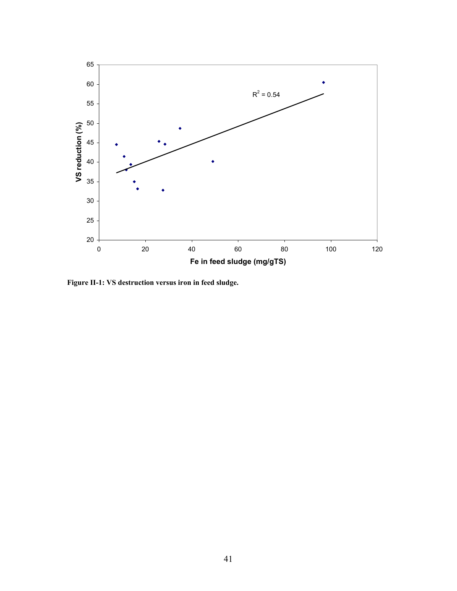

**Figure II-1: VS destruction versus iron in feed sludge.**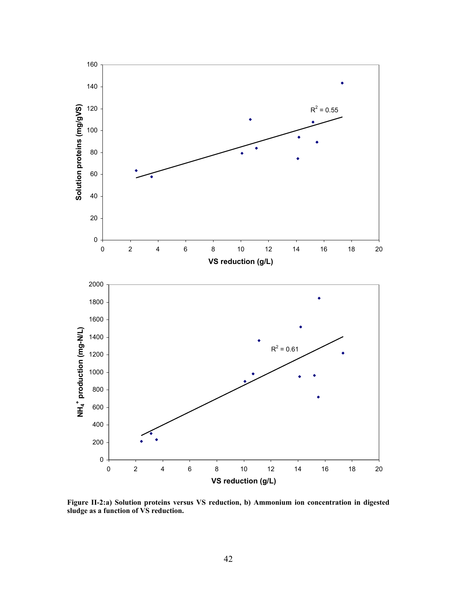

**Figure II-2:a) Solution proteins versus VS reduction, b) Ammonium ion concentration in digested sludge as a function of VS reduction.**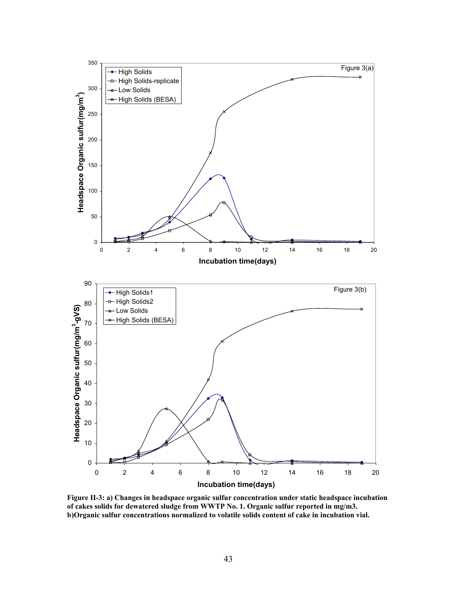

**Figure II-3: a) Changes in headspace organic sulfur concentration under static headspace incubation of cakes solids for dewatered sludge from WWTP No. 1. Organic sulfur reported in mg/m3. b)Organic sulfur concentrations normalized to volatile solids content of cake in incubation vial.**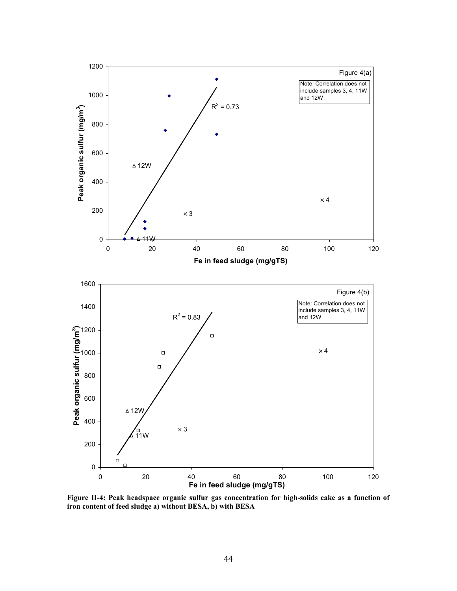

**Figure II-4: Peak headspace organic sulfur gas concentration for high-solids cake as a function of iron content of feed sludge a) without BESA, b) with BESA**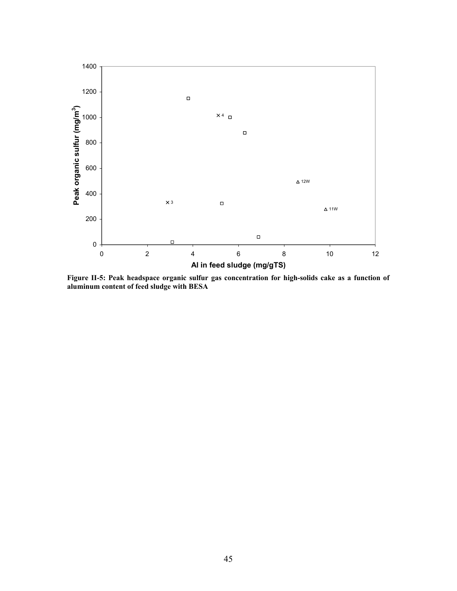

**Figure II-5: Peak headspace organic sulfur gas concentration for high-solids cake as a function of aluminum content of feed sludge with BESA**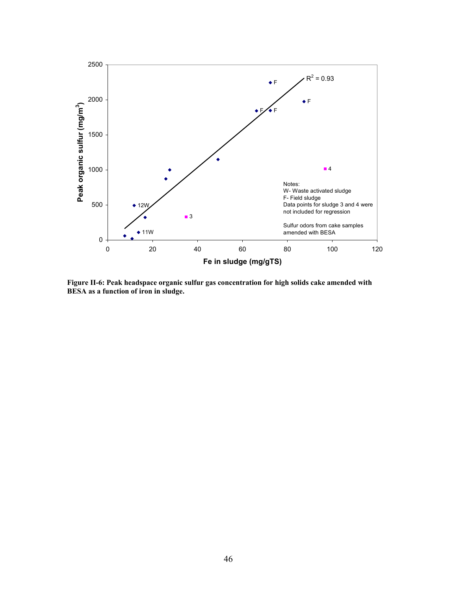

**Figure II-6: Peak headspace organic sulfur gas concentration for high solids cake amended with BESA as a function of iron in sludge.**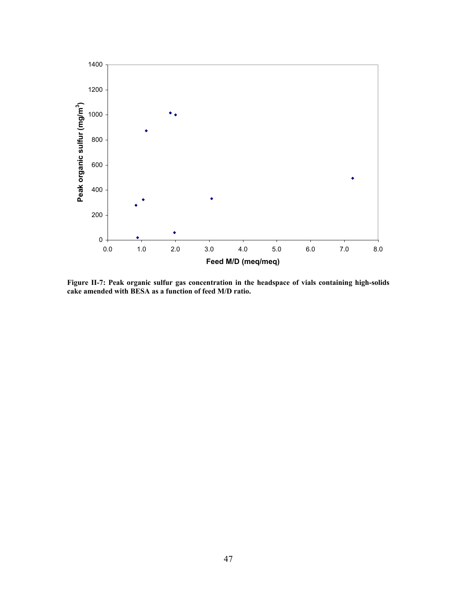

**Figure II-7: Peak organic sulfur gas concentration in the headspace of vials containing high-solids cake amended with BESA as a function of feed M/D ratio.**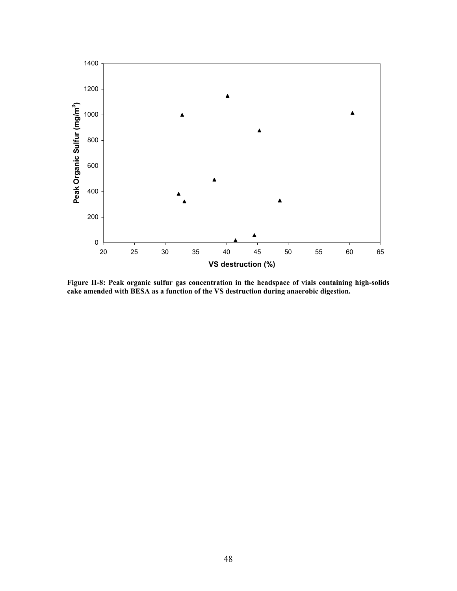

**Figure II-8: Peak organic sulfur gas concentration in the headspace of vials containing high-solids cake amended with BESA as a function of the VS destruction during anaerobic digestion.**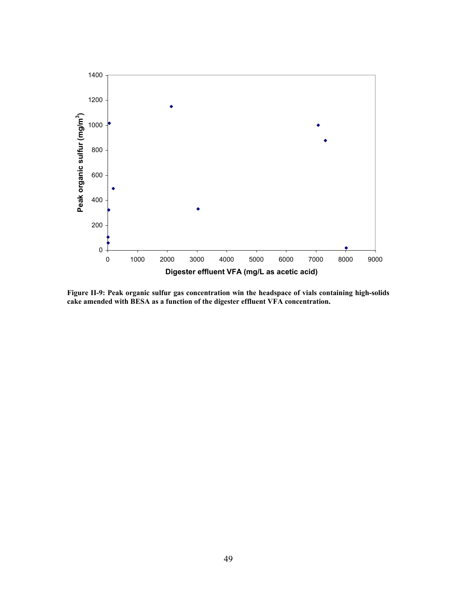

**Figure II-9: Peak organic sulfur gas concentration win the headspace of vials containing high-solids cake amended with BESA as a function of the digester effluent VFA concentration.**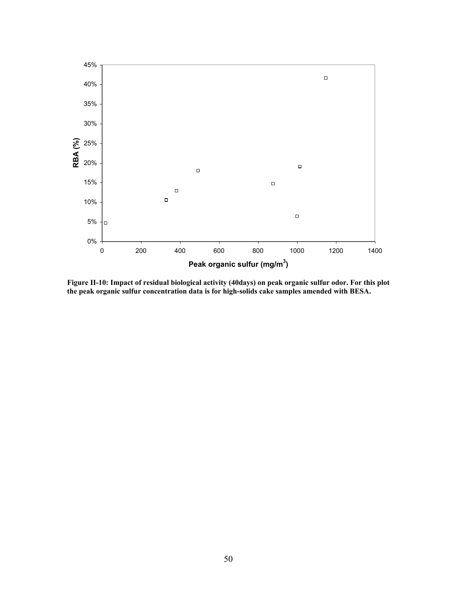

**Figure II-10: Impact of residual biological activity (40days) on peak organic sulfur odor. For this plot the peak organic sulfur concentration data is for high-solids cake samples amended with BESA.**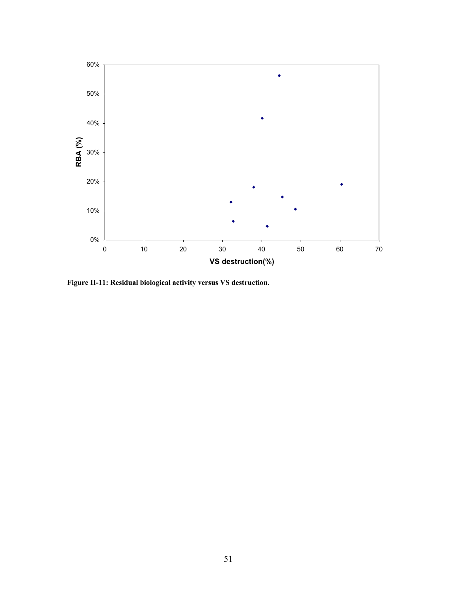

**Figure II-11: Residual biological activity versus VS destruction.**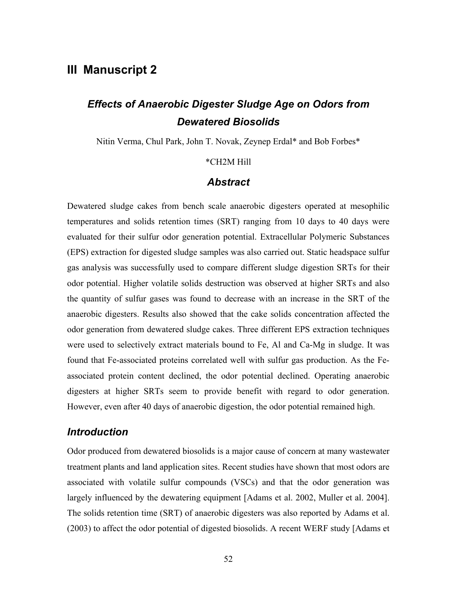# **III Manuscript 2**

# *Effects of Anaerobic Digester Sludge Age on Odors from Dewatered Biosolids*

Nitin Verma, Chul Park, John T. Novak, Zeynep Erdal\* and Bob Forbes\*

#### \*CH2M Hill

#### *Abstract*

Dewatered sludge cakes from bench scale anaerobic digesters operated at mesophilic temperatures and solids retention times (SRT) ranging from 10 days to 40 days were evaluated for their sulfur odor generation potential. Extracellular Polymeric Substances (EPS) extraction for digested sludge samples was also carried out. Static headspace sulfur gas analysis was successfully used to compare different sludge digestion SRTs for their odor potential. Higher volatile solids destruction was observed at higher SRTs and also the quantity of sulfur gases was found to decrease with an increase in the SRT of the anaerobic digesters. Results also showed that the cake solids concentration affected the odor generation from dewatered sludge cakes. Three different EPS extraction techniques were used to selectively extract materials bound to Fe, Al and Ca-Mg in sludge. It was found that Fe-associated proteins correlated well with sulfur gas production. As the Feassociated protein content declined, the odor potential declined. Operating anaerobic digesters at higher SRTs seem to provide benefit with regard to odor generation. However, even after 40 days of anaerobic digestion, the odor potential remained high.

## *Introduction*

Odor produced from dewatered biosolids is a major cause of concern at many wastewater treatment plants and land application sites. Recent studies have shown that most odors are associated with volatile sulfur compounds (VSCs) and that the odor generation was largely influenced by the dewatering equipment [Adams et al. 2002, Muller et al. 2004]. The solids retention time (SRT) of anaerobic digesters was also reported by Adams et al. (2003) to affect the odor potential of digested biosolids. A recent WERF study [Adams et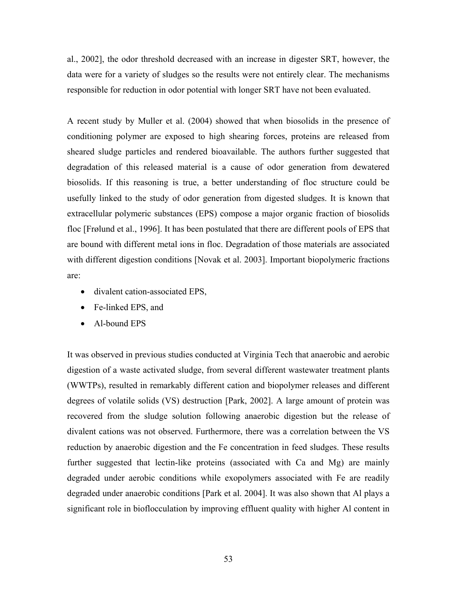al., 2002], the odor threshold decreased with an increase in digester SRT, however, the data were for a variety of sludges so the results were not entirely clear. The mechanisms responsible for reduction in odor potential with longer SRT have not been evaluated.

A recent study by Muller et al. (2004) showed that when biosolids in the presence of conditioning polymer are exposed to high shearing forces, proteins are released from sheared sludge particles and rendered bioavailable. The authors further suggested that degradation of this released material is a cause of odor generation from dewatered biosolids. If this reasoning is true, a better understanding of floc structure could be usefully linked to the study of odor generation from digested sludges. It is known that extracellular polymeric substances (EPS) compose a major organic fraction of biosolids floc [Frølund et al., 1996]. It has been postulated that there are different pools of EPS that are bound with different metal ions in floc. Degradation of those materials are associated with different digestion conditions [Novak et al. 2003]. Important biopolymeric fractions are:

- divalent cation-associated EPS,
- Fe-linked EPS, and
- Al-bound EPS

It was observed in previous studies conducted at Virginia Tech that anaerobic and aerobic digestion of a waste activated sludge, from several different wastewater treatment plants (WWTPs), resulted in remarkably different cation and biopolymer releases and different degrees of volatile solids (VS) destruction [Park, 2002]. A large amount of protein was recovered from the sludge solution following anaerobic digestion but the release of divalent cations was not observed. Furthermore, there was a correlation between the VS reduction by anaerobic digestion and the Fe concentration in feed sludges. These results further suggested that lectin-like proteins (associated with Ca and Mg) are mainly degraded under aerobic conditions while exopolymers associated with Fe are readily degraded under anaerobic conditions [Park et al. 2004]. It was also shown that Al plays a significant role in bioflocculation by improving effluent quality with higher Al content in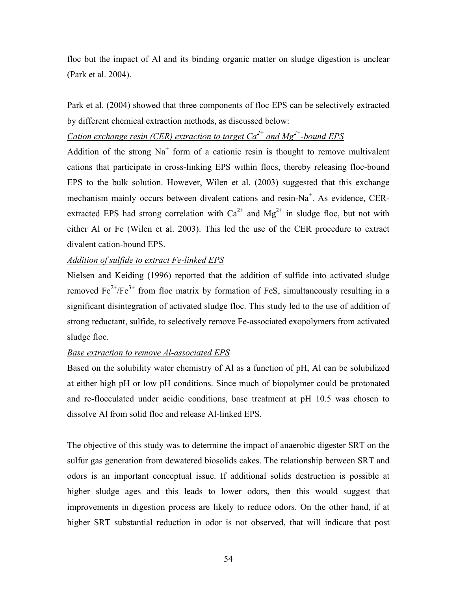floc but the impact of Al and its binding organic matter on sludge digestion is unclear (Park et al. 2004).

Park et al. (2004) showed that three components of floc EPS can be selectively extracted by different chemical extraction methods, as discussed below:

## *Cation exchange resin (CER) extraction to target Ca2+ and Mg2+-bound EPS*

Addition of the strong  $Na<sup>+</sup>$  form of a cationic resin is thought to remove multivalent cations that participate in cross-linking EPS within flocs, thereby releasing floc-bound EPS to the bulk solution. However, Wilen et al. (2003) suggested that this exchange mechanism mainly occurs between divalent cations and resin-Na<sup>+</sup>. As evidence, CERextracted EPS had strong correlation with  $Ca^{2+}$  and  $Mg^{2+}$  in sludge floc, but not with either Al or Fe (Wilen et al. 2003). This led the use of the CER procedure to extract divalent cation-bound EPS.

## *Addition of sulfide to extract Fe-linked EPS*

Nielsen and Keiding (1996) reported that the addition of sulfide into activated sludge removed  $Fe^{2+}/Fe^{3+}$  from floc matrix by formation of FeS, simultaneously resulting in a significant disintegration of activated sludge floc. This study led to the use of addition of strong reductant, sulfide, to selectively remove Fe-associated exopolymers from activated sludge floc.

## *Base extraction to remove Al-associated EPS*

Based on the solubility water chemistry of Al as a function of pH, Al can be solubilized at either high pH or low pH conditions. Since much of biopolymer could be protonated and re-flocculated under acidic conditions, base treatment at pH 10.5 was chosen to dissolve Al from solid floc and release Al-linked EPS.

The objective of this study was to determine the impact of anaerobic digester SRT on the sulfur gas generation from dewatered biosolids cakes. The relationship between SRT and odors is an important conceptual issue. If additional solids destruction is possible at higher sludge ages and this leads to lower odors, then this would suggest that improvements in digestion process are likely to reduce odors. On the other hand, if at higher SRT substantial reduction in odor is not observed, that will indicate that post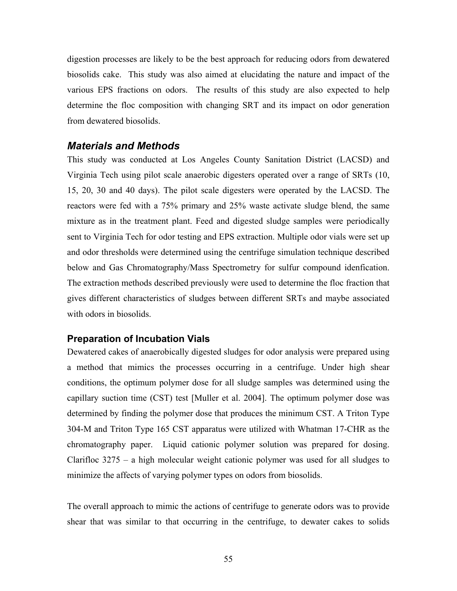digestion processes are likely to be the best approach for reducing odors from dewatered biosolids cake. This study was also aimed at elucidating the nature and impact of the various EPS fractions on odors. The results of this study are also expected to help determine the floc composition with changing SRT and its impact on odor generation from dewatered biosolids.

#### *Materials and Methods*

This study was conducted at Los Angeles County Sanitation District (LACSD) and Virginia Tech using pilot scale anaerobic digesters operated over a range of SRTs (10, 15, 20, 30 and 40 days). The pilot scale digesters were operated by the LACSD. The reactors were fed with a 75% primary and 25% waste activate sludge blend, the same mixture as in the treatment plant. Feed and digested sludge samples were periodically sent to Virginia Tech for odor testing and EPS extraction. Multiple odor vials were set up and odor thresholds were determined using the centrifuge simulation technique described below and Gas Chromatography/Mass Spectrometry for sulfur compound idenfication. The extraction methods described previously were used to determine the floc fraction that gives different characteristics of sludges between different SRTs and maybe associated with odors in biosolids.

#### **Preparation of Incubation Vials**

Dewatered cakes of anaerobically digested sludges for odor analysis were prepared using a method that mimics the processes occurring in a centrifuge. Under high shear conditions, the optimum polymer dose for all sludge samples was determined using the capillary suction time (CST) test [Muller et al. 2004]. The optimum polymer dose was determined by finding the polymer dose that produces the minimum CST. A Triton Type 304-M and Triton Type 165 CST apparatus were utilized with Whatman 17-CHR as the chromatography paper. Liquid cationic polymer solution was prepared for dosing. Clarifloc 3275 – a high molecular weight cationic polymer was used for all sludges to minimize the affects of varying polymer types on odors from biosolids.

The overall approach to mimic the actions of centrifuge to generate odors was to provide shear that was similar to that occurring in the centrifuge, to dewater cakes to solids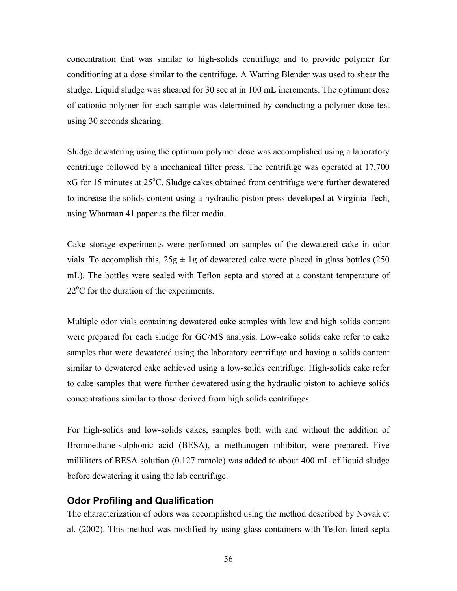concentration that was similar to high-solids centrifuge and to provide polymer for conditioning at a dose similar to the centrifuge. A Warring Blender was used to shear the sludge. Liquid sludge was sheared for 30 sec at in 100 mL increments. The optimum dose of cationic polymer for each sample was determined by conducting a polymer dose test using 30 seconds shearing.

Sludge dewatering using the optimum polymer dose was accomplished using a laboratory centrifuge followed by a mechanical filter press. The centrifuge was operated at 17,700 xG for 15 minutes at 25°C. Sludge cakes obtained from centrifuge were further dewatered to increase the solids content using a hydraulic piston press developed at Virginia Tech, using Whatman 41 paper as the filter media.

Cake storage experiments were performed on samples of the dewatered cake in odor vials. To accomplish this,  $25g \pm 1g$  of dewatered cake were placed in glass bottles (250) mL). The bottles were sealed with Teflon septa and stored at a constant temperature of 22<sup>o</sup>C for the duration of the experiments.

Multiple odor vials containing dewatered cake samples with low and high solids content were prepared for each sludge for GC/MS analysis. Low-cake solids cake refer to cake samples that were dewatered using the laboratory centrifuge and having a solids content similar to dewatered cake achieved using a low-solids centrifuge. High-solids cake refer to cake samples that were further dewatered using the hydraulic piston to achieve solids concentrations similar to those derived from high solids centrifuges.

For high-solids and low-solids cakes, samples both with and without the addition of Bromoethane-sulphonic acid (BESA), a methanogen inhibitor, were prepared. Five milliliters of BESA solution (0.127 mmole) was added to about 400 mL of liquid sludge before dewatering it using the lab centrifuge.

#### **Odor Profiling and Qualification**

The characterization of odors was accomplished using the method described by Novak et al. (2002). This method was modified by using glass containers with Teflon lined septa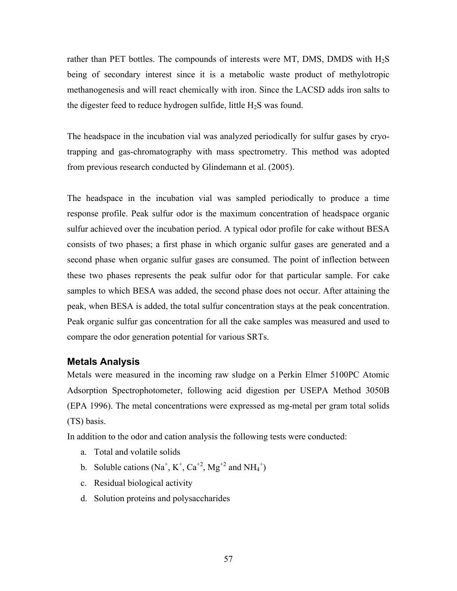rather than PET bottles. The compounds of interests were MT, DMS, DMDS with  $H_2S$ being of secondary interest since it is a metabolic waste product of methylotropic methanogenesis and will react chemically with iron. Since the LACSD adds iron salts to the digester feed to reduce hydrogen sulfide, little  $H_2S$  was found.

The headspace in the incubation vial was analyzed periodically for sulfur gases by cryotrapping and gas-chromatography with mass spectrometry. This method was adopted from previous research conducted by Glindemann et al. (2005).

The headspace in the incubation vial was sampled periodically to produce a time response profile. Peak sulfur odor is the maximum concentration of headspace organic sulfur achieved over the incubation period. A typical odor profile for cake without BESA consists of two phases; a first phase in which organic sulfur gases are generated and a second phase when organic sulfur gases are consumed. The point of inflection between these two phases represents the peak sulfur odor for that particular sample. For cake samples to which BESA was added, the second phase does not occur. After attaining the peak, when BESA is added, the total sulfur concentration stays at the peak concentration. Peak organic sulfur gas concentration for all the cake samples was measured and used to compare the odor generation potential for various SRTs.

#### **Metals Analysis**

Metals were measured in the incoming raw sludge on a Perkin Elmer 5100PC Atomic Adsorption Spectrophotometer, following acid digestion per USEPA Method 3050B (EPA 1996). The metal concentrations were expressed as mg-metal per gram total solids (TS) basis.

In addition to the odor and cation analysis the following tests were conducted:

- a. Total and volatile solids
- b. Soluble cations  $(Na^+, K^+, Ca^{+2}, Mg^{+2}$  and  $NH_4^+)$
- c. Residual biological activity
- d. Solution proteins and polysaccharides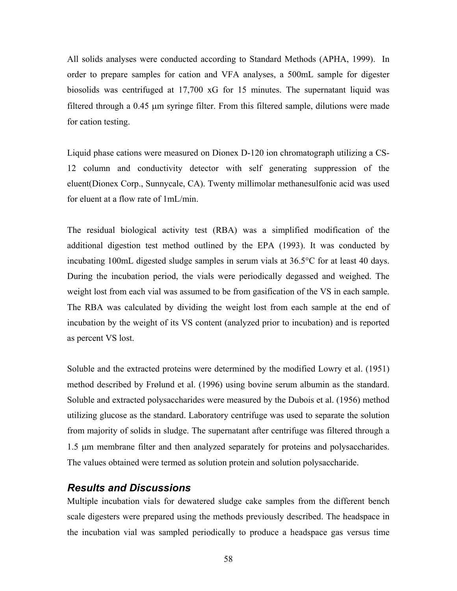All solids analyses were conducted according to Standard Methods (APHA, 1999). In order to prepare samples for cation and VFA analyses, a 500mL sample for digester biosolids was centrifuged at 17,700 xG for 15 minutes. The supernatant liquid was filtered through a  $0.45 \mu m$  syringe filter. From this filtered sample, dilutions were made for cation testing.

Liquid phase cations were measured on Dionex D-120 ion chromatograph utilizing a CS-12 column and conductivity detector with self generating suppression of the eluent(Dionex Corp., Sunnycale, CA). Twenty millimolar methanesulfonic acid was used for eluent at a flow rate of 1mL/min.

The residual biological activity test (RBA) was a simplified modification of the additional digestion test method outlined by the EPA (1993). It was conducted by incubating 100mL digested sludge samples in serum vials at 36.5°C for at least 40 days. During the incubation period, the vials were periodically degassed and weighed. The weight lost from each vial was assumed to be from gasification of the VS in each sample. The RBA was calculated by dividing the weight lost from each sample at the end of incubation by the weight of its VS content (analyzed prior to incubation) and is reported as percent VS lost.

Soluble and the extracted proteins were determined by the modified Lowry et al. (1951) method described by Frølund et al. (1996) using bovine serum albumin as the standard. Soluble and extracted polysaccharides were measured by the Dubois et al. (1956) method utilizing glucose as the standard. Laboratory centrifuge was used to separate the solution from majority of solids in sludge. The supernatant after centrifuge was filtered through a 1.5 µm membrane filter and then analyzed separately for proteins and polysaccharides. The values obtained were termed as solution protein and solution polysaccharide.

# *Results and Discussions*

Multiple incubation vials for dewatered sludge cake samples from the different bench scale digesters were prepared using the methods previously described. The headspace in the incubation vial was sampled periodically to produce a headspace gas versus time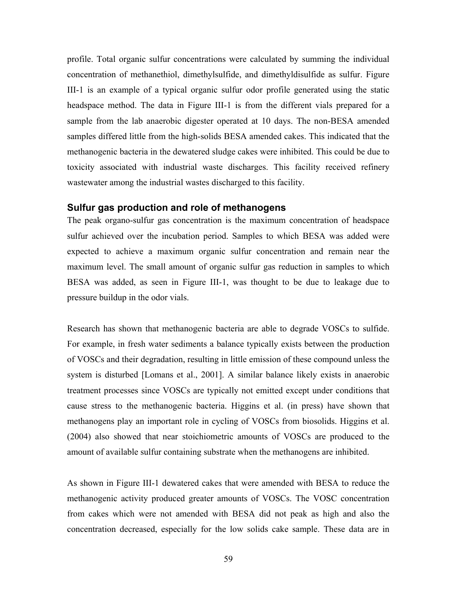profile. Total organic sulfur concentrations were calculated by summing the individual concentration of methanethiol, dimethylsulfide, and dimethyldisulfide as sulfur. Figure III-1 is an example of a typical organic sulfur odor profile generated using the static headspace method. The data in Figure III-1 is from the different vials prepared for a sample from the lab anaerobic digester operated at 10 days. The non-BESA amended samples differed little from the high-solids BESA amended cakes. This indicated that the methanogenic bacteria in the dewatered sludge cakes were inhibited. This could be due to toxicity associated with industrial waste discharges. This facility received refinery wastewater among the industrial wastes discharged to this facility.

#### **Sulfur gas production and role of methanogens**

The peak organo-sulfur gas concentration is the maximum concentration of headspace sulfur achieved over the incubation period. Samples to which BESA was added were expected to achieve a maximum organic sulfur concentration and remain near the maximum level. The small amount of organic sulfur gas reduction in samples to which BESA was added, as seen in Figure III-1, was thought to be due to leakage due to pressure buildup in the odor vials.

Research has shown that methanogenic bacteria are able to degrade VOSCs to sulfide. For example, in fresh water sediments a balance typically exists between the production of VOSCs and their degradation, resulting in little emission of these compound unless the system is disturbed [Lomans et al., 2001]. A similar balance likely exists in anaerobic treatment processes since VOSCs are typically not emitted except under conditions that cause stress to the methanogenic bacteria. Higgins et al. (in press) have shown that methanogens play an important role in cycling of VOSCs from biosolids. Higgins et al. (2004) also showed that near stoichiometric amounts of VOSCs are produced to the amount of available sulfur containing substrate when the methanogens are inhibited.

As shown in Figure III-1 dewatered cakes that were amended with BESA to reduce the methanogenic activity produced greater amounts of VOSCs. The VOSC concentration from cakes which were not amended with BESA did not peak as high and also the concentration decreased, especially for the low solids cake sample. These data are in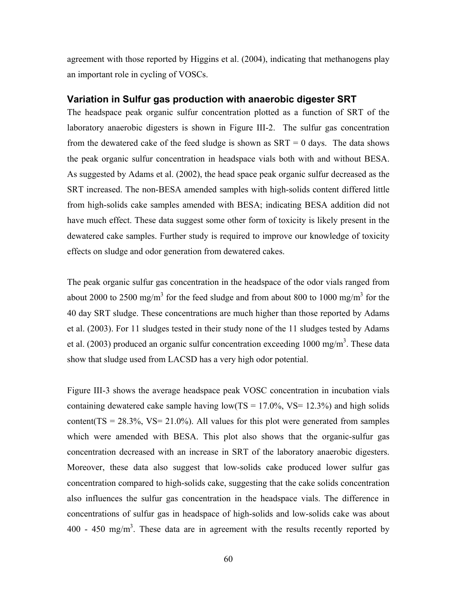agreement with those reported by Higgins et al. (2004), indicating that methanogens play an important role in cycling of VOSCs.

## **Variation in Sulfur gas production with anaerobic digester SRT**

The headspace peak organic sulfur concentration plotted as a function of SRT of the laboratory anaerobic digesters is shown in Figure III-2. The sulfur gas concentration from the dewatered cake of the feed sludge is shown as  $SRT = 0$  days. The data shows the peak organic sulfur concentration in headspace vials both with and without BESA. As suggested by Adams et al. (2002), the head space peak organic sulfur decreased as the SRT increased. The non-BESA amended samples with high-solids content differed little from high-solids cake samples amended with BESA; indicating BESA addition did not have much effect. These data suggest some other form of toxicity is likely present in the dewatered cake samples. Further study is required to improve our knowledge of toxicity effects on sludge and odor generation from dewatered cakes.

The peak organic sulfur gas concentration in the headspace of the odor vials ranged from about 2000 to 2500 mg/m<sup>3</sup> for the feed sludge and from about 800 to 1000 mg/m<sup>3</sup> for the 40 day SRT sludge. These concentrations are much higher than those reported by Adams et al. (2003). For 11 sludges tested in their study none of the 11 sludges tested by Adams et al. (2003) produced an organic sulfur concentration exceeding  $1000 \text{ mg/m}^3$ . These data show that sludge used from LACSD has a very high odor potential.

Figure III-3 shows the average headspace peak VOSC concentration in incubation vials containing dewatered cake sample having  $low(TS = 17.0\%$ , VS= 12.3%) and high solids content( $TS = 28.3\%$ ,  $VS = 21.0\%$ ). All values for this plot were generated from samples which were amended with BESA. This plot also shows that the organic-sulfur gas concentration decreased with an increase in SRT of the laboratory anaerobic digesters. Moreover, these data also suggest that low-solids cake produced lower sulfur gas concentration compared to high-solids cake, suggesting that the cake solids concentration also influences the sulfur gas concentration in the headspace vials. The difference in concentrations of sulfur gas in headspace of high-solids and low-solids cake was about  $400 - 450$  mg/m<sup>3</sup>. These data are in agreement with the results recently reported by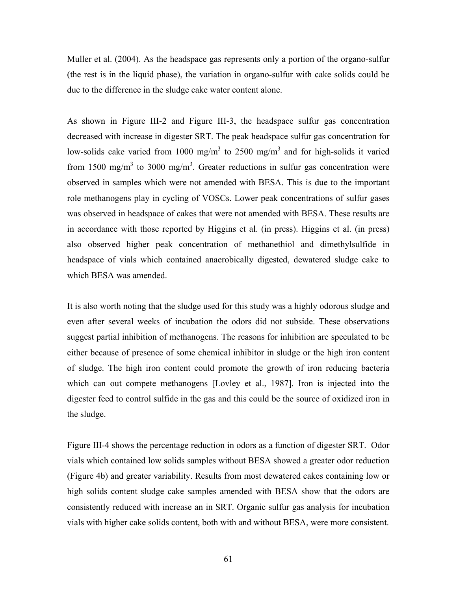Muller et al. (2004). As the headspace gas represents only a portion of the organo-sulfur (the rest is in the liquid phase), the variation in organo-sulfur with cake solids could be due to the difference in the sludge cake water content alone.

As shown in Figure III-2 and Figure III-3, the headspace sulfur gas concentration decreased with increase in digester SRT. The peak headspace sulfur gas concentration for low-solids cake varied from 1000 mg/m<sup>3</sup> to 2500 mg/m<sup>3</sup> and for high-solids it varied from 1500 mg/m<sup>3</sup> to 3000 mg/m<sup>3</sup>. Greater reductions in sulfur gas concentration were observed in samples which were not amended with BESA. This is due to the important role methanogens play in cycling of VOSCs. Lower peak concentrations of sulfur gases was observed in headspace of cakes that were not amended with BESA. These results are in accordance with those reported by Higgins et al. (in press). Higgins et al. (in press) also observed higher peak concentration of methanethiol and dimethylsulfide in headspace of vials which contained anaerobically digested, dewatered sludge cake to which BESA was amended.

It is also worth noting that the sludge used for this study was a highly odorous sludge and even after several weeks of incubation the odors did not subside. These observations suggest partial inhibition of methanogens. The reasons for inhibition are speculated to be either because of presence of some chemical inhibitor in sludge or the high iron content of sludge. The high iron content could promote the growth of iron reducing bacteria which can out compete methanogens [Lovley et al., 1987]. Iron is injected into the digester feed to control sulfide in the gas and this could be the source of oxidized iron in the sludge.

Figure III-4 shows the percentage reduction in odors as a function of digester SRT. Odor vials which contained low solids samples without BESA showed a greater odor reduction (Figure 4b) and greater variability. Results from most dewatered cakes containing low or high solids content sludge cake samples amended with BESA show that the odors are consistently reduced with increase an in SRT. Organic sulfur gas analysis for incubation vials with higher cake solids content, both with and without BESA, were more consistent.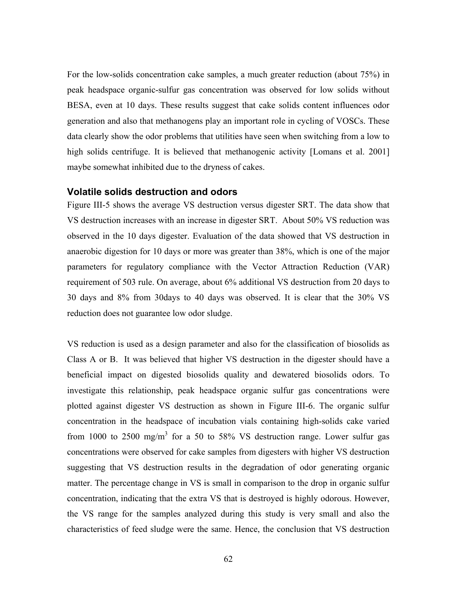For the low-solids concentration cake samples, a much greater reduction (about 75%) in peak headspace organic-sulfur gas concentration was observed for low solids without BESA, even at 10 days. These results suggest that cake solids content influences odor generation and also that methanogens play an important role in cycling of VOSCs. These data clearly show the odor problems that utilities have seen when switching from a low to high solids centrifuge. It is believed that methanogenic activity [Lomans et al. 2001] maybe somewhat inhibited due to the dryness of cakes.

#### **Volatile solids destruction and odors**

Figure III-5 shows the average VS destruction versus digester SRT. The data show that VS destruction increases with an increase in digester SRT. About 50% VS reduction was observed in the 10 days digester. Evaluation of the data showed that VS destruction in anaerobic digestion for 10 days or more was greater than 38%, which is one of the major parameters for regulatory compliance with the Vector Attraction Reduction (VAR) requirement of 503 rule. On average, about 6% additional VS destruction from 20 days to 30 days and 8% from 30days to 40 days was observed. It is clear that the 30% VS reduction does not guarantee low odor sludge.

VS reduction is used as a design parameter and also for the classification of biosolids as Class A or B. It was believed that higher VS destruction in the digester should have a beneficial impact on digested biosolids quality and dewatered biosolids odors. To investigate this relationship, peak headspace organic sulfur gas concentrations were plotted against digester VS destruction as shown in Figure III-6. The organic sulfur concentration in the headspace of incubation vials containing high-solids cake varied from 1000 to 2500 mg/m<sup>3</sup> for a 50 to 58% VS destruction range. Lower sulfur gas concentrations were observed for cake samples from digesters with higher VS destruction suggesting that VS destruction results in the degradation of odor generating organic matter. The percentage change in VS is small in comparison to the drop in organic sulfur concentration, indicating that the extra VS that is destroyed is highly odorous. However, the VS range for the samples analyzed during this study is very small and also the characteristics of feed sludge were the same. Hence, the conclusion that VS destruction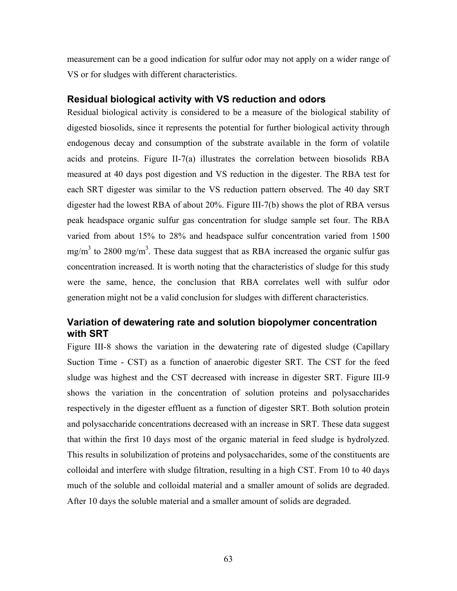measurement can be a good indication for sulfur odor may not apply on a wider range of VS or for sludges with different characteristics.

#### **Residual biological activity with VS reduction and odors**

Residual biological activity is considered to be a measure of the biological stability of digested biosolids, since it represents the potential for further biological activity through endogenous decay and consumption of the substrate available in the form of volatile acids and proteins. Figure II-7(a) illustrates the correlation between biosolids RBA measured at 40 days post digestion and VS reduction in the digester. The RBA test for each SRT digester was similar to the VS reduction pattern observed. The 40 day SRT digester had the lowest RBA of about 20%. Figure III-7(b) shows the plot of RBA versus peak headspace organic sulfur gas concentration for sludge sample set four. The RBA varied from about 15% to 28% and headspace sulfur concentration varied from 1500 mg/m<sup>3</sup> to 2800 mg/m<sup>3</sup>. These data suggest that as RBA increased the organic sulfur gas concentration increased. It is worth noting that the characteristics of sludge for this study were the same, hence, the conclusion that RBA correlates well with sulfur odor generation might not be a valid conclusion for sludges with different characteristics.

## **Variation of dewatering rate and solution biopolymer concentration with SRT**

Figure III-8 shows the variation in the dewatering rate of digested sludge (Capillary Suction Time - CST) as a function of anaerobic digester SRT. The CST for the feed sludge was highest and the CST decreased with increase in digester SRT. Figure III-9 shows the variation in the concentration of solution proteins and polysaccharides respectively in the digester effluent as a function of digester SRT. Both solution protein and polysaccharide concentrations decreased with an increase in SRT. These data suggest that within the first 10 days most of the organic material in feed sludge is hydrolyzed. This results in solubilization of proteins and polysaccharides, some of the constituents are colloidal and interfere with sludge filtration, resulting in a high CST. From 10 to 40 days much of the soluble and colloidal material and a smaller amount of solids are degraded. After 10 days the soluble material and a smaller amount of solids are degraded.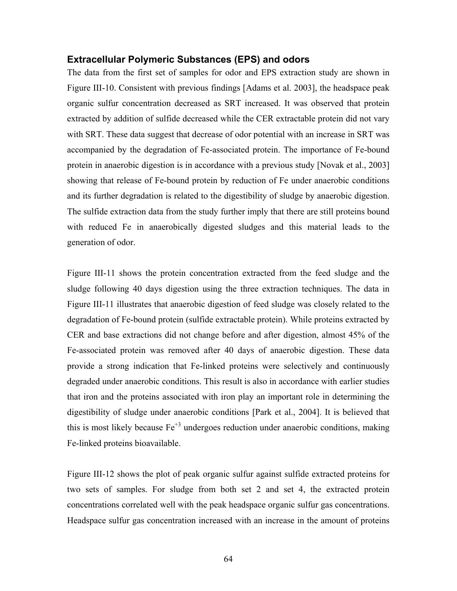#### **Extracellular Polymeric Substances (EPS) and odors**

The data from the first set of samples for odor and EPS extraction study are shown in Figure III-10. Consistent with previous findings [Adams et al. 2003], the headspace peak organic sulfur concentration decreased as SRT increased. It was observed that protein extracted by addition of sulfide decreased while the CER extractable protein did not vary with SRT. These data suggest that decrease of odor potential with an increase in SRT was accompanied by the degradation of Fe-associated protein. The importance of Fe-bound protein in anaerobic digestion is in accordance with a previous study [Novak et al., 2003] showing that release of Fe-bound protein by reduction of Fe under anaerobic conditions and its further degradation is related to the digestibility of sludge by anaerobic digestion. The sulfide extraction data from the study further imply that there are still proteins bound with reduced Fe in anaerobically digested sludges and this material leads to the generation of odor.

Figure III-11 shows the protein concentration extracted from the feed sludge and the sludge following 40 days digestion using the three extraction techniques. The data in Figure III-11 illustrates that anaerobic digestion of feed sludge was closely related to the degradation of Fe-bound protein (sulfide extractable protein). While proteins extracted by CER and base extractions did not change before and after digestion, almost 45% of the Fe-associated protein was removed after 40 days of anaerobic digestion. These data provide a strong indication that Fe-linked proteins were selectively and continuously degraded under anaerobic conditions. This result is also in accordance with earlier studies that iron and the proteins associated with iron play an important role in determining the digestibility of sludge under anaerobic conditions [Park et al., 2004]. It is believed that this is most likely because  $Fe^{+3}$  undergoes reduction under anaerobic conditions, making Fe-linked proteins bioavailable.

Figure III-12 shows the plot of peak organic sulfur against sulfide extracted proteins for two sets of samples. For sludge from both set 2 and set 4, the extracted protein concentrations correlated well with the peak headspace organic sulfur gas concentrations. Headspace sulfur gas concentration increased with an increase in the amount of proteins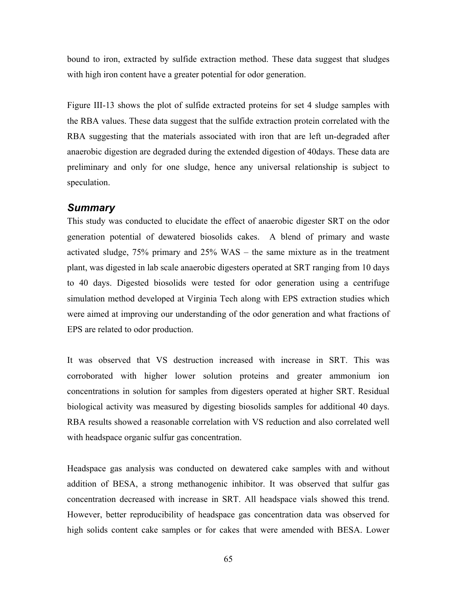bound to iron, extracted by sulfide extraction method. These data suggest that sludges with high iron content have a greater potential for odor generation.

Figure III-13 shows the plot of sulfide extracted proteins for set 4 sludge samples with the RBA values. These data suggest that the sulfide extraction protein correlated with the RBA suggesting that the materials associated with iron that are left un-degraded after anaerobic digestion are degraded during the extended digestion of 40days. These data are preliminary and only for one sludge, hence any universal relationship is subject to speculation.

#### *Summary*

This study was conducted to elucidate the effect of anaerobic digester SRT on the odor generation potential of dewatered biosolids cakes. A blend of primary and waste activated sludge, 75% primary and 25% WAS – the same mixture as in the treatment plant, was digested in lab scale anaerobic digesters operated at SRT ranging from 10 days to 40 days. Digested biosolids were tested for odor generation using a centrifuge simulation method developed at Virginia Tech along with EPS extraction studies which were aimed at improving our understanding of the odor generation and what fractions of EPS are related to odor production.

It was observed that VS destruction increased with increase in SRT. This was corroborated with higher lower solution proteins and greater ammonium ion concentrations in solution for samples from digesters operated at higher SRT. Residual biological activity was measured by digesting biosolids samples for additional 40 days. RBA results showed a reasonable correlation with VS reduction and also correlated well with headspace organic sulfur gas concentration.

Headspace gas analysis was conducted on dewatered cake samples with and without addition of BESA, a strong methanogenic inhibitor. It was observed that sulfur gas concentration decreased with increase in SRT. All headspace vials showed this trend. However, better reproducibility of headspace gas concentration data was observed for high solids content cake samples or for cakes that were amended with BESA. Lower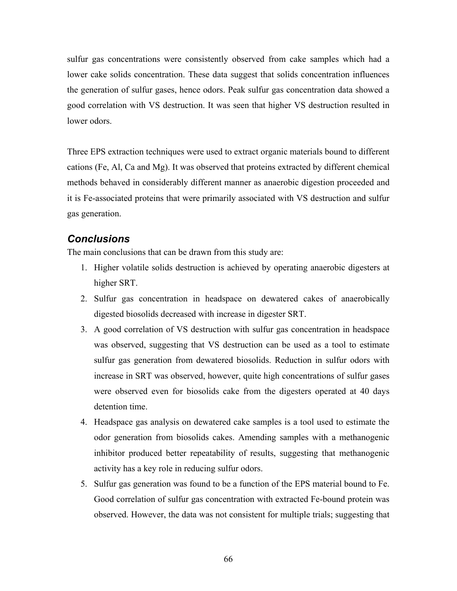sulfur gas concentrations were consistently observed from cake samples which had a lower cake solids concentration. These data suggest that solids concentration influences the generation of sulfur gases, hence odors. Peak sulfur gas concentration data showed a good correlation with VS destruction. It was seen that higher VS destruction resulted in lower odors.

Three EPS extraction techniques were used to extract organic materials bound to different cations (Fe, Al, Ca and Mg). It was observed that proteins extracted by different chemical methods behaved in considerably different manner as anaerobic digestion proceeded and it is Fe-associated proteins that were primarily associated with VS destruction and sulfur gas generation.

# *Conclusions*

The main conclusions that can be drawn from this study are:

- 1. Higher volatile solids destruction is achieved by operating anaerobic digesters at higher SRT.
- 2. Sulfur gas concentration in headspace on dewatered cakes of anaerobically digested biosolids decreased with increase in digester SRT.
- 3. A good correlation of VS destruction with sulfur gas concentration in headspace was observed, suggesting that VS destruction can be used as a tool to estimate sulfur gas generation from dewatered biosolids. Reduction in sulfur odors with increase in SRT was observed, however, quite high concentrations of sulfur gases were observed even for biosolids cake from the digesters operated at 40 days detention time.
- 4. Headspace gas analysis on dewatered cake samples is a tool used to estimate the odor generation from biosolids cakes. Amending samples with a methanogenic inhibitor produced better repeatability of results, suggesting that methanogenic activity has a key role in reducing sulfur odors.
- 5. Sulfur gas generation was found to be a function of the EPS material bound to Fe. Good correlation of sulfur gas concentration with extracted Fe-bound protein was observed. However, the data was not consistent for multiple trials; suggesting that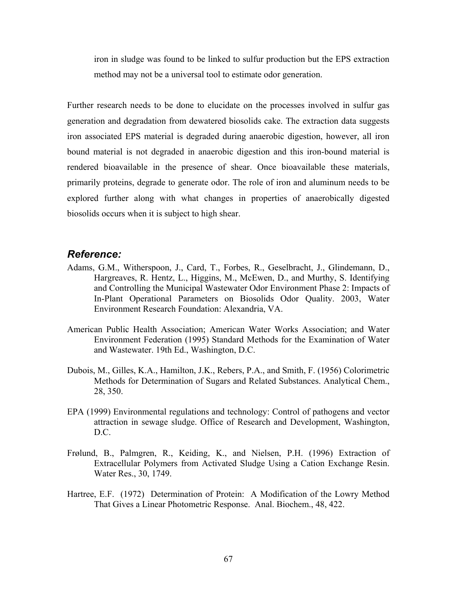iron in sludge was found to be linked to sulfur production but the EPS extraction method may not be a universal tool to estimate odor generation.

Further research needs to be done to elucidate on the processes involved in sulfur gas generation and degradation from dewatered biosolids cake. The extraction data suggests iron associated EPS material is degraded during anaerobic digestion, however, all iron bound material is not degraded in anaerobic digestion and this iron-bound material is rendered bioavailable in the presence of shear. Once bioavailable these materials, primarily proteins, degrade to generate odor. The role of iron and aluminum needs to be explored further along with what changes in properties of anaerobically digested biosolids occurs when it is subject to high shear.

#### *Reference:*

- Adams, G.M., Witherspoon, J., Card, T., Forbes, R., Geselbracht, J., Glindemann, D., Hargreaves, R. Hentz, L., Higgins, M., McEwen, D., and Murthy, S. Identifying and Controlling the Municipal Wastewater Odor Environment Phase 2: Impacts of In-Plant Operational Parameters on Biosolids Odor Quality. 2003, Water Environment Research Foundation: Alexandria, VA.
- American Public Health Association; American Water Works Association; and Water Environment Federation (1995) Standard Methods for the Examination of Water and Wastewater. 19th Ed., Washington, D.C.
- Dubois, M., Gilles, K.A., Hamilton, J.K., Rebers, P.A., and Smith, F. (1956) Colorimetric Methods for Determination of Sugars and Related Substances. Analytical Chem., 28, 350.
- EPA (1999) Environmental regulations and technology: Control of pathogens and vector attraction in sewage sludge. Office of Research and Development, Washington, D.C.
- Frølund, B., Palmgren, R., Keiding, K., and Nielsen, P.H. (1996) Extraction of Extracellular Polymers from Activated Sludge Using a Cation Exchange Resin. Water Res., 30, 1749.
- Hartree, E.F. (1972) Determination of Protein: A Modification of the Lowry Method That Gives a Linear Photometric Response. Anal. Biochem., 48, 422.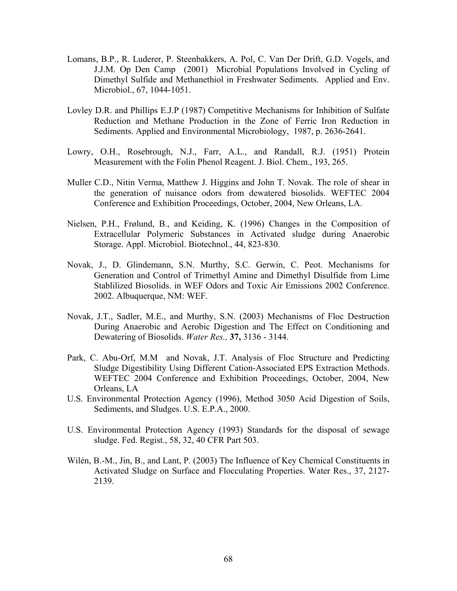- Lomans, B.P., R. Luderer, P. Steenbakkers, A. Pol, C. Van Der Drift, G.D. Vogels, and J.J.M. Op Den Camp (2001) Microbial Populations Involved in Cycling of Dimethyl Sulfide and Methanethiol in Freshwater Sediments. Applied and Env. Microbiol., 67, 1044-1051.
- Lovley D.R. and Phillips E.J.P (1987) Competitive Mechanisms for Inhibition of Sulfate Reduction and Methane Production in the Zone of Ferric Iron Reduction in Sediments. Applied and Environmental Microbiology, 1987, p. 2636-2641.
- Lowry, O.H., Rosebrough, N.J., Farr, A.L., and Randall, R.J. (1951) Protein Measurement with the Folin Phenol Reagent. J. Biol. Chem., 193, 265.
- Muller C.D., Nitin Verma, Matthew J. Higgins and John T. Novak. The role of shear in the generation of nuisance odors from dewatered biosolids. WEFTEC 2004 Conference and Exhibition Proceedings, October, 2004, New Orleans, LA.
- Nielsen, P.H., Frølund, B., and Keiding, K. (1996) Changes in the Composition of Extracellular Polymeric Substances in Activated sludge during Anaerobic Storage. Appl. Microbiol. Biotechnol., 44, 823-830.
- Novak, J., D. Glindemann, S.N. Murthy, S.C. Gerwin, C. Peot. Mechanisms for Generation and Control of Trimethyl Amine and Dimethyl Disulfide from Lime Stablilized Biosolids. in WEF Odors and Toxic Air Emissions 2002 Conference. 2002. Albuquerque, NM: WEF.
- Novak, J.T., Sadler, M.E., and Murthy, S.N. (2003) Mechanisms of Floc Destruction During Anaerobic and Aerobic Digestion and The Effect on Conditioning and Dewatering of Biosolids. *Water Res.,* **37,** 3136 - 3144.
- Park, C. Abu-Orf, M.M and Novak, J.T. Analysis of Floc Structure and Predicting Sludge Digestibility Using Different Cation-Associated EPS Extraction Methods. WEFTEC 2004 Conference and Exhibition Proceedings, October, 2004, New Orleans, LA
- U.S. Environmental Protection Agency (1996), Method 3050 Acid Digestion of Soils, Sediments, and Sludges. U.S. E.P.A., 2000.
- U.S. Environmental Protection Agency (1993) Standards for the disposal of sewage sludge. Fed. Regist., 58, 32, 40 CFR Part 503.
- Wilén, B.-M., Jin, B., and Lant, P. (2003) The Influence of Key Chemical Constituents in Activated Sludge on Surface and Flocculating Properties. Water Res., 37, 2127- 2139.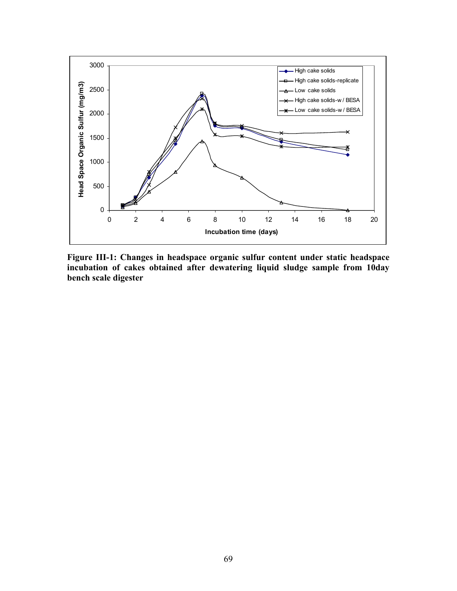

**Figure III-1: Changes in headspace organic sulfur content under static headspace incubation of cakes obtained after dewatering liquid sludge sample from 10day bench scale digester**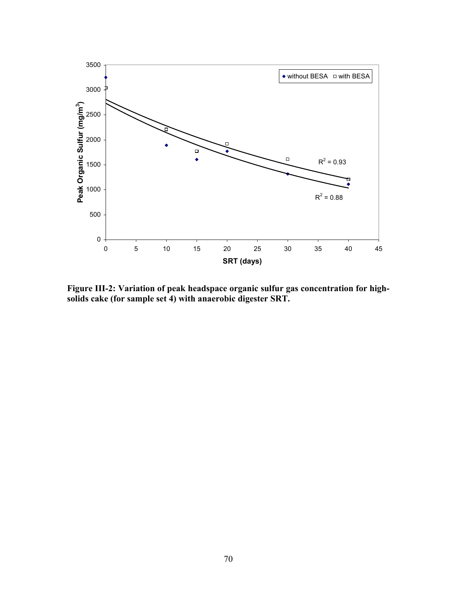

**Figure III-2: Variation of peak headspace organic sulfur gas concentration for highsolids cake (for sample set 4) with anaerobic digester SRT.**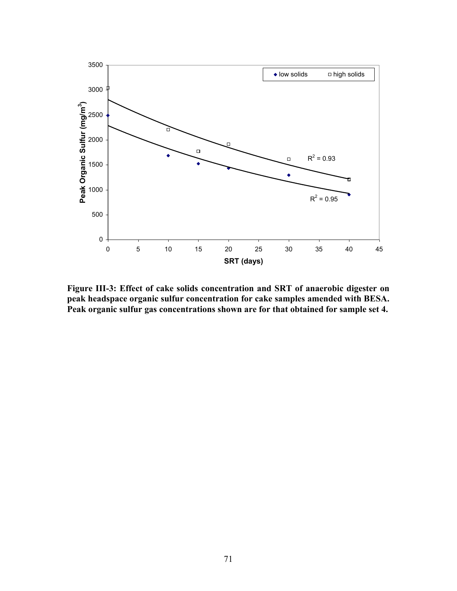

**Figure III-3: Effect of cake solids concentration and SRT of anaerobic digester on peak headspace organic sulfur concentration for cake samples amended with BESA. Peak organic sulfur gas concentrations shown are for that obtained for sample set 4.**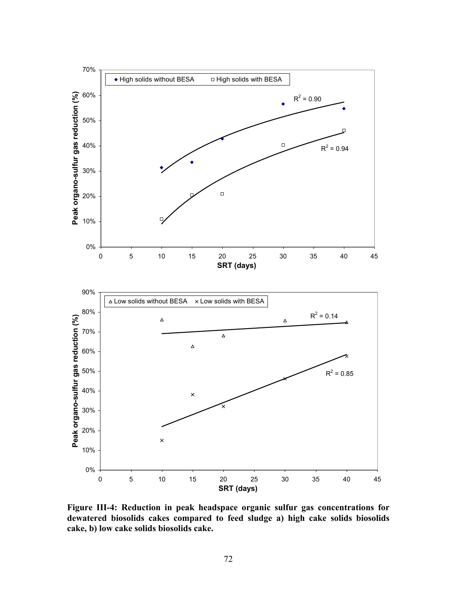

**Figure III-4: Reduction in peak headspace organic sulfur gas concentrations for dewatered biosolids cakes compared to feed sludge a) high cake solids biosolids cake, b) low cake solids biosolids cake.**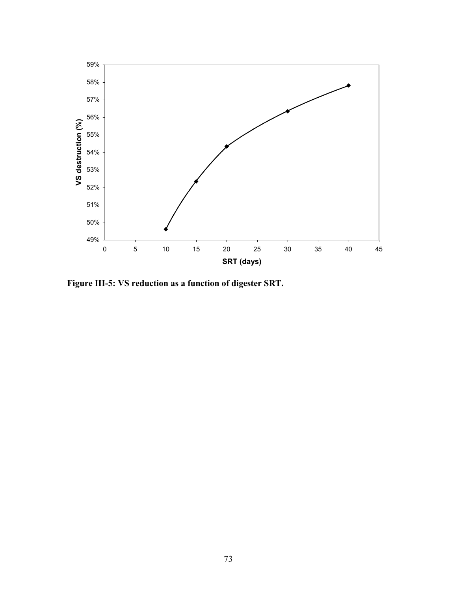

**Figure III-5: VS reduction as a function of digester SRT.**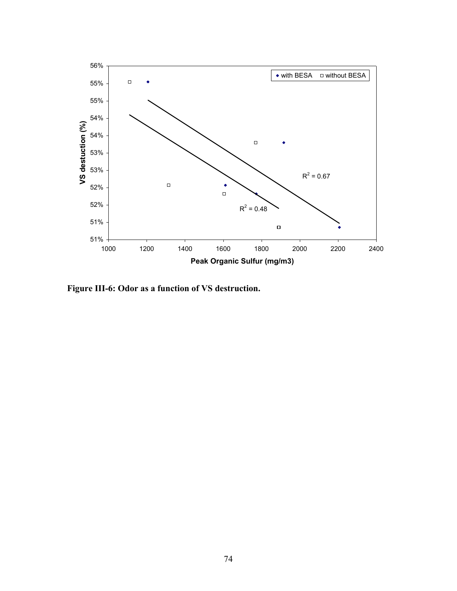

**Figure III-6: Odor as a function of VS destruction.**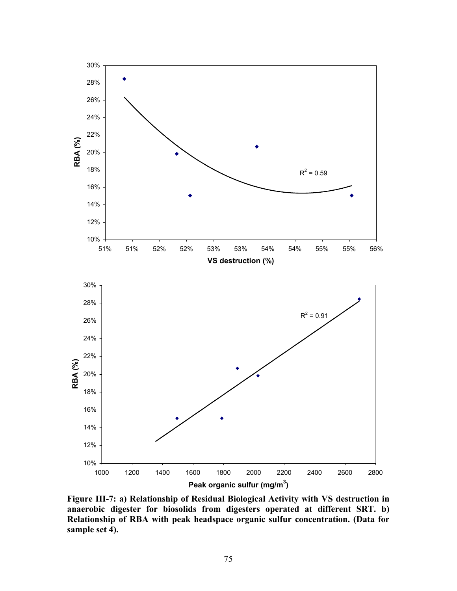

**Figure III-7: a) Relationship of Residual Biological Activity with VS destruction in anaerobic digester for biosolids from digesters operated at different SRT. b) Relationship of RBA with peak headspace organic sulfur concentration. (Data for sample set 4).**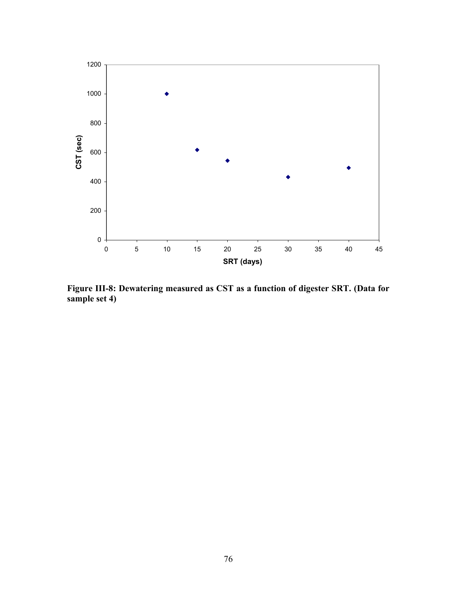

**Figure III-8: Dewatering measured as CST as a function of digester SRT. (Data for sample set 4)**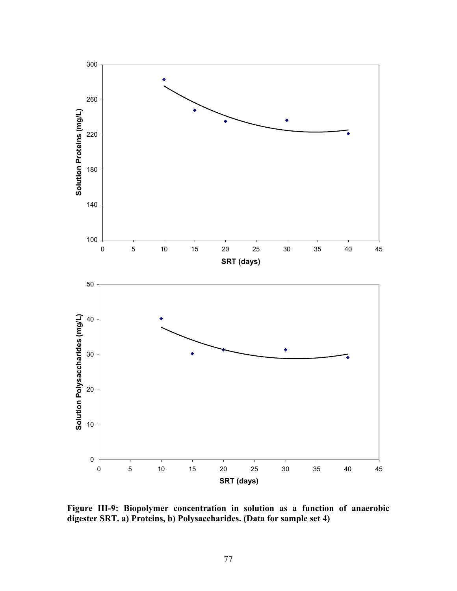

**Figure III-9: Biopolymer concentration in solution as a function of anaerobic digester SRT. a) Proteins, b) Polysaccharides. (Data for sample set 4)**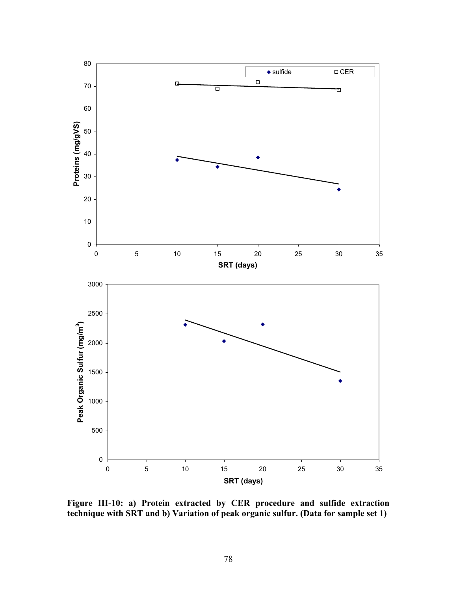

**Figure III-10: a) Protein extracted by CER procedure and sulfide extraction technique with SRT and b) Variation of peak organic sulfur. (Data for sample set 1)**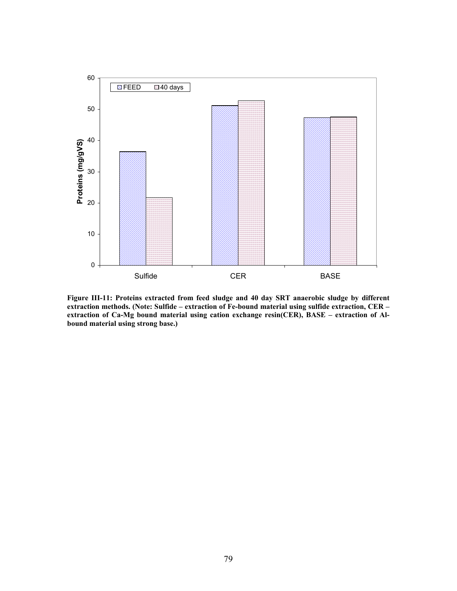

**Figure III-11: Proteins extracted from feed sludge and 40 day SRT anaerobic sludge by different extraction methods. (Note: Sulfide – extraction of Fe-bound material using sulfide extraction, CER – extraction of Ca-Mg bound material using cation exchange resin(CER), BASE – extraction of Albound material using strong base.)**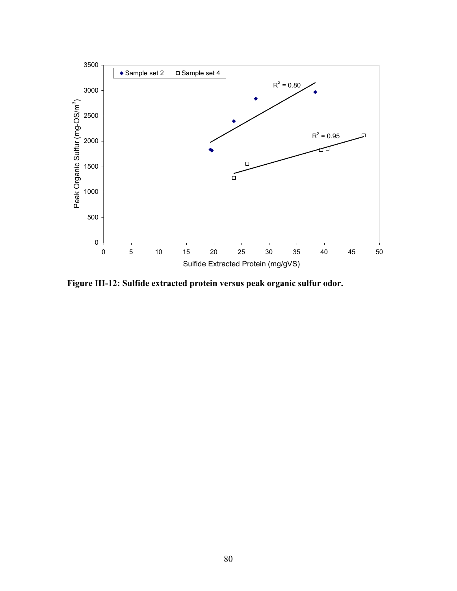

**Figure III-12: Sulfide extracted protein versus peak organic sulfur odor.**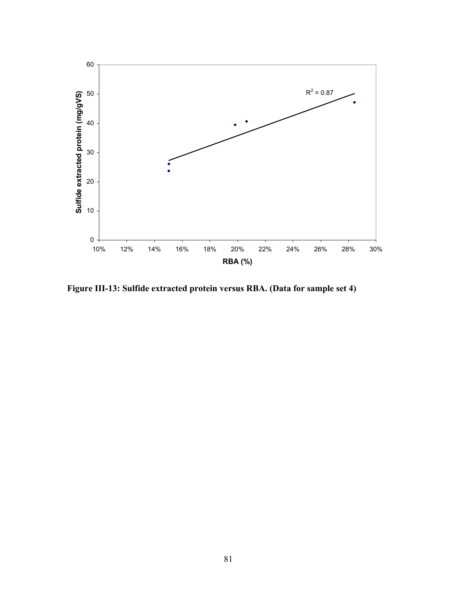

**Figure III-13: Sulfide extracted protein versus RBA. (Data for sample set 4)**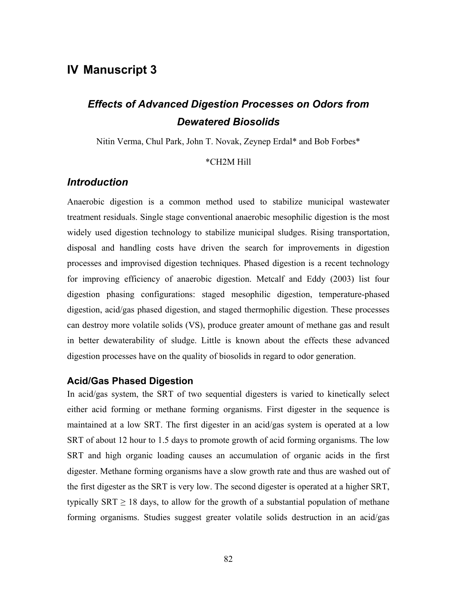# **IV Manuscript 3**

# *Effects of Advanced Digestion Processes on Odors from Dewatered Biosolids*

Nitin Verma, Chul Park, John T. Novak, Zeynep Erdal\* and Bob Forbes\*

#### \*CH2M Hill

### *Introduction*

Anaerobic digestion is a common method used to stabilize municipal wastewater treatment residuals. Single stage conventional anaerobic mesophilic digestion is the most widely used digestion technology to stabilize municipal sludges. Rising transportation, disposal and handling costs have driven the search for improvements in digestion processes and improvised digestion techniques. Phased digestion is a recent technology for improving efficiency of anaerobic digestion. Metcalf and Eddy (2003) list four digestion phasing configurations: staged mesophilic digestion, temperature-phased digestion, acid/gas phased digestion, and staged thermophilic digestion. These processes can destroy more volatile solids (VS), produce greater amount of methane gas and result in better dewaterability of sludge. Little is known about the effects these advanced digestion processes have on the quality of biosolids in regard to odor generation.

#### **Acid/Gas Phased Digestion**

In acid/gas system, the SRT of two sequential digesters is varied to kinetically select either acid forming or methane forming organisms. First digester in the sequence is maintained at a low SRT. The first digester in an acid/gas system is operated at a low SRT of about 12 hour to 1.5 days to promote growth of acid forming organisms. The low SRT and high organic loading causes an accumulation of organic acids in the first digester. Methane forming organisms have a slow growth rate and thus are washed out of the first digester as the SRT is very low. The second digester is operated at a higher SRT, typically SRT  $\geq$  18 days, to allow for the growth of a substantial population of methane forming organisms. Studies suggest greater volatile solids destruction in an acid/gas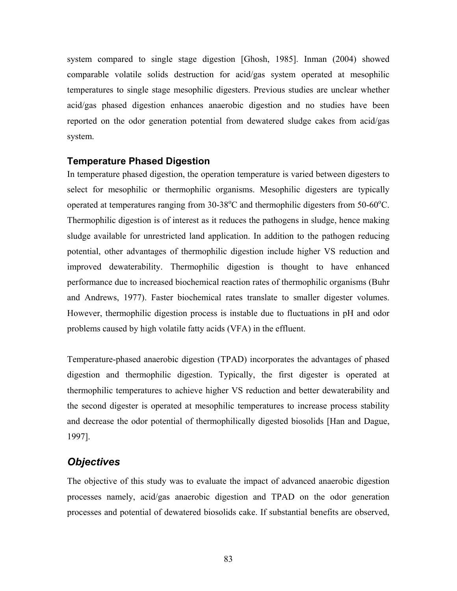system compared to single stage digestion [Ghosh, 1985]. Inman (2004) showed comparable volatile solids destruction for acid/gas system operated at mesophilic temperatures to single stage mesophilic digesters. Previous studies are unclear whether acid/gas phased digestion enhances anaerobic digestion and no studies have been reported on the odor generation potential from dewatered sludge cakes from acid/gas system.

## **Temperature Phased Digestion**

In temperature phased digestion, the operation temperature is varied between digesters to select for mesophilic or thermophilic organisms. Mesophilic digesters are typically operated at temperatures ranging from  $30-38^{\circ}$ C and thermophilic digesters from  $50-60^{\circ}$ C. Thermophilic digestion is of interest as it reduces the pathogens in sludge, hence making sludge available for unrestricted land application. In addition to the pathogen reducing potential, other advantages of thermophilic digestion include higher VS reduction and improved dewaterability. Thermophilic digestion is thought to have enhanced performance due to increased biochemical reaction rates of thermophilic organisms (Buhr and Andrews, 1977). Faster biochemical rates translate to smaller digester volumes. However, thermophilic digestion process is instable due to fluctuations in pH and odor problems caused by high volatile fatty acids (VFA) in the effluent.

Temperature-phased anaerobic digestion (TPAD) incorporates the advantages of phased digestion and thermophilic digestion. Typically, the first digester is operated at thermophilic temperatures to achieve higher VS reduction and better dewaterability and the second digester is operated at mesophilic temperatures to increase process stability and decrease the odor potential of thermophilically digested biosolids [Han and Dague, 1997].

# *Objectives*

The objective of this study was to evaluate the impact of advanced anaerobic digestion processes namely, acid/gas anaerobic digestion and TPAD on the odor generation processes and potential of dewatered biosolids cake. If substantial benefits are observed,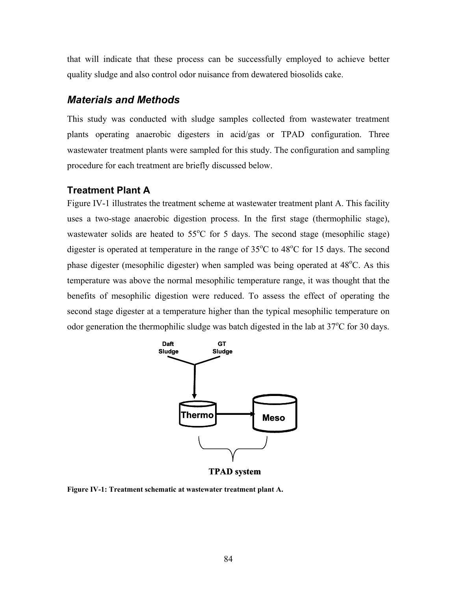that will indicate that these process can be successfully employed to achieve better quality sludge and also control odor nuisance from dewatered biosolids cake.

#### *Materials and Methods*

This study was conducted with sludge samples collected from wastewater treatment plants operating anaerobic digesters in acid/gas or TPAD configuration. Three wastewater treatment plants were sampled for this study. The configuration and sampling procedure for each treatment are briefly discussed below.

#### **Treatment Plant A**

Figure IV-1 illustrates the treatment scheme at wastewater treatment plant A. This facility uses a two-stage anaerobic digestion process. In the first stage (thermophilic stage), wastewater solids are heated to  $55^{\circ}$ C for 5 days. The second stage (mesophilic stage) digester is operated at temperature in the range of  $35^{\circ}$ C to  $48^{\circ}$ C for 15 days. The second phase digester (mesophilic digester) when sampled was being operated at 48°C. As this temperature was above the normal mesophilic temperature range, it was thought that the benefits of mesophilic digestion were reduced. To assess the effect of operating the second stage digester at a temperature higher than the typical mesophilic temperature on odor generation the thermophilic sludge was batch digested in the lab at  $37^{\circ}$ C for 30 days.



**Figure IV-1: Treatment schematic at wastewater treatment plant A.**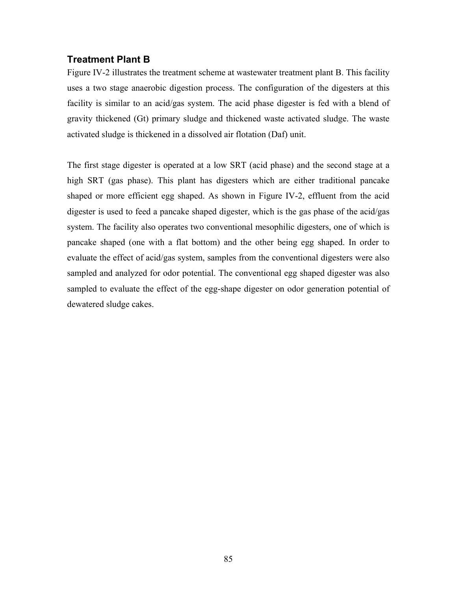### **Treatment Plant B**

Figure IV-2 illustrates the treatment scheme at wastewater treatment plant B. This facility uses a two stage anaerobic digestion process. The configuration of the digesters at this facility is similar to an acid/gas system. The acid phase digester is fed with a blend of gravity thickened (Gt) primary sludge and thickened waste activated sludge. The waste activated sludge is thickened in a dissolved air flotation (Daf) unit.

The first stage digester is operated at a low SRT (acid phase) and the second stage at a high SRT (gas phase). This plant has digesters which are either traditional pancake shaped or more efficient egg shaped. As shown in Figure IV-2, effluent from the acid digester is used to feed a pancake shaped digester, which is the gas phase of the acid/gas system. The facility also operates two conventional mesophilic digesters, one of which is pancake shaped (one with a flat bottom) and the other being egg shaped. In order to evaluate the effect of acid/gas system, samples from the conventional digesters were also sampled and analyzed for odor potential. The conventional egg shaped digester was also sampled to evaluate the effect of the egg-shape digester on odor generation potential of dewatered sludge cakes.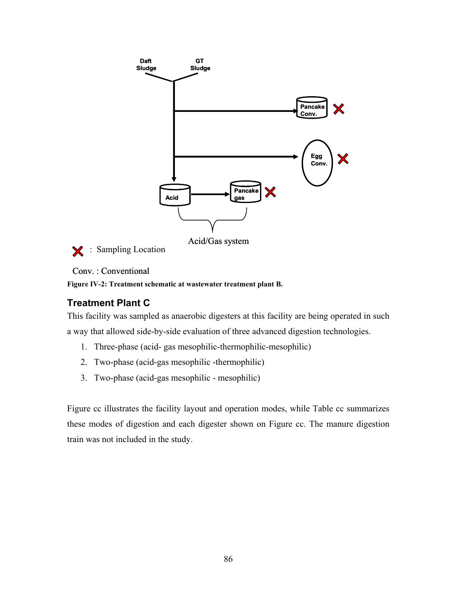

: Sampling Location  $\mathbf x$ 

# Conv. : Conventional

**Figure IV-2: Treatment schematic at wastewater treatment plant B.** 

# **Treatment Plant C**

This facility was sampled as anaerobic digesters at this facility are being operated in such a way that allowed side-by-side evaluation of three advanced digestion technologies.

- 1. Three-phase (acid- gas mesophilic-thermophilic-mesophilic)
- 2. Two-phase (acid-gas mesophilic -thermophilic)
- 3. Two-phase (acid-gas mesophilic mesophilic)

Figure cc illustrates the facility layout and operation modes, while Table cc summarizes these modes of digestion and each digester shown on Figure cc. The manure digestion train was not included in the study.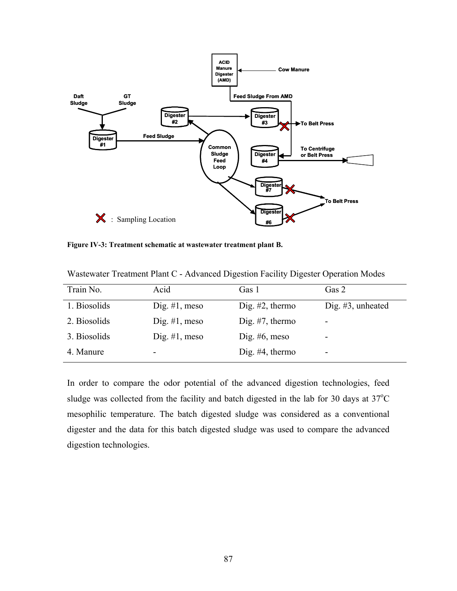

**Figure IV-3: Treatment schematic at wastewater treatment plant B.** 

| Train No.    | Acid             | Gas 1              | Gas 2                |
|--------------|------------------|--------------------|----------------------|
| 1. Biosolids | Dig. $#1$ , meso | Dig. $#2$ , thermo | Dig. $#3$ , unheated |
| 2. Biosolids | Dig. $#1$ , meso | Dig. $#7$ , thermo | -                    |
| 3. Biosolids | Dig. $#1$ , meso | Dig. $#6$ , meso   | -                    |
| 4. Manure    | -                | Dig. $#4$ , thermo | -                    |

Wastewater Treatment Plant C - Advanced Digestion Facility Digester Operation Modes

In order to compare the odor potential of the advanced digestion technologies, feed sludge was collected from the facility and batch digested in the lab for 30 days at  $37^{\circ}$ C mesophilic temperature. The batch digested sludge was considered as a conventional digester and the data for this batch digested sludge was used to compare the advanced digestion technologies.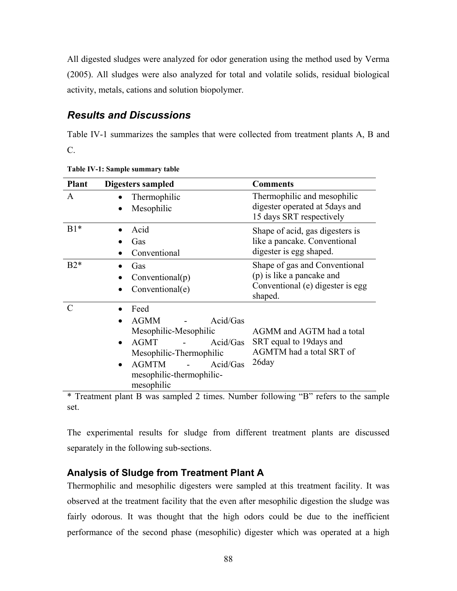All digested sludges were analyzed for odor generation using the method used by Verma (2005). All sludges were also analyzed for total and volatile solids, residual biological activity, metals, cations and solution biopolymer.

# *Results and Discussions*

Table IV-1 summarizes the samples that were collected from treatment plants A, B and C.

| <b>Plant</b> | Digesters sampled                                                                                                                                                                                 | <b>Comments</b>                                                                                           |
|--------------|---------------------------------------------------------------------------------------------------------------------------------------------------------------------------------------------------|-----------------------------------------------------------------------------------------------------------|
| A            | Thermophilic<br>Mesophilic                                                                                                                                                                        | Thermophilic and mesophilic<br>digester operated at 5 days and<br>15 days SRT respectively                |
| $B1*$        | Acid<br>Gas<br>Conventional                                                                                                                                                                       | Shape of acid, gas digesters is<br>like a pancake. Conventional<br>digester is egg shaped.                |
| $B2*$        | Gas<br>Conventional(p)<br>Conventional(e)                                                                                                                                                         | Shape of gas and Conventional<br>(p) is like a pancake and<br>Conventional (e) digester is egg<br>shaped. |
| C            | Feed<br><b>AGMM</b><br>Acid/Gas<br>Mesophilic-Mesophilic<br>Acid/Gas<br><b>AGMT</b><br>$\bullet$<br>Mesophilic-Thermophilic<br><b>AGMTM</b><br>Acid/Gas<br>mesophilic-thermophilic-<br>mesophilic | AGMM and AGTM had a total<br>SRT equal to 19 days and<br>AGMTM had a total SRT of<br>26day                |

**Table IV-1: Sample summary table** 

\* Treatment plant B was sampled 2 times. Number following "B" refers to the sample set.

The experimental results for sludge from different treatment plants are discussed separately in the following sub-sections.

# **Analysis of Sludge from Treatment Plant A**

Thermophilic and mesophilic digesters were sampled at this treatment facility. It was observed at the treatment facility that the even after mesophilic digestion the sludge was fairly odorous. It was thought that the high odors could be due to the inefficient performance of the second phase (mesophilic) digester which was operated at a high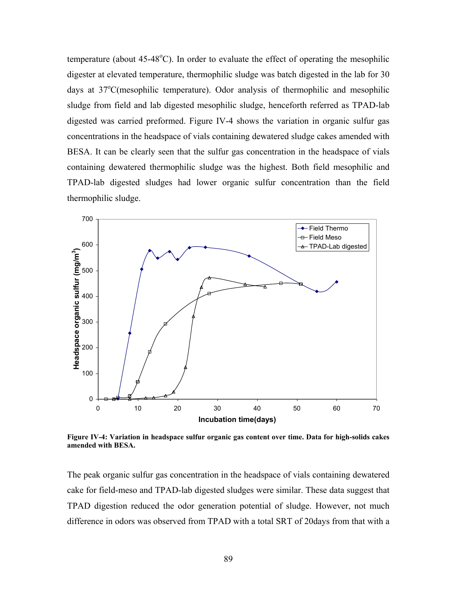temperature (about  $45-48^{\circ}$ C). In order to evaluate the effect of operating the mesophilic digester at elevated temperature, thermophilic sludge was batch digested in the lab for 30 days at 37°C(mesophilic temperature). Odor analysis of thermophilic and mesophilic sludge from field and lab digested mesophilic sludge, henceforth referred as TPAD-lab digested was carried preformed. Figure IV-4 shows the variation in organic sulfur gas concentrations in the headspace of vials containing dewatered sludge cakes amended with BESA. It can be clearly seen that the sulfur gas concentration in the headspace of vials containing dewatered thermophilic sludge was the highest. Both field mesophilic and TPAD-lab digested sludges had lower organic sulfur concentration than the field thermophilic sludge.



**Figure IV-4: Variation in headspace sulfur organic gas content over time. Data for high-solids cakes amended with BESA.** 

The peak organic sulfur gas concentration in the headspace of vials containing dewatered cake for field-meso and TPAD-lab digested sludges were similar. These data suggest that TPAD digestion reduced the odor generation potential of sludge. However, not much difference in odors was observed from TPAD with a total SRT of 20days from that with a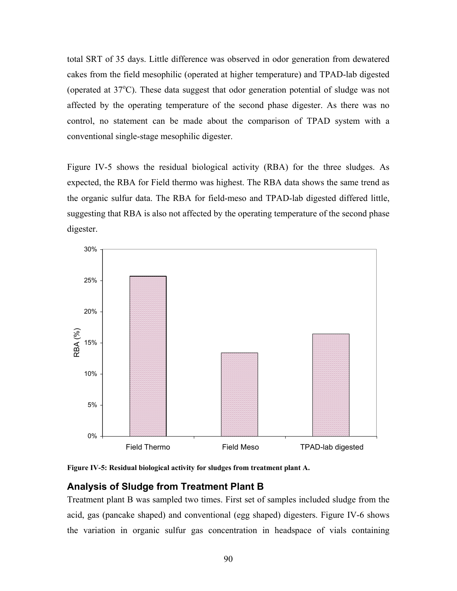total SRT of 35 days. Little difference was observed in odor generation from dewatered cakes from the field mesophilic (operated at higher temperature) and TPAD-lab digested (operated at  $37^{\circ}$ C). These data suggest that odor generation potential of sludge was not affected by the operating temperature of the second phase digester. As there was no control, no statement can be made about the comparison of TPAD system with a conventional single-stage mesophilic digester.

Figure IV-5 shows the residual biological activity (RBA) for the three sludges. As expected, the RBA for Field thermo was highest. The RBA data shows the same trend as the organic sulfur data. The RBA for field-meso and TPAD-lab digested differed little, suggesting that RBA is also not affected by the operating temperature of the second phase digester.



**Figure IV-5: Residual biological activity for sludges from treatment plant A.** 

# **Analysis of Sludge from Treatment Plant B**

Treatment plant B was sampled two times. First set of samples included sludge from the acid, gas (pancake shaped) and conventional (egg shaped) digesters. Figure IV-6 shows the variation in organic sulfur gas concentration in headspace of vials containing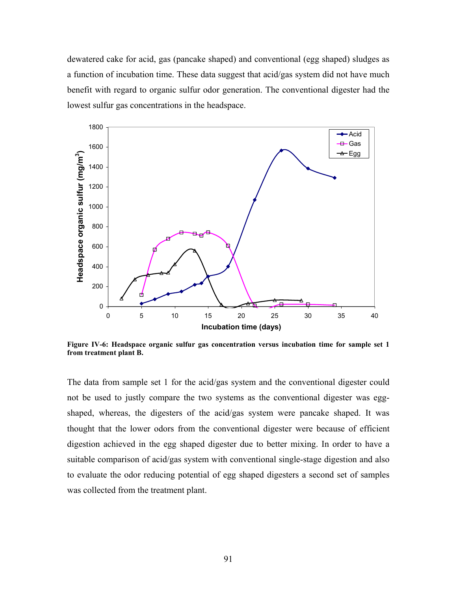dewatered cake for acid, gas (pancake shaped) and conventional (egg shaped) sludges as a function of incubation time. These data suggest that acid/gas system did not have much benefit with regard to organic sulfur odor generation. The conventional digester had the lowest sulfur gas concentrations in the headspace.



**Figure IV-6: Headspace organic sulfur gas concentration versus incubation time for sample set 1 from treatment plant B.** 

The data from sample set 1 for the acid/gas system and the conventional digester could not be used to justly compare the two systems as the conventional digester was eggshaped, whereas, the digesters of the acid/gas system were pancake shaped. It was thought that the lower odors from the conventional digester were because of efficient digestion achieved in the egg shaped digester due to better mixing. In order to have a suitable comparison of acid/gas system with conventional single-stage digestion and also to evaluate the odor reducing potential of egg shaped digesters a second set of samples was collected from the treatment plant.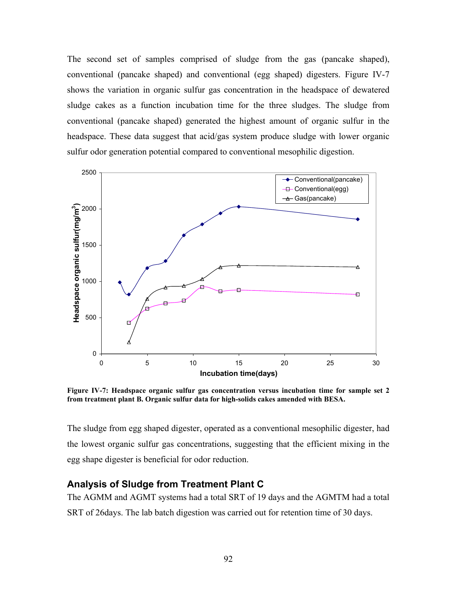The second set of samples comprised of sludge from the gas (pancake shaped), conventional (pancake shaped) and conventional (egg shaped) digesters. Figure IV-7 shows the variation in organic sulfur gas concentration in the headspace of dewatered sludge cakes as a function incubation time for the three sludges. The sludge from conventional (pancake shaped) generated the highest amount of organic sulfur in the headspace. These data suggest that acid/gas system produce sludge with lower organic sulfur odor generation potential compared to conventional mesophilic digestion.



**Figure IV-7: Headspace organic sulfur gas concentration versus incubation time for sample set 2 from treatment plant B. Organic sulfur data for high-solids cakes amended with BESA.** 

The sludge from egg shaped digester, operated as a conventional mesophilic digester, had the lowest organic sulfur gas concentrations, suggesting that the efficient mixing in the egg shape digester is beneficial for odor reduction.

#### **Analysis of Sludge from Treatment Plant C**

The AGMM and AGMT systems had a total SRT of 19 days and the AGMTM had a total SRT of 26days. The lab batch digestion was carried out for retention time of 30 days.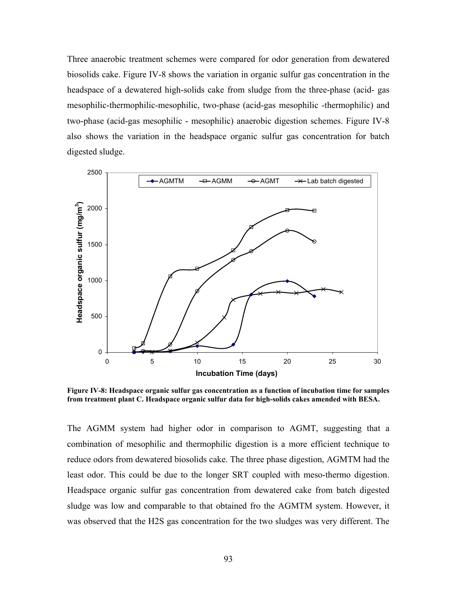Three anaerobic treatment schemes were compared for odor generation from dewatered biosolids cake. Figure IV-8 shows the variation in organic sulfur gas concentration in the headspace of a dewatered high-solids cake from sludge from the three-phase (acid- gas mesophilic-thermophilic-mesophilic, two-phase (acid-gas mesophilic -thermophilic) and two-phase (acid-gas mesophilic - mesophilic) anaerobic digestion schemes. Figure IV-8 also shows the variation in the headspace organic sulfur gas concentration for batch digested sludge.



**Figure IV-8: Headspace organic sulfur gas concentration as a function of incubation time for samples from treatment plant C. Headspace organic sulfur data for high-solids cakes amended with BESA.** 

The AGMM system had higher odor in comparison to AGMT, suggesting that a combination of mesophilic and thermophilic digestion is a more efficient technique to reduce odors from dewatered biosolids cake. The three phase digestion, AGMTM had the least odor. This could be due to the longer SRT coupled with meso-thermo digestion. Headspace organic sulfur gas concentration from dewatered cake from batch digested sludge was low and comparable to that obtained fro the AGMTM system. However, it was observed that the H2S gas concentration for the two sludges was very different. The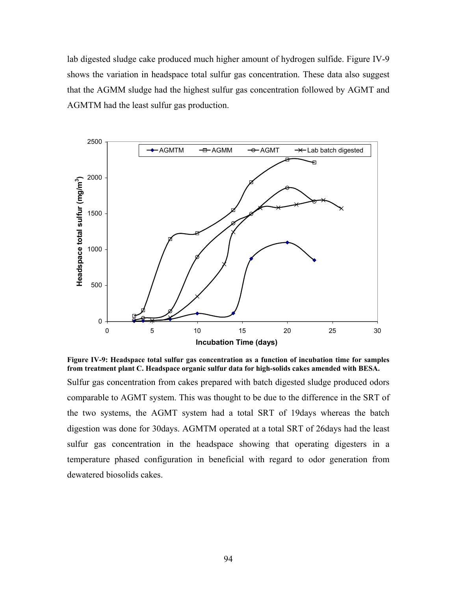lab digested sludge cake produced much higher amount of hydrogen sulfide. Figure IV-9 shows the variation in headspace total sulfur gas concentration. These data also suggest that the AGMM sludge had the highest sulfur gas concentration followed by AGMT and AGMTM had the least sulfur gas production.



**Figure IV-9: Headspace total sulfur gas concentration as a function of incubation time for samples from treatment plant C. Headspace organic sulfur data for high-solids cakes amended with BESA.** 

Sulfur gas concentration from cakes prepared with batch digested sludge produced odors comparable to AGMT system. This was thought to be due to the difference in the SRT of the two systems, the AGMT system had a total SRT of 19days whereas the batch digestion was done for 30days. AGMTM operated at a total SRT of 26days had the least sulfur gas concentration in the headspace showing that operating digesters in a temperature phased configuration in beneficial with regard to odor generation from dewatered biosolids cakes.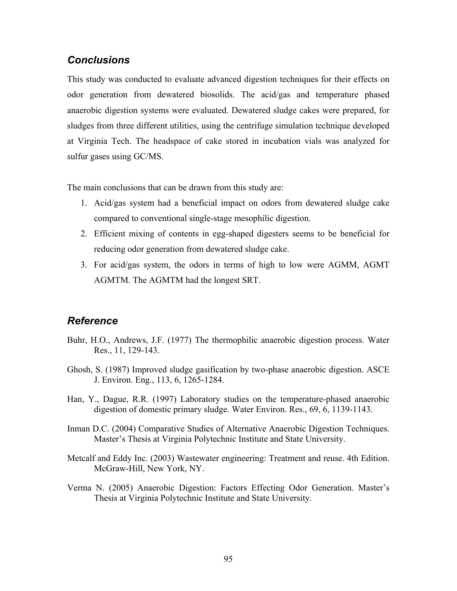## *Conclusions*

This study was conducted to evaluate advanced digestion techniques for their effects on odor generation from dewatered biosolids. The acid/gas and temperature phased anaerobic digestion systems were evaluated. Dewatered sludge cakes were prepared, for sludges from three different utilities, using the centrifuge simulation technique developed at Virginia Tech. The headspace of cake stored in incubation vials was analyzed for sulfur gases using GC/MS.

The main conclusions that can be drawn from this study are:

- 1. Acid/gas system had a beneficial impact on odors from dewatered sludge cake compared to conventional single-stage mesophilic digestion.
- 2. Efficient mixing of contents in egg-shaped digesters seems to be beneficial for reducing odor generation from dewatered sludge cake.
- 3. For acid/gas system, the odors in terms of high to low were AGMM, AGMT AGMTM. The AGMTM had the longest SRT.

# *Reference*

- Buhr, H.O., Andrews, J.F. (1977) The thermophilic anaerobic digestion process. Water Res., 11, 129-143.
- Ghosh, S. (1987) Improved sludge gasification by two-phase anaerobic digestion. ASCE J. Environ. Eng., 113, 6, 1265-1284.
- Han, Y., Dague, R.R. (1997) Laboratory studies on the temperature-phased anaerobic digestion of domestic primary sludge. Water Environ. Res., 69, 6, 1139-1143.
- Inman D.C. (2004) Comparative Studies of Alternative Anaerobic Digestion Techniques. Master's Thesis at Virginia Polytechnic Institute and State University.
- Metcalf and Eddy Inc. (2003) Wastewater engineering: Treatment and reuse. 4th Edition. McGraw-Hill, New York, NY.
- Verma N. (2005) Anaerobic Digestion: Factors Effecting Odor Generation. Master's Thesis at Virginia Polytechnic Institute and State University.